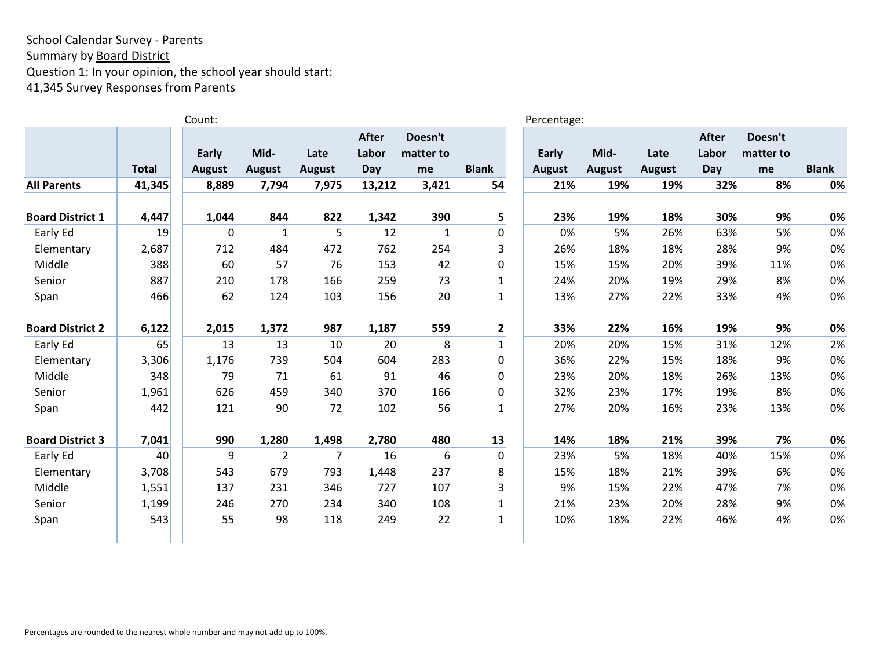# School Calendar Survey - Parents Summary by **Board District** Question 1: In your opinion, the school year should start: 41,345 Survey Responses from Parents

|                         |              | Count:        |                |               |        |              |              | Percentage:   |               |               |       |           |              |
|-------------------------|--------------|---------------|----------------|---------------|--------|--------------|--------------|---------------|---------------|---------------|-------|-----------|--------------|
|                         |              |               |                |               | After  | Doesn't      |              |               |               |               | After | Doesn't   |              |
|                         |              | Early         | Mid-           | Late          | Labor  | matter to    |              | <b>Early</b>  | Mid-          | Late          | Labor | matter to |              |
|                         | <b>Total</b> | <b>August</b> | <b>August</b>  | <b>August</b> | Day    | me           | <b>Blank</b> | <b>August</b> | <b>August</b> | <b>August</b> | Day   | me        | <b>Blank</b> |
| <b>All Parents</b>      | 41,345       | 8,889         | 7,794          | 7,975         | 13,212 | 3,421        | 54           | 21%           | 19%           | 19%           | 32%   | 8%        | 0%           |
| <b>Board District 1</b> | 4,447        | 1,044         | 844            | 822           | 1,342  | 390          | 5            | 23%           | 19%           | 18%           | 30%   | 9%        | 0%           |
| Early Ed                | 19           | 0             | $\mathbf{1}$   | 5             | 12     | $\mathbf{1}$ | $\mathbf 0$  | 0%            | 5%            | 26%           | 63%   | 5%        | 0%           |
| Elementary              | 2,687        | 712           | 484            | 472           | 762    | 254          | 3            | 26%           | 18%           | 18%           | 28%   | 9%        | 0%           |
| Middle                  | 388          | 60            | 57             | 76            | 153    | 42           | $\mathbf 0$  | 15%           | 15%           | 20%           | 39%   | 11%       | 0%           |
| Senior                  | 887          | 210           | 178            | 166           | 259    | 73           | $\mathbf{1}$ | 24%           | 20%           | 19%           | 29%   | 8%        | 0%           |
| Span                    | 466          | 62            | 124            | 103           | 156    | 20           | $\mathbf{1}$ | 13%           | 27%           | 22%           | 33%   | 4%        | 0%           |
| <b>Board District 2</b> | 6,122        | 2,015         | 1,372          | 987           | 1,187  | 559          | $\mathbf{2}$ | 33%           | 22%           | 16%           | 19%   | 9%        | 0%           |
| Early Ed                | 65           | 13            | 13             | 10            | 20     | 8            | $\mathbf{1}$ | 20%           | 20%           | 15%           | 31%   | 12%       | 2%           |
| Elementary              | 3,306        | 1,176         | 739            | 504           | 604    | 283          | 0            | 36%           | 22%           | 15%           | 18%   | 9%        | 0%           |
| Middle                  | 348          | 79            | 71             | 61            | 91     | 46           | $\mathbf 0$  | 23%           | 20%           | 18%           | 26%   | 13%       | 0%           |
| Senior                  | 1,961        | 626           | 459            | 340           | 370    | 166          | 0            | 32%           | 23%           | 17%           | 19%   | 8%        | 0%           |
| Span                    | 442          | 121           | 90             | 72            | 102    | 56           | $\mathbf{1}$ | 27%           | 20%           | 16%           | 23%   | 13%       | 0%           |
| <b>Board District 3</b> | 7,041        | 990           | 1,280          | 1,498         | 2,780  | 480          | 13           | 14%           | 18%           | 21%           | 39%   | 7%        | 0%           |
| Early Ed                | 40           | 9             | $\overline{2}$ | 7             | 16     | 6            | $\mathbf 0$  | 23%           | 5%            | 18%           | 40%   | 15%       | 0%           |
| Elementary              | 3,708        | 543           | 679            | 793           | 1,448  | 237          | 8            | 15%           | 18%           | 21%           | 39%   | 6%        | 0%           |
| Middle                  | 1,551        | 137           | 231            | 346           | 727    | 107          | 3            | 9%            | 15%           | 22%           | 47%   | 7%        | 0%           |
| Senior                  | 1,199        | 246           | 270            | 234           | 340    | 108          | $\mathbf{1}$ | 21%           | 23%           | 20%           | 28%   | 9%        | 0%           |
| Span                    | 543          | 55            | 98             | 118           | 249    | 22           | $\mathbf{1}$ | 10%           | 18%           | 22%           | 46%   | 4%        | 0%           |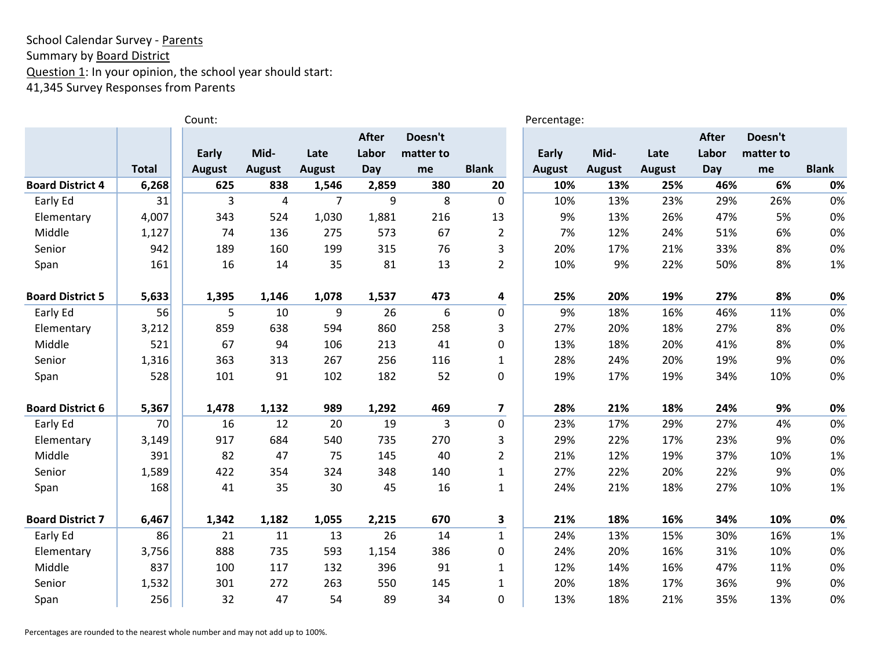### School Calendar Survey - Parents Summary by **Board District** Question 1: In your opinion, the school year should start: 41,345 Survey Responses from Parents

|                         |              | Count:        |               |                |              |           |                         | Percentage:   |               |               |              |           |              |
|-------------------------|--------------|---------------|---------------|----------------|--------------|-----------|-------------------------|---------------|---------------|---------------|--------------|-----------|--------------|
|                         |              |               |               |                | <b>After</b> | Doesn't   |                         |               |               |               | <b>After</b> | Doesn't   |              |
|                         |              | Early         | Mid-          | Late           | Labor        | matter to |                         | Early         | Mid-          | Late          | Labor        | matter to |              |
|                         | <b>Total</b> | <b>August</b> | <b>August</b> | <b>August</b>  | Day          | me        | <b>Blank</b>            | <b>August</b> | <b>August</b> | <b>August</b> | Day          | me        | <b>Blank</b> |
| <b>Board District 4</b> | 6,268        | 625           | 838           | 1,546          | 2,859        | 380       | 20                      | 10%           | 13%           | 25%           | 46%          | 6%        | 0%           |
| Early Ed                | 31           | 3             | 4             | $\overline{7}$ | 9            | 8         | $\mathbf 0$             | 10%           | 13%           | 23%           | 29%          | 26%       | 0%           |
| Elementary              | 4,007        | 343           | 524           | 1,030          | 1,881        | 216       | 13                      | 9%            | 13%           | 26%           | 47%          | 5%        | 0%           |
| Middle                  | 1,127        | 74            | 136           | 275            | 573          | 67        | $\overline{2}$          | 7%            | 12%           | 24%           | 51%          | 6%        | 0%           |
| Senior                  | 942          | 189           | 160           | 199            | 315          | 76        | 3                       | 20%           | 17%           | 21%           | 33%          | 8%        | 0%           |
| Span                    | 161          | 16            | 14            | 35             | 81           | 13        | $\overline{2}$          | 10%           | 9%            | 22%           | 50%          | 8%        | 1%           |
| <b>Board District 5</b> | 5,633        | 1,395         | 1,146         | 1,078          | 1,537        | 473       | $\overline{\mathbf{4}}$ | 25%           | 20%           | 19%           | 27%          | 8%        | 0%           |
| Early Ed                | 56           | 5             | 10            | 9              | 26           | 6         | $\mathbf 0$             | 9%            | 18%           | 16%           | 46%          | 11%       | 0%           |
| Elementary              | 3,212        | 859           | 638           | 594            | 860          | 258       | 3                       | 27%           | 20%           | 18%           | 27%          | 8%        | 0%           |
| Middle                  | 521          | 67            | 94            | 106            | 213          | 41        | $\mathbf 0$             | 13%           | 18%           | 20%           | 41%          | 8%        | 0%           |
| Senior                  | 1,316        | 363           | 313           | 267            | 256          | 116       | $\mathbf{1}$            | 28%           | 24%           | 20%           | 19%          | 9%        | 0%           |
| Span                    | 528          | 101           | 91            | 102            | 182          | 52        | $\pmb{0}$               | 19%           | 17%           | 19%           | 34%          | 10%       | 0%           |
| <b>Board District 6</b> | 5,367        | 1,478         | 1,132         | 989            | 1,292        | 469       | $\overline{\mathbf{z}}$ | 28%           | 21%           | 18%           | 24%          | 9%        | 0%           |
| Early Ed                | 70           | 16            | 12            | 20             | 19           | 3         | $\mathbf 0$             | 23%           | 17%           | 29%           | 27%          | 4%        | 0%           |
| Elementary              | 3,149        | 917           | 684           | 540            | 735          | 270       | 3                       | 29%           | 22%           | 17%           | 23%          | 9%        | 0%           |
| Middle                  | 391          | 82            | 47            | 75             | 145          | 40        | $\overline{2}$          | 21%           | 12%           | 19%           | 37%          | 10%       | 1%           |
| Senior                  | 1,589        | 422           | 354           | 324            | 348          | 140       | $\mathbf{1}$            | 27%           | 22%           | 20%           | 22%          | 9%        | 0%           |
| Span                    | 168          | 41            | 35            | 30             | 45           | 16        | $\mathbf{1}$            | 24%           | 21%           | 18%           | 27%          | 10%       | 1%           |
| <b>Board District 7</b> | 6,467        | 1,342         | 1,182         | 1,055          | 2,215        | 670       | 3                       | 21%           | 18%           | 16%           | 34%          | 10%       | 0%           |
| Early Ed                | 86           | 21            | 11            | 13             | 26           | 14        | $\mathbf{1}$            | 24%           | 13%           | 15%           | 30%          | 16%       | 1%           |
| Elementary              | 3,756        | 888           | 735           | 593            | 1,154        | 386       | $\mathbf 0$             | 24%           | 20%           | 16%           | 31%          | 10%       | 0%           |
| Middle                  | 837          | 100           | 117           | 132            | 396          | 91        | $\mathbf{1}$            | 12%           | 14%           | 16%           | 47%          | 11%       | 0%           |
| Senior                  | 1,532        | 301           | 272           | 263            | 550          | 145       | $\mathbf{1}$            | 20%           | 18%           | 17%           | 36%          | 9%        | 0%           |
| Span                    | 256          | 32            | 47            | 54             | 89           | 34        | $\overline{0}$          | 13%           | 18%           | 21%           | 35%          | 13%       | 0%           |

Percentages are rounded to the nearest whole number and may not add up to 100%.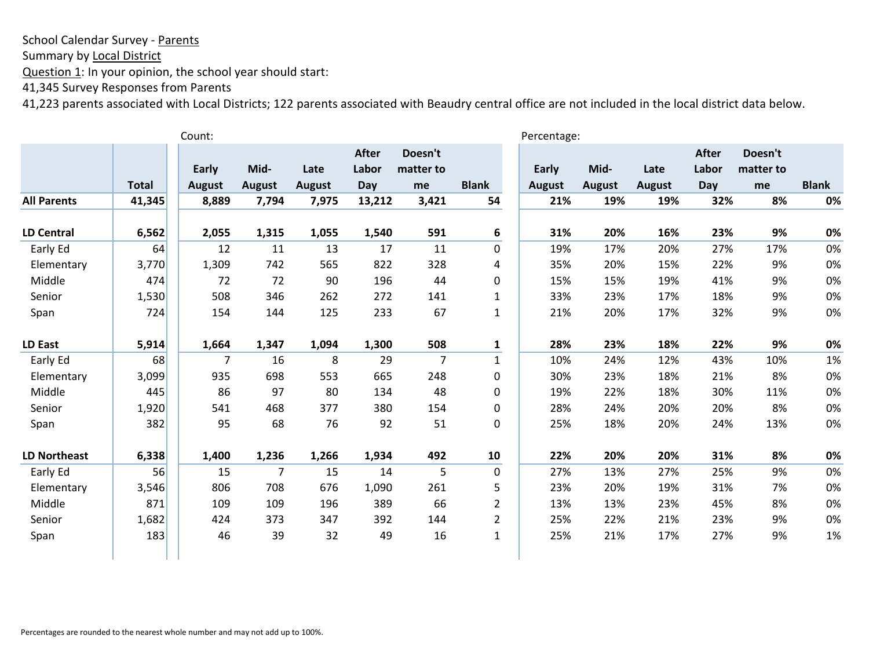Summary by Local District

Question 1: In your opinion, the school year should start:

41,345 Survey Responses from Parents

|                     |              | Count:        |                |               |              |           |                | Percentage:   |               |               |              |           |              |
|---------------------|--------------|---------------|----------------|---------------|--------------|-----------|----------------|---------------|---------------|---------------|--------------|-----------|--------------|
|                     |              |               |                |               | <b>After</b> | Doesn't   |                |               |               |               | <b>After</b> | Doesn't   |              |
|                     |              | Early         | Mid-           | Late          | Labor        | matter to |                | Early         | Mid-          | Late          | Labor        | matter to |              |
|                     | <b>Total</b> | <b>August</b> | <b>August</b>  | <b>August</b> | Day          | me        | <b>Blank</b>   | <b>August</b> | <b>August</b> | <b>August</b> | Day          | me        | <b>Blank</b> |
| <b>All Parents</b>  | 41,345       | 8,889         | 7,794          | 7,975         | 13,212       | 3,421     | 54             | 21%           | 19%           | 19%           | 32%          | 8%        | 0%           |
| <b>LD Central</b>   | 6,562        | 2,055         | 1,315          | 1,055         | 1,540        | 591       | 6              | 31%           | 20%           | 16%           | 23%          | 9%        | 0%           |
| Early Ed            | 64           | 12            | 11             | 13            | 17           | 11        | $\mathbf 0$    | 19%           | 17%           | 20%           | 27%          | 17%       | 0%           |
| Elementary          | 3,770        | 1,309         | 742            | 565           | 822          | 328       | 4              | 35%           | 20%           | 15%           | 22%          | 9%        | 0%           |
| Middle              | 474          | 72            | 72             | 90            | 196          | 44        | 0              | 15%           | 15%           | 19%           | 41%          | 9%        | 0%           |
| Senior              | 1,530        | 508           | 346            | 262           | 272          | 141       | $\mathbf{1}$   | 33%           | 23%           | 17%           | 18%          | 9%        | 0%           |
| Span                | 724          | 154           | 144            | 125           | 233          | 67        | $\mathbf{1}$   | 21%           | 20%           | 17%           | 32%          | 9%        | 0%           |
| <b>LD East</b>      | 5,914        | 1,664         | 1,347          | 1,094         | 1,300        | 508       | $\mathbf{1}$   | 28%           | 23%           | 18%           | 22%          | 9%        | 0%           |
| Early Ed            | 68           | 7             | 16             | 8             | 29           | 7         | $\mathbf{1}$   | 10%           | 24%           | 12%           | 43%          | 10%       | 1%           |
| Elementary          | 3,099        | 935           | 698            | 553           | 665          | 248       | $\mathbf 0$    | 30%           | 23%           | 18%           | 21%          | 8%        | 0%           |
| Middle              | 445          | 86            | 97             | 80            | 134          | 48        | $\mathbf 0$    | 19%           | 22%           | 18%           | 30%          | 11%       | 0%           |
| Senior              | 1,920        | 541           | 468            | 377           | 380          | 154       | 0              | 28%           | 24%           | 20%           | 20%          | 8%        | 0%           |
| Span                | 382          | 95            | 68             | 76            | 92           | 51        | 0              | 25%           | 18%           | 20%           | 24%          | 13%       | 0%           |
| <b>LD Northeast</b> | 6,338        | 1,400         | 1,236          | 1,266         | 1,934        | 492       | 10             | 22%           | 20%           | 20%           | 31%          | 8%        | 0%           |
| Early Ed            | 56           | 15            | $\overline{7}$ | 15            | 14           | 5         | $\mathbf 0$    | 27%           | 13%           | 27%           | 25%          | 9%        | 0%           |
| Elementary          | 3,546        | 806           | 708            | 676           | 1,090        | 261       | 5              | 23%           | 20%           | 19%           | 31%          | 7%        | 0%           |
| Middle              | 871          | 109           | 109            | 196           | 389          | 66        | $\overline{2}$ | 13%           | 13%           | 23%           | 45%          | 8%        | 0%           |
| Senior              | 1,682        | 424           | 373            | 347           | 392          | 144       | $\overline{2}$ | 25%           | 22%           | 21%           | 23%          | 9%        | 0%           |
| Span                | 183          | 46            | 39             | 32            | 49           | 16        | $\mathbf{1}$   | 25%           | 21%           | 17%           | 27%          | 9%        | 1%           |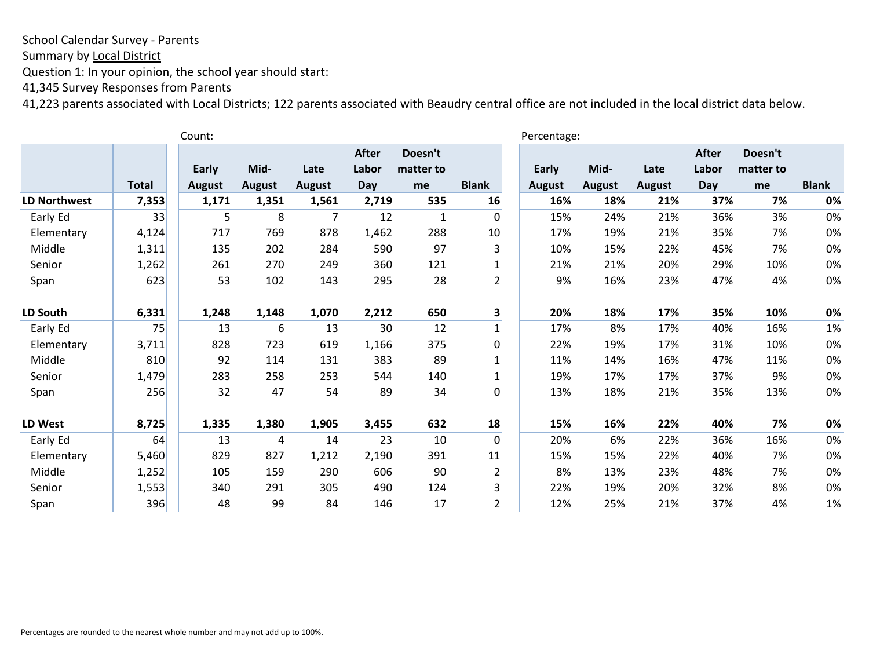Summary by Local District

Question 1: In your opinion, the school year should start:

41,345 Survey Responses from Parents

|                     |              | Count:        |               |               |              |           |                | Percentage:   |               |               |              |           |              |
|---------------------|--------------|---------------|---------------|---------------|--------------|-----------|----------------|---------------|---------------|---------------|--------------|-----------|--------------|
|                     |              |               |               |               | <b>After</b> | Doesn't   |                |               |               |               | <b>After</b> | Doesn't   |              |
|                     |              | Early         | Mid-          | Late          | Labor        | matter to |                | Early         | Mid-          | Late          | Labor        | matter to |              |
|                     | <b>Total</b> | <b>August</b> | <b>August</b> | <b>August</b> | Day          | me        | <b>Blank</b>   | <b>August</b> | <b>August</b> | <b>August</b> | Day          | me        | <b>Blank</b> |
| <b>LD Northwest</b> | 7,353        | 1,171         | 1,351         | 1,561         | 2,719        | 535       | 16             | 16%           | 18%           | 21%           | 37%          | 7%        | 0%           |
| Early Ed            | 33           | 5             | 8             | 7             | 12           | 1         | 0              | 15%           | 24%           | 21%           | 36%          | 3%        | 0%           |
| Elementary          | 4,124        | 717           | 769           | 878           | 1,462        | 288       | 10             | 17%           | 19%           | 21%           | 35%          | 7%        | 0%           |
| Middle              | 1,311        | 135           | 202           | 284           | 590          | 97        | 3              | 10%           | 15%           | 22%           | 45%          | 7%        | 0%           |
| Senior              | 1,262        | 261           | 270           | 249           | 360          | 121       | $\mathbf{1}$   | 21%           | 21%           | 20%           | 29%          | 10%       | 0%           |
| Span                | 623          | 53            | 102           | 143           | 295          | 28        | $\overline{2}$ | 9%            | 16%           | 23%           | 47%          | 4%        | 0%           |
| LD South            | 6,331        | 1,248         | 1,148         | 1,070         | 2,212        | 650       | 3              | 20%           | 18%           | 17%           | 35%          | 10%       | 0%           |
| Early Ed            | 75           | 13            | 6             | 13            | 30           | 12        | $\mathbf{1}$   | 17%           | 8%            | 17%           | 40%          | 16%       | 1%           |
| Elementary          | 3,711        | 828           | 723           | 619           | 1,166        | 375       | 0              | 22%           | 19%           | 17%           | 31%          | 10%       | 0%           |
| Middle              | 810          | 92            | 114           | 131           | 383          | 89        | $\mathbf{1}$   | 11%           | 14%           | 16%           | 47%          | 11%       | 0%           |
| Senior              | 1,479        | 283           | 258           | 253           | 544          | 140       | $\mathbf{1}$   | 19%           | 17%           | 17%           | 37%          | 9%        | 0%           |
| Span                | 256          | 32            | 47            | 54            | 89           | 34        | $\mathbf 0$    | 13%           | 18%           | 21%           | 35%          | 13%       | 0%           |
| LD West             | 8,725        | 1,335         | 1,380         | 1,905         | 3,455        | 632       | 18             | 15%           | 16%           | 22%           | 40%          | 7%        | 0%           |
| Early Ed            | 64           | 13            | 4             | 14            | 23           | 10        | $\mathbf 0$    | 20%           | 6%            | 22%           | 36%          | 16%       | 0%           |
| Elementary          | 5,460        | 829           | 827           | 1,212         | 2,190        | 391       | 11             | 15%           | 15%           | 22%           | 40%          | 7%        | 0%           |
| Middle              | 1,252        | 105           | 159           | 290           | 606          | 90        | $\overline{2}$ | 8%            | 13%           | 23%           | 48%          | 7%        | 0%           |
| Senior              | 1,553        | 340           | 291           | 305           | 490          | 124       | 3              | 22%           | 19%           | 20%           | 32%          | 8%        | 0%           |
| Span                | 396          | 48            | 99            | 84            | 146          | 17        | 2              | 12%           | 25%           | 21%           | 37%          | 4%        | 1%           |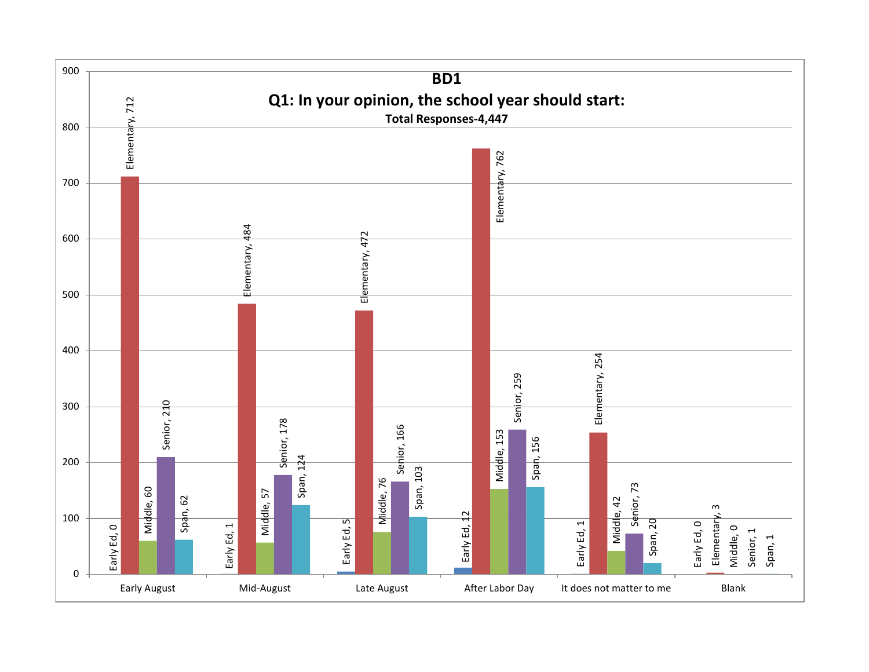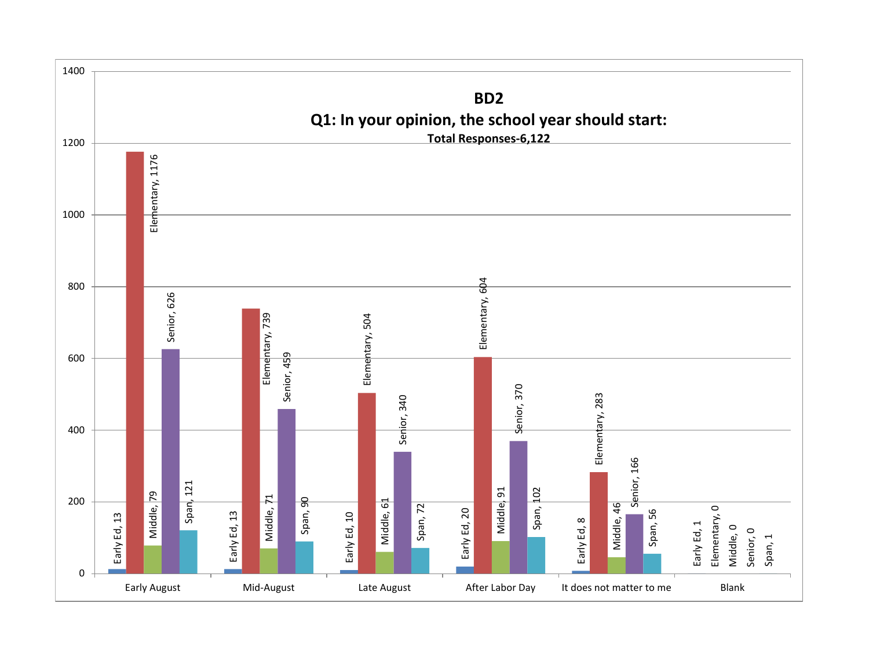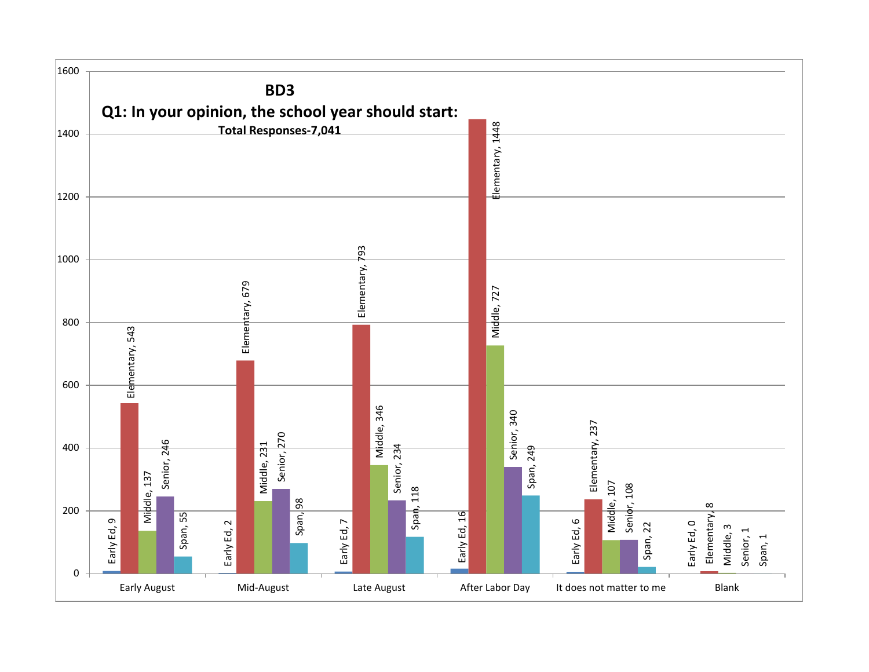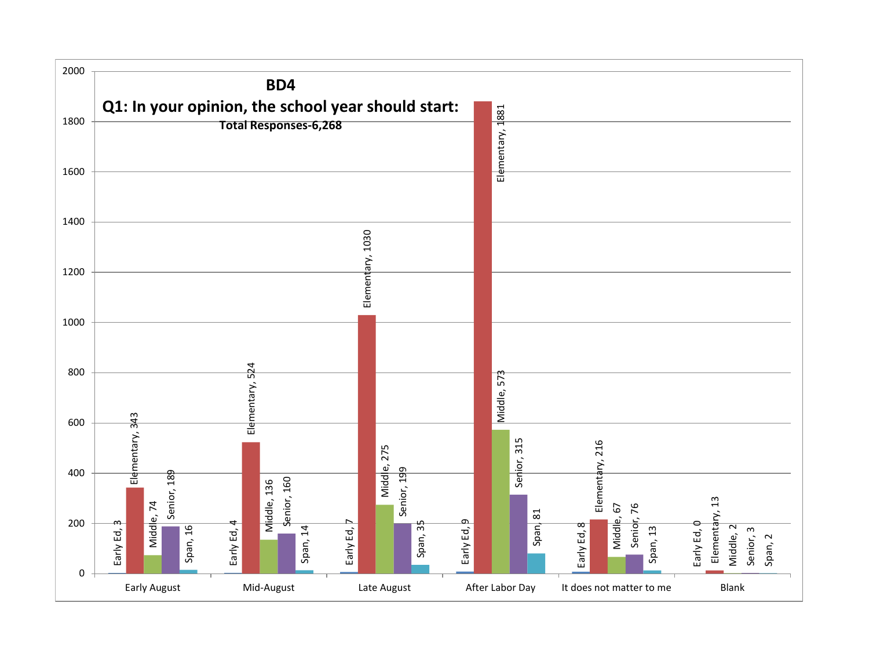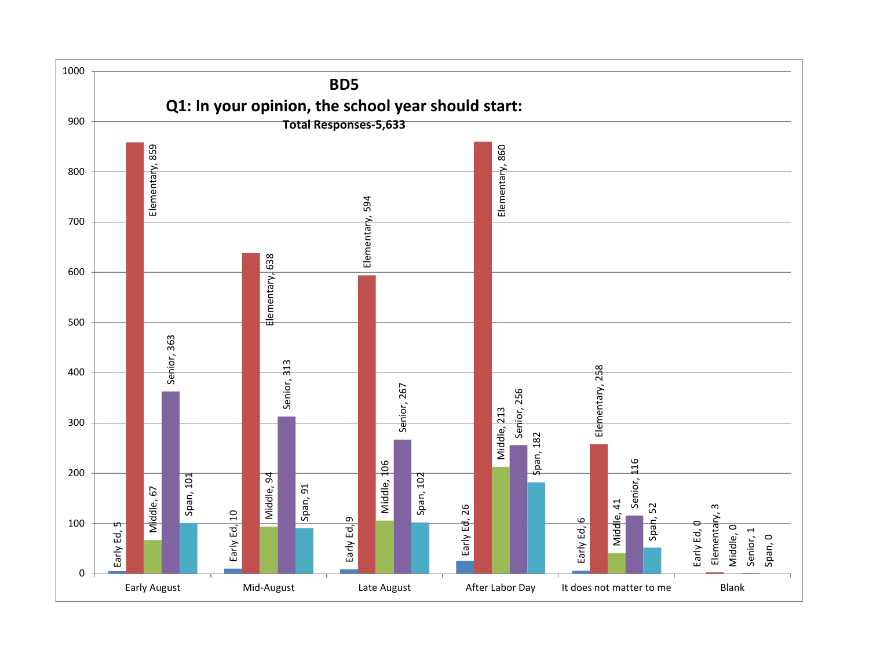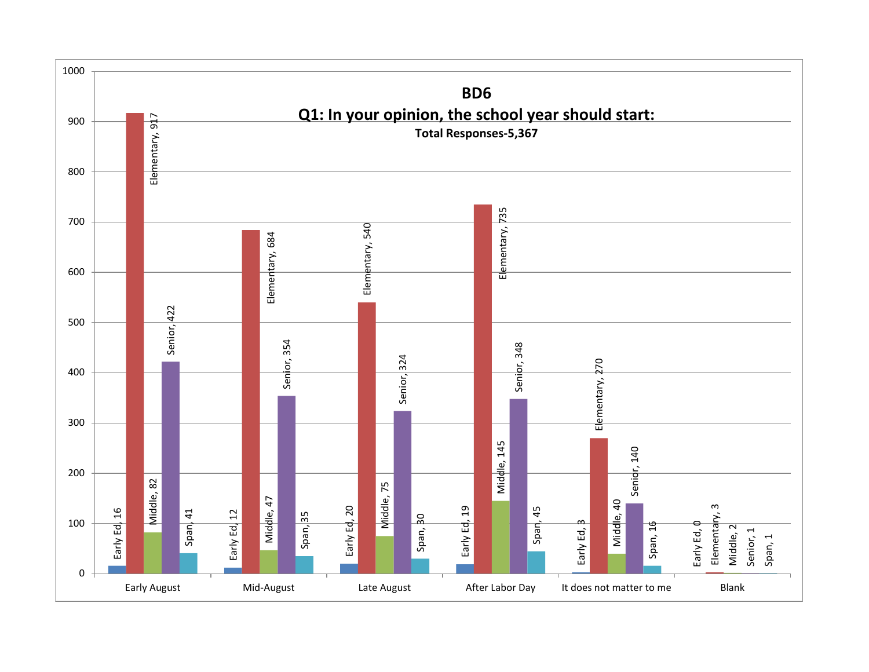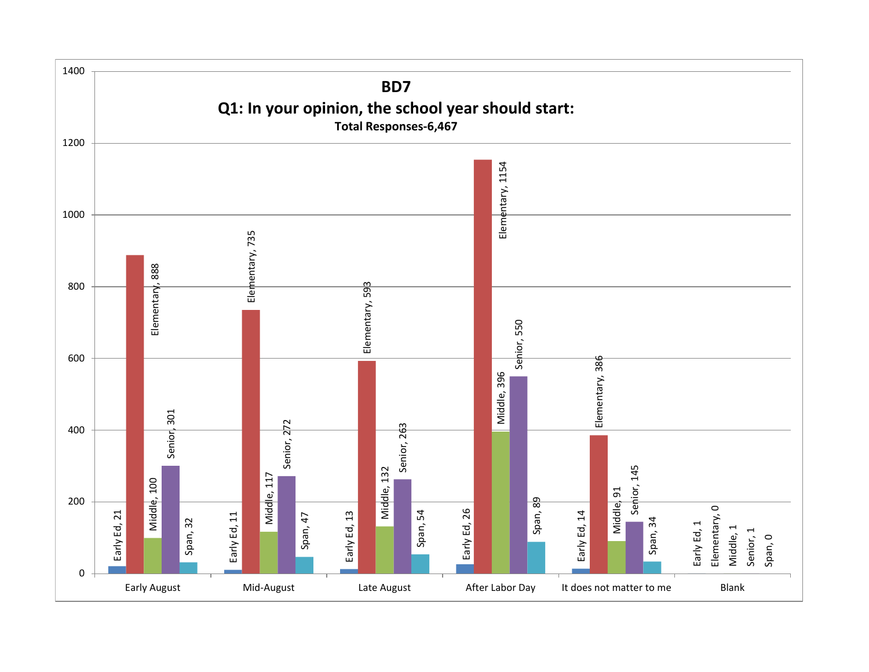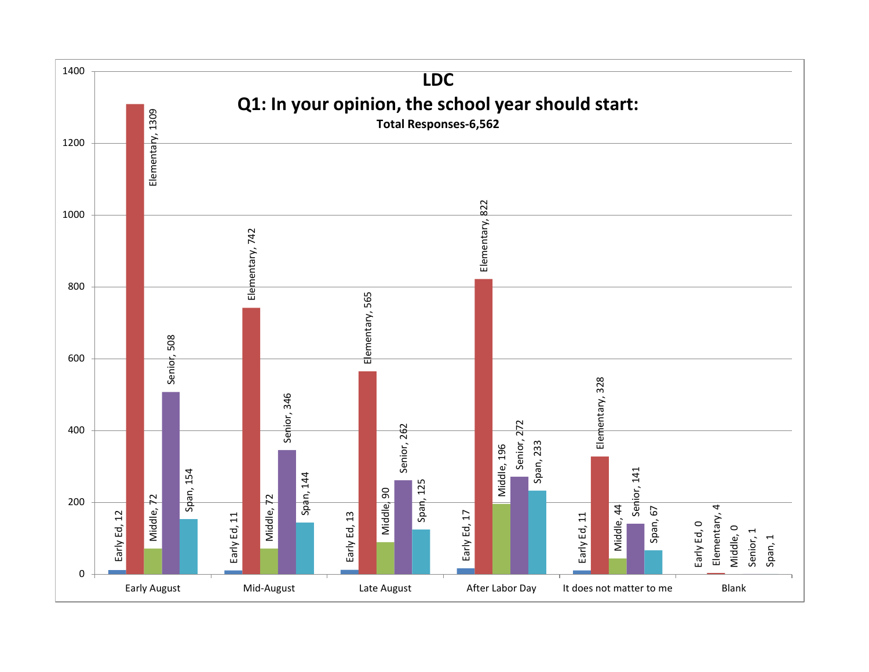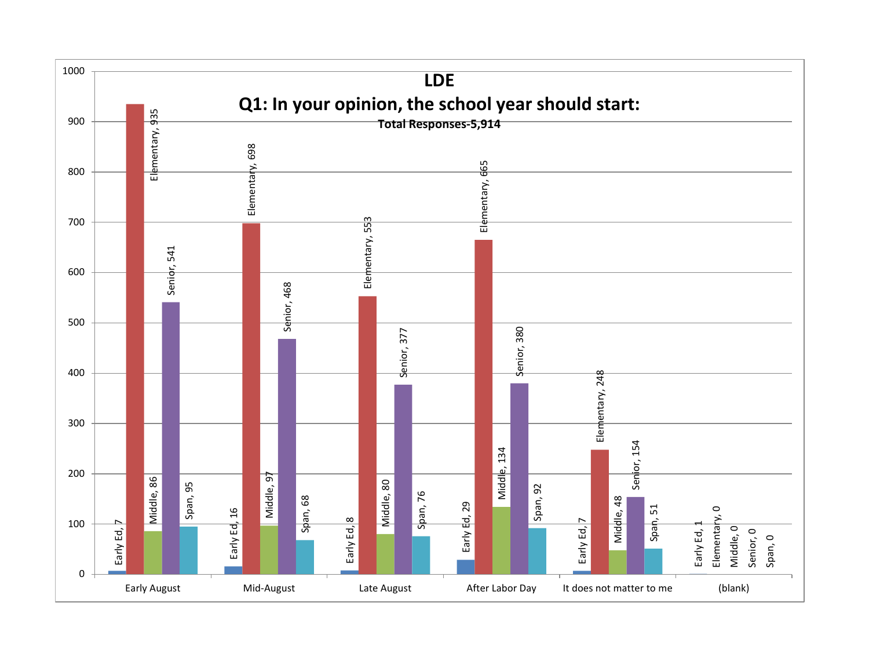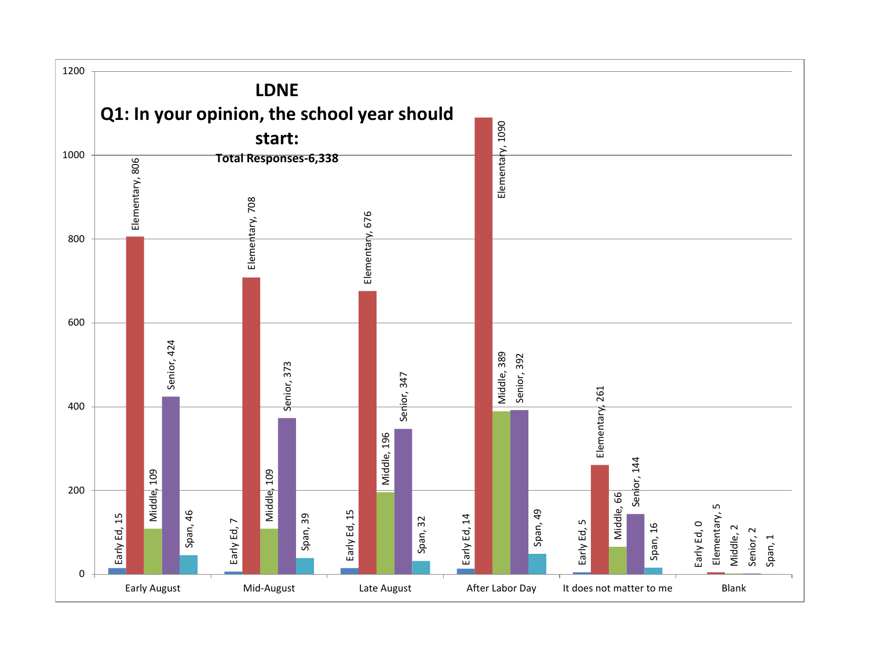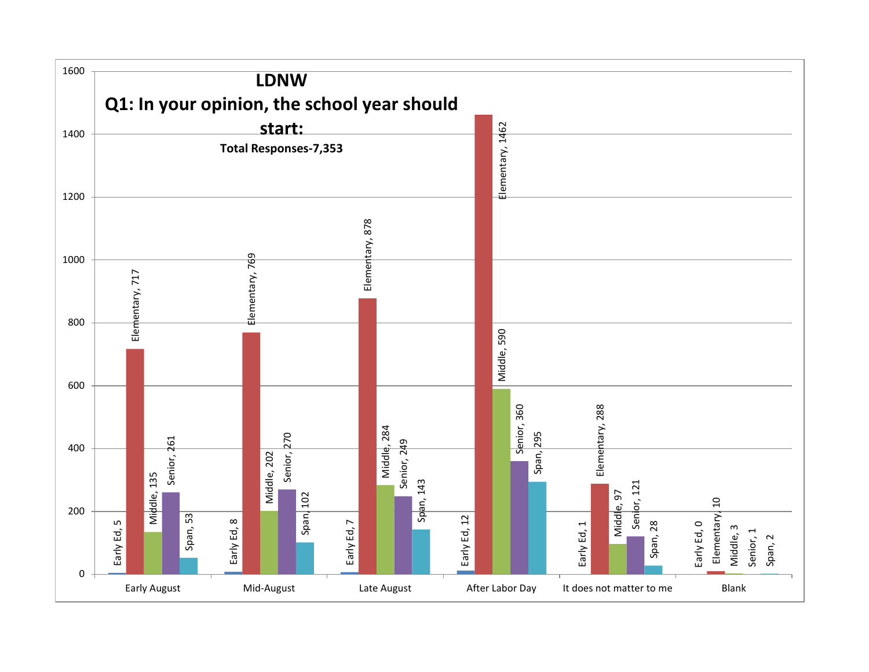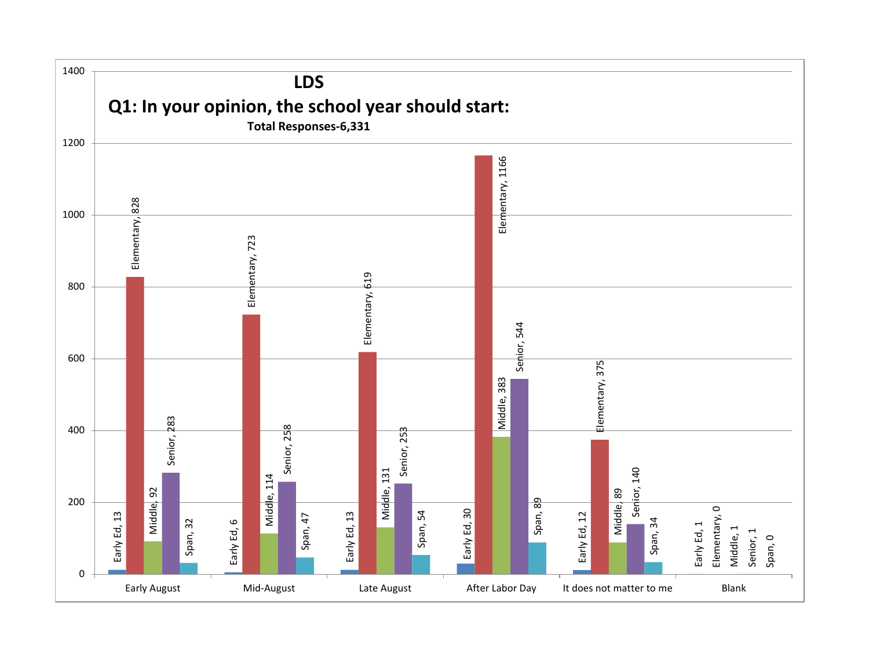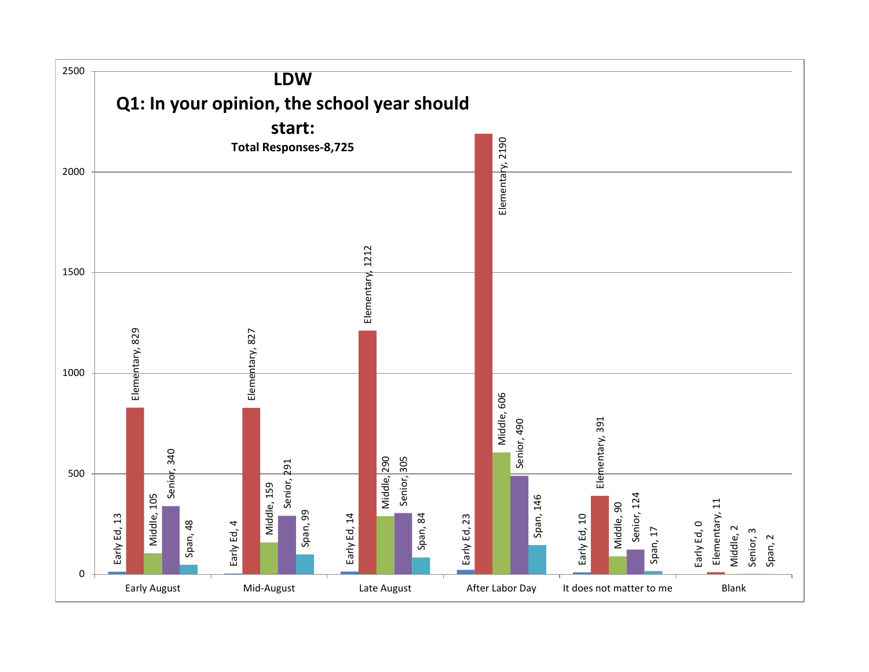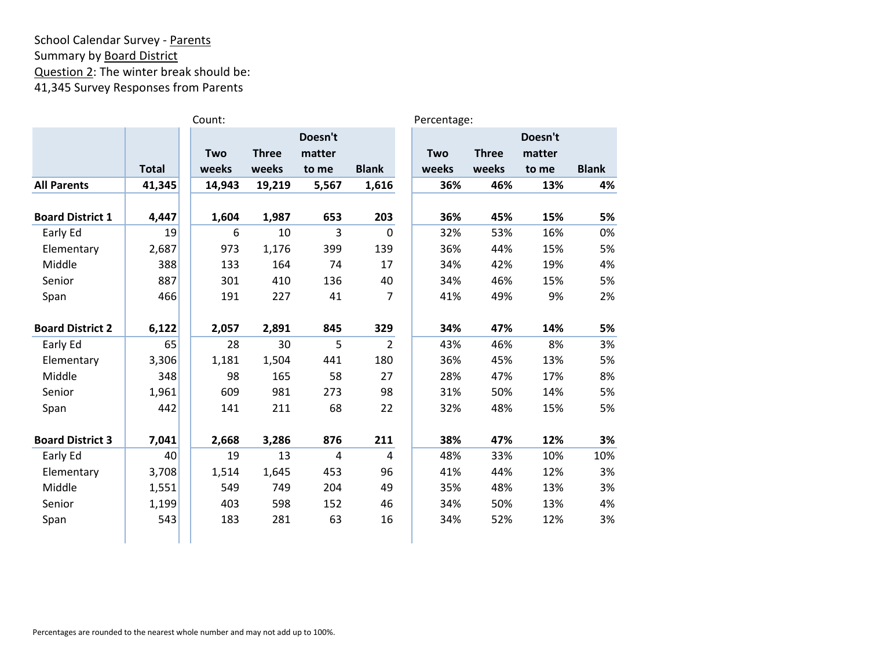# School Calendar Survey - Parents Summary by Board District Question 2: The winter break should be: 41,345 Survey Responses from Parents

|                         |              | Count: |              |         |                | Percentage: |              |         |              |
|-------------------------|--------------|--------|--------------|---------|----------------|-------------|--------------|---------|--------------|
|                         |              |        |              | Doesn't |                |             |              | Doesn't |              |
|                         |              | Two    | <b>Three</b> | matter  |                | Two         | <b>Three</b> | matter  |              |
|                         | <b>Total</b> | weeks  | weeks        | to me   | <b>Blank</b>   | weeks       | weeks        | to me   | <b>Blank</b> |
| <b>All Parents</b>      | 41,345       | 14,943 | 19,219       | 5,567   | 1,616          | 36%         | 46%          | 13%     | 4%           |
| <b>Board District 1</b> | 4,447        | 1,604  | 1,987        | 653     | 203            | 36%         | 45%          | 15%     | 5%           |
| Early Ed                | 19           | 6      | 10           | 3       | $\mathbf 0$    | 32%         | 53%          | 16%     | 0%           |
| Elementary              | 2,687        | 973    | 1,176        | 399     | 139            | 36%         | 44%          | 15%     | 5%           |
| Middle                  | 388          | 133    | 164          | 74      | 17             | 34%         | 42%          | 19%     | 4%           |
| Senior                  | 887          | 301    | 410          | 136     | 40             | 34%         | 46%          | 15%     | 5%           |
| Span                    | 466          | 191    | 227          | 41      | $\overline{7}$ | 41%         | 49%          | 9%      | 2%           |
| <b>Board District 2</b> | 6,122        | 2,057  | 2,891        | 845     | 329            | 34%         | 47%          | 14%     | 5%           |
| Early Ed                | 65           | 28     | 30           | 5       | $\overline{2}$ | 43%         | 46%          | 8%      | 3%           |
| Elementary              | 3,306        | 1,181  | 1,504        | 441     | 180            | 36%         | 45%          | 13%     | 5%           |
| Middle                  | 348          | 98     | 165          | 58      | 27             | 28%         | 47%          | 17%     | 8%           |
| Senior                  | 1,961        | 609    | 981          | 273     | 98             | 31%         | 50%          | 14%     | 5%           |
| Span                    | 442          | 141    | 211          | 68      | 22             | 32%         | 48%          | 15%     | 5%           |
| <b>Board District 3</b> | 7,041        | 2,668  | 3,286        | 876     | 211            | 38%         | 47%          | 12%     | 3%           |
| Early Ed                | 40           | 19     | 13           | 4       | 4              | 48%         | 33%          | 10%     | 10%          |
| Elementary              | 3,708        | 1,514  | 1,645        | 453     | 96             | 41%         | 44%          | 12%     | 3%           |
| Middle                  | 1,551        | 549    | 749          | 204     | 49             | 35%         | 48%          | 13%     | 3%           |
| Senior                  | 1,199        | 403    | 598          | 152     | 46             | 34%         | 50%          | 13%     | 4%           |
| Span                    | 543          | 183    | 281          | 63      | 16             | 34%         | 52%          | 12%     | 3%           |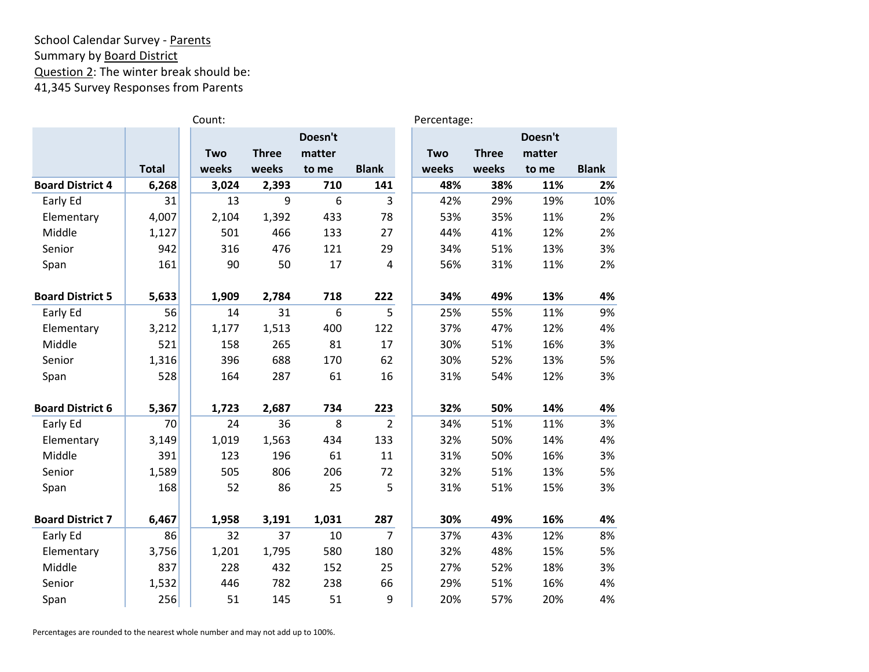### School Calendar Survey - Parents Summary by Board District Question 2: The winter break should be: 41,345 Survey Responses from Parents

|                         |              | Count: |              |         |                | Percentage: |              |         |              |
|-------------------------|--------------|--------|--------------|---------|----------------|-------------|--------------|---------|--------------|
|                         |              |        |              | Doesn't |                |             |              | Doesn't |              |
|                         |              | Two    | <b>Three</b> | matter  |                | Two         | <b>Three</b> | matter  |              |
|                         | <b>Total</b> | weeks  | weeks        | to me   | <b>Blank</b>   | weeks       | weeks        | to me   | <b>Blank</b> |
| <b>Board District 4</b> | 6,268        | 3,024  | 2,393        | 710     | 141            | 48%         | 38%          | 11%     | 2%           |
| Early Ed                | 31           | 13     | 9            | 6       | $\overline{3}$ | 42%         | 29%          | 19%     | 10%          |
| Elementary              | 4,007        | 2,104  | 1,392        | 433     | 78             | 53%         | 35%          | 11%     | 2%           |
| Middle                  | 1,127        | 501    | 466          | 133     | 27             | 44%         | 41%          | 12%     | 2%           |
| Senior                  | 942          | 316    | 476          | 121     | 29             | 34%         | 51%          | 13%     | 3%           |
| Span                    | 161          | 90     | 50           | 17      | $\overline{4}$ | 56%         | 31%          | 11%     | 2%           |
| <b>Board District 5</b> | 5,633        | 1,909  | 2,784        | 718     | 222            | 34%         | 49%          | 13%     | 4%           |
| Early Ed                | 56           | 14     | 31           | 6       | 5              | 25%         | 55%          | 11%     | 9%           |
| Elementary              | 3,212        | 1,177  | 1,513        | 400     | 122            | 37%         | 47%          | 12%     | 4%           |
| Middle                  | 521          | 158    | 265          | 81      | 17             | 30%         | 51%          | 16%     | 3%           |
| Senior                  | 1,316        | 396    | 688          | 170     | 62             | 30%         | 52%          | 13%     | 5%           |
| Span                    | 528          | 164    | 287          | 61      | 16             | 31%         | 54%          | 12%     | 3%           |
| <b>Board District 6</b> | 5,367        | 1,723  | 2,687        | 734     | 223            | 32%         | 50%          | 14%     | 4%           |
| Early Ed                | 70           | 24     | 36           | 8       | $\overline{2}$ | 34%         | 51%          | 11%     | 3%           |
| Elementary              | 3,149        | 1,019  | 1,563        | 434     | 133            | 32%         | 50%          | 14%     | 4%           |
| Middle                  | 391          | 123    | 196          | 61      | 11             | 31%         | 50%          | 16%     | 3%           |
| Senior                  | 1,589        | 505    | 806          | 206     | 72             | 32%         | 51%          | 13%     | 5%           |
| Span                    | 168          | 52     | 86           | 25      | 5              | 31%         | 51%          | 15%     | 3%           |
| <b>Board District 7</b> | 6,467        | 1,958  | 3,191        | 1,031   | 287            | 30%         | 49%          | 16%     | 4%           |
| Early Ed                | 86           | 32     | 37           | 10      | $\overline{7}$ | 37%         | 43%          | 12%     | 8%           |
| Elementary              | 3,756        | 1,201  | 1,795        | 580     | 180            | 32%         | 48%          | 15%     | 5%           |
| Middle                  | 837          | 228    | 432          | 152     | 25             | 27%         | 52%          | 18%     | 3%           |
| Senior                  | 1,532        | 446    | 782          | 238     | 66             | 29%         | 51%          | 16%     | 4%           |
| Span                    | 256          | 51     | 145          | 51      | 9              | 20%         | 57%          | 20%     | 4%           |

Percentages are rounded to the nearest whole number and may not add up to 100%.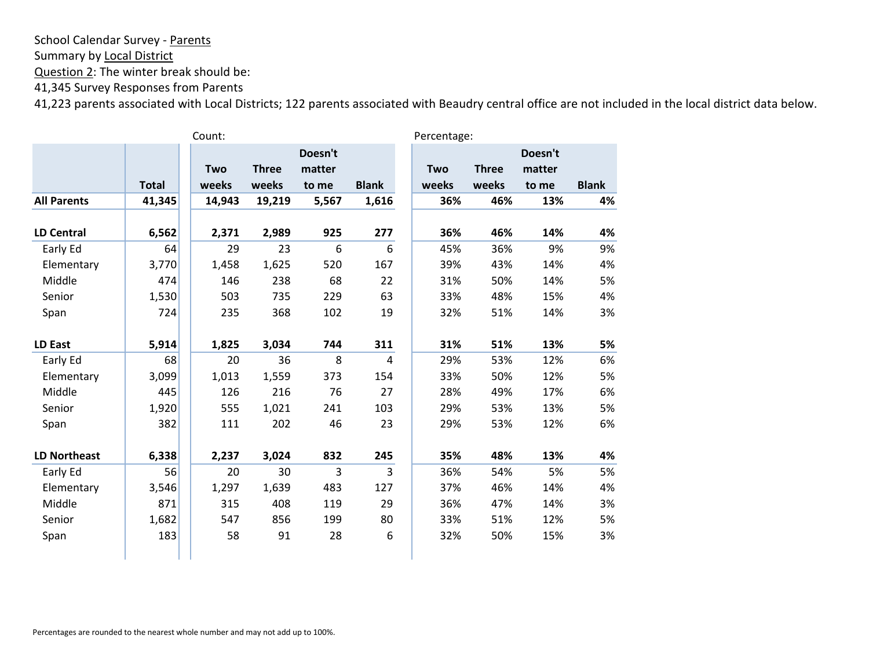Summary by Local District

Question 2: The winter break should be:

41,345 Survey Responses from Parents

|                     |              | Count: |              |         |              | Percentage: |              |         |              |
|---------------------|--------------|--------|--------------|---------|--------------|-------------|--------------|---------|--------------|
|                     |              |        |              | Doesn't |              |             |              | Doesn't |              |
|                     |              | Two    | <b>Three</b> | matter  |              | Two         | <b>Three</b> | matter  |              |
|                     | <b>Total</b> | weeks  | weeks        | to me   | <b>Blank</b> | weeks       | weeks        | to me   | <b>Blank</b> |
| <b>All Parents</b>  | 41,345       | 14,943 | 19,219       | 5,567   | 1,616        | 36%         | 46%          | 13%     | 4%           |
|                     |              |        |              |         |              |             |              |         |              |
| <b>LD Central</b>   | 6,562        | 2,371  | 2,989        | 925     | 277          | 36%         | 46%          | 14%     | 4%           |
| Early Ed            | 64           | 29     | 23           | 6       | 6            | 45%         | 36%          | 9%      | 9%           |
| Elementary          | 3,770        | 1,458  | 1,625        | 520     | 167          | 39%         | 43%          | 14%     | 4%           |
| Middle              | 474          | 146    | 238          | 68      | 22           | 31%         | 50%          | 14%     | 5%           |
| Senior              | 1,530        | 503    | 735          | 229     | 63           | 33%         | 48%          | 15%     | 4%           |
| Span                | 724          | 235    | 368          | 102     | 19           | 32%         | 51%          | 14%     | 3%           |
|                     |              |        |              |         |              |             |              |         |              |
| <b>LD East</b>      | 5,914        | 1,825  | 3,034        | 744     | 311          | 31%         | 51%          | 13%     | 5%           |
| Early Ed            | 68           | 20     | 36           | 8       | 4            | 29%         | 53%          | 12%     | 6%           |
| Elementary          | 3,099        | 1,013  | 1,559        | 373     | 154          | 33%         | 50%          | 12%     | 5%           |
| Middle              | 445          | 126    | 216          | 76      | 27           | 28%         | 49%          | 17%     | 6%           |
| Senior              | 1,920        | 555    | 1,021        | 241     | 103          | 29%         | 53%          | 13%     | 5%           |
| Span                | 382          | 111    | 202          | 46      | 23           | 29%         | 53%          | 12%     | 6%           |
|                     |              |        |              |         |              |             |              |         |              |
| <b>LD Northeast</b> | 6,338        | 2,237  | 3,024        | 832     | 245          | 35%         | 48%          | 13%     | 4%           |
| Early Ed            | 56           | 20     | 30           | 3       | 3            | 36%         | 54%          | 5%      | 5%           |
| Elementary          | 3,546        | 1,297  | 1,639        | 483     | 127          | 37%         | 46%          | 14%     | 4%           |
| Middle              | 871          | 315    | 408          | 119     | 29           | 36%         | 47%          | 14%     | 3%           |
| Senior              | 1,682        | 547    | 856          | 199     | 80           | 33%         | 51%          | 12%     | 5%           |
| Span                | 183          | 58     | 91           | 28      | 6            | 32%         | 50%          | 15%     | 3%           |
|                     |              |        |              |         |              |             |              |         |              |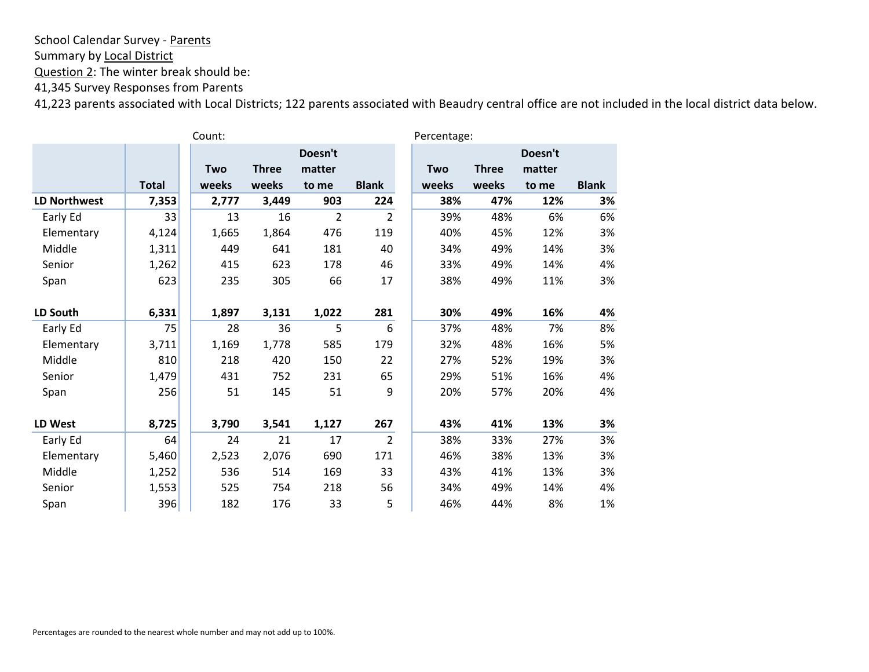Summary by Local District

Question 2: The winter break should be:

41,345 Survey Responses from Parents

|                     |              | Count: |              |                   |                | Percentage: |              |                   |              |  |
|---------------------|--------------|--------|--------------|-------------------|----------------|-------------|--------------|-------------------|--------------|--|
|                     |              | Two    | <b>Three</b> | Doesn't<br>matter |                | Two         | <b>Three</b> | Doesn't<br>matter |              |  |
|                     | <b>Total</b> | weeks  | weeks        | to me             | <b>Blank</b>   | weeks       | weeks        | to me             | <b>Blank</b> |  |
| <b>LD Northwest</b> | 7,353        | 2,777  | 3,449        | 903               | 224            | 38%         | 47%          | 12%               | 3%           |  |
| Early Ed            | 33           | 13     | 16           | $\overline{2}$    | $\overline{2}$ | 39%         | 48%          | 6%                | 6%           |  |
| Elementary          | 4,124        | 1,665  | 1,864        | 476               | 119            | 40%         | 45%          | 12%               | 3%           |  |
| Middle              | 1,311        | 449    | 641          | 181               | 40             | 34%         | 49%          | 14%               | 3%           |  |
| Senior              | 1,262        | 415    | 623          | 178               | 46             | 33%         | 49%          | 14%               | 4%           |  |
| Span                | 623          | 235    | 305          | 66                | 17             | 38%         | 49%          | 11%               | 3%           |  |
|                     |              |        |              |                   |                |             |              |                   |              |  |
| LD South            | 6,331        | 1,897  | 3,131        | 1,022             | 281            | 30%         | 49%          | 16%               | 4%           |  |
| Early Ed            | 75           | 28     | 36           | 5                 | 6              | 37%         | 48%          | 7%                | 8%           |  |
| Elementary          | 3,711        | 1,169  | 1,778        | 585               | 179            | 32%         | 48%          | 16%               | 5%           |  |
| Middle              | 810          | 218    | 420          | 150               | 22             | 27%         | 52%          | 19%               | 3%           |  |
| Senior              | 1,479        | 431    | 752          | 231               | 65             | 29%         | 51%          | 16%               | 4%           |  |
| Span                | 256          | 51     | 145          | 51                | 9              | 20%         | 57%          | 20%               | 4%           |  |
|                     |              |        |              |                   |                |             |              |                   |              |  |
| LD West             | 8,725        | 3,790  | 3,541        | 1,127             | 267            | 43%         | 41%          | 13%               | 3%           |  |
| Early Ed            | 64           | 24     | 21           | 17                | $\overline{2}$ | 38%         | 33%          | 27%               | 3%           |  |
| Elementary          | 5,460        | 2,523  | 2,076        | 690               | 171            | 46%         | 38%          | 13%               | 3%           |  |
| Middle              | 1,252        | 536    | 514          | 169               | 33             | 43%         | 41%          | 13%               | 3%           |  |
| Senior              | 1,553        | 525    | 754          | 218               | 56             | 34%         | 49%          | 14%               | 4%           |  |
| Span                | 396          | 182    | 176          | 33                | 5              | 46%         | 44%          | 8%                | 1%           |  |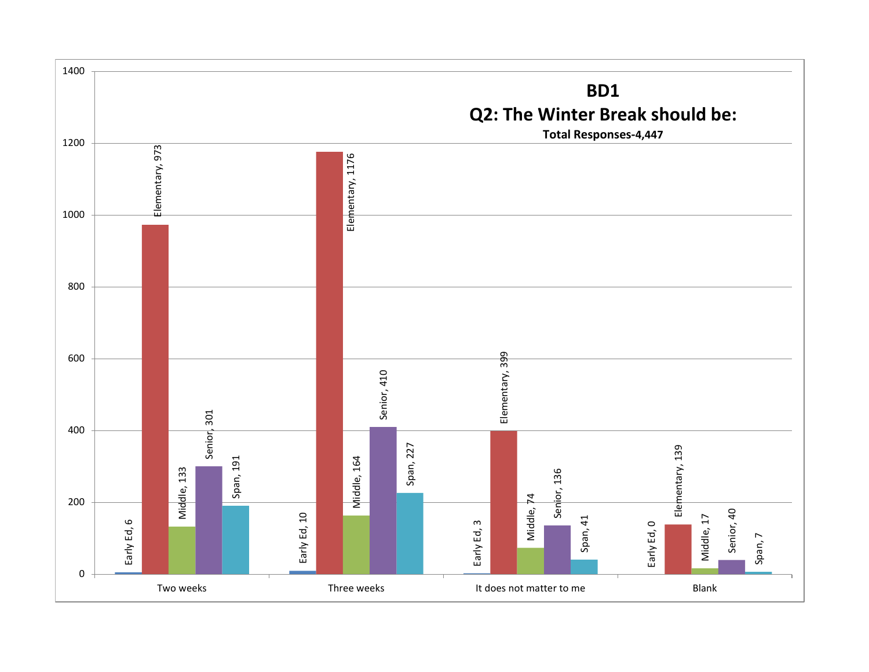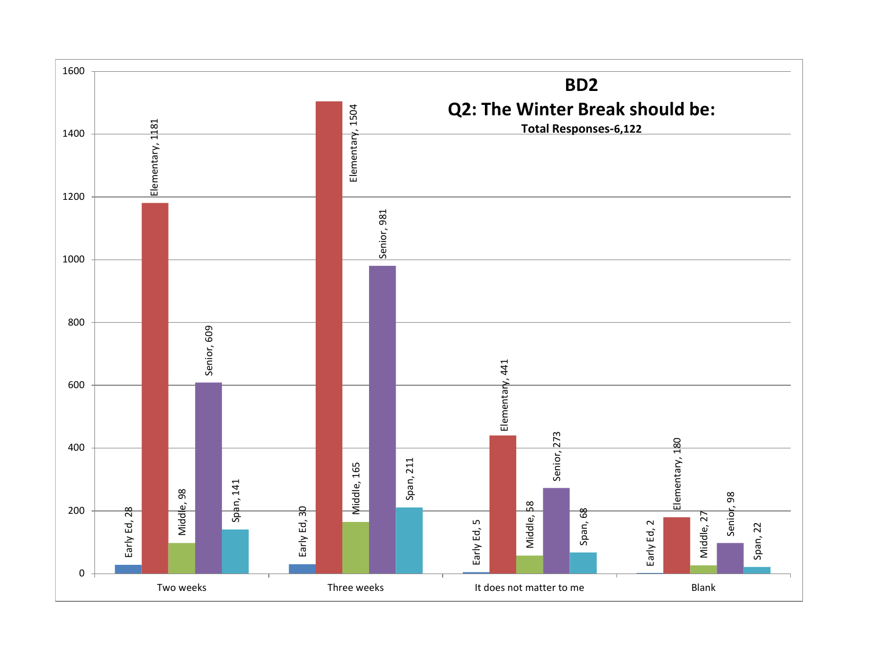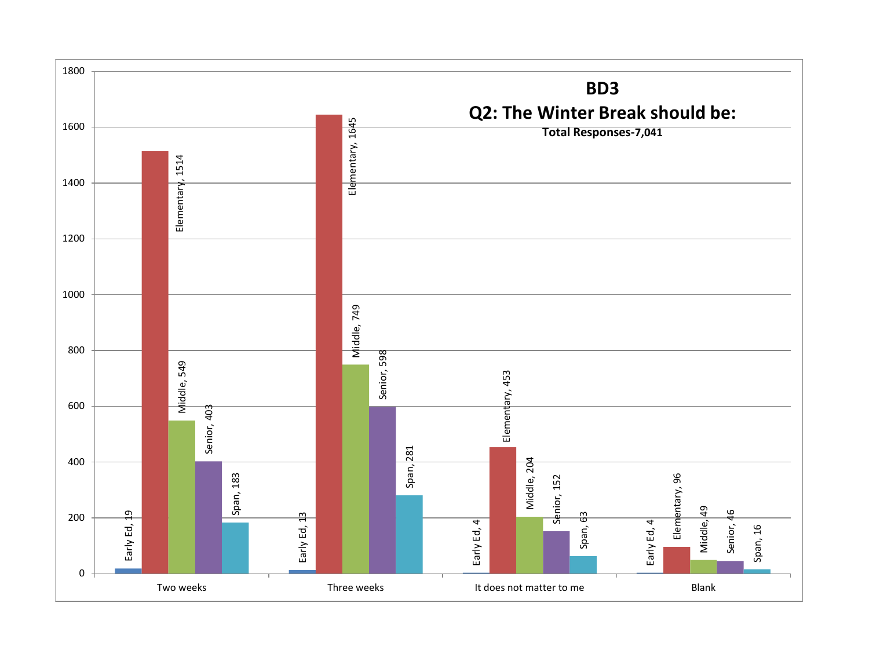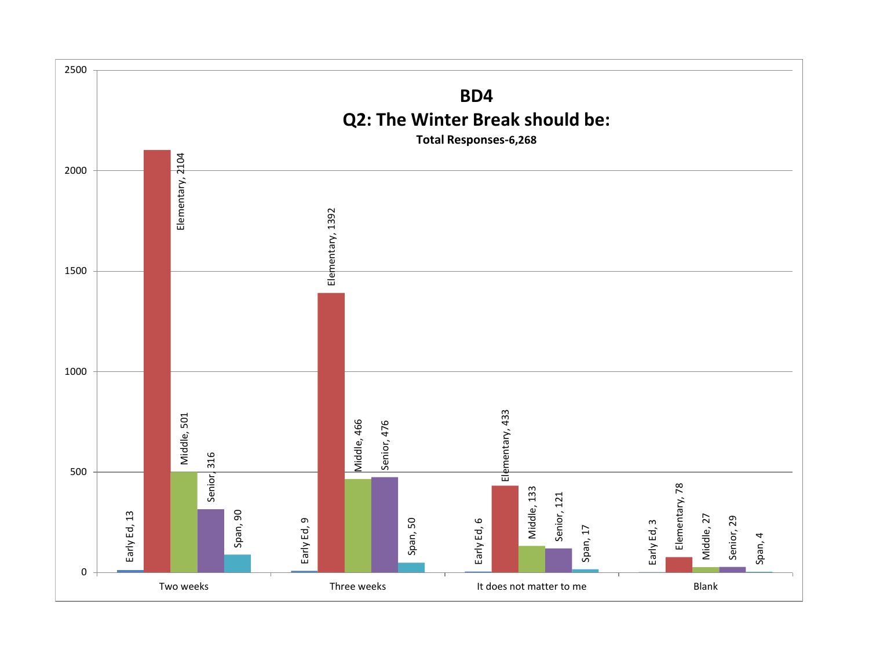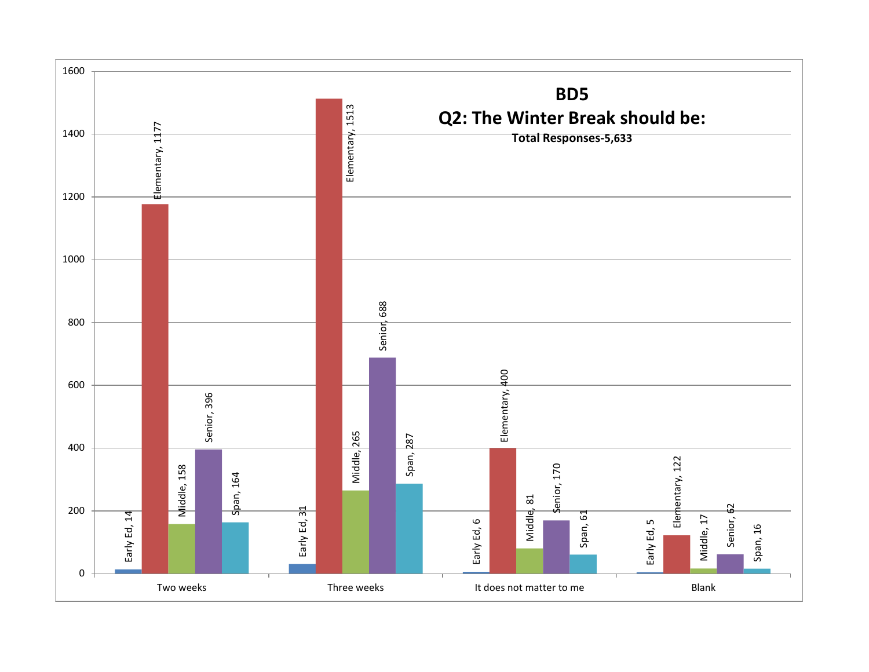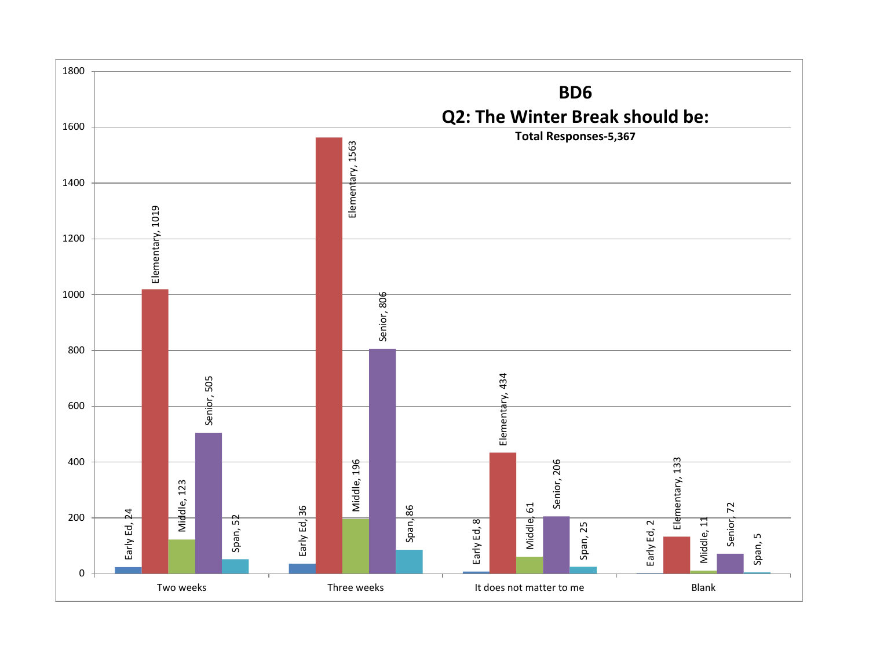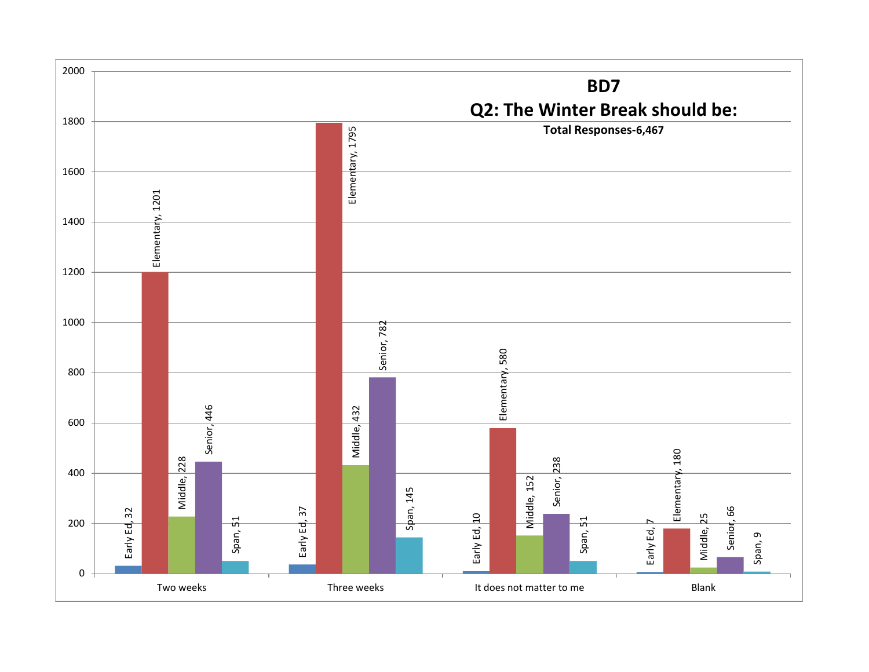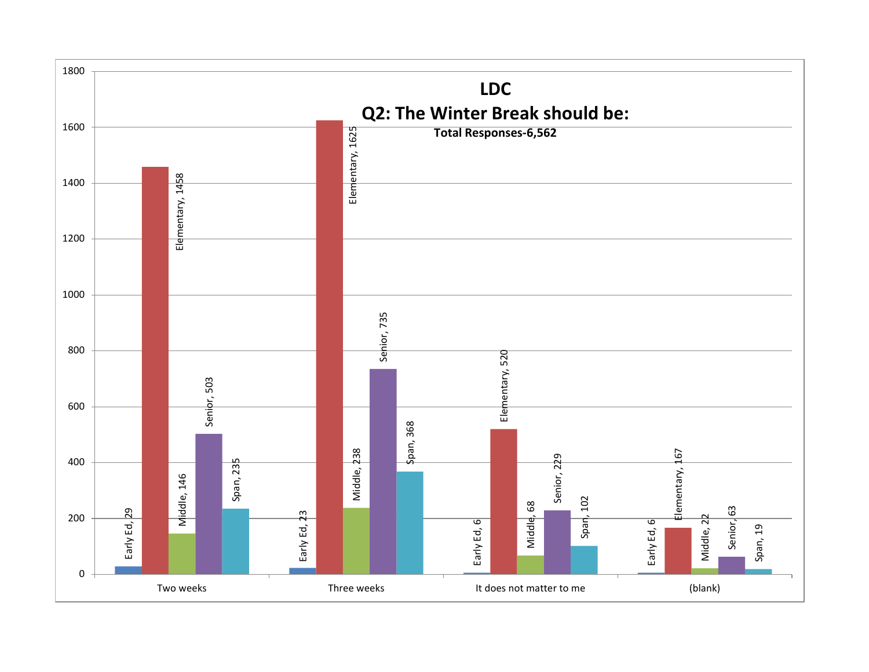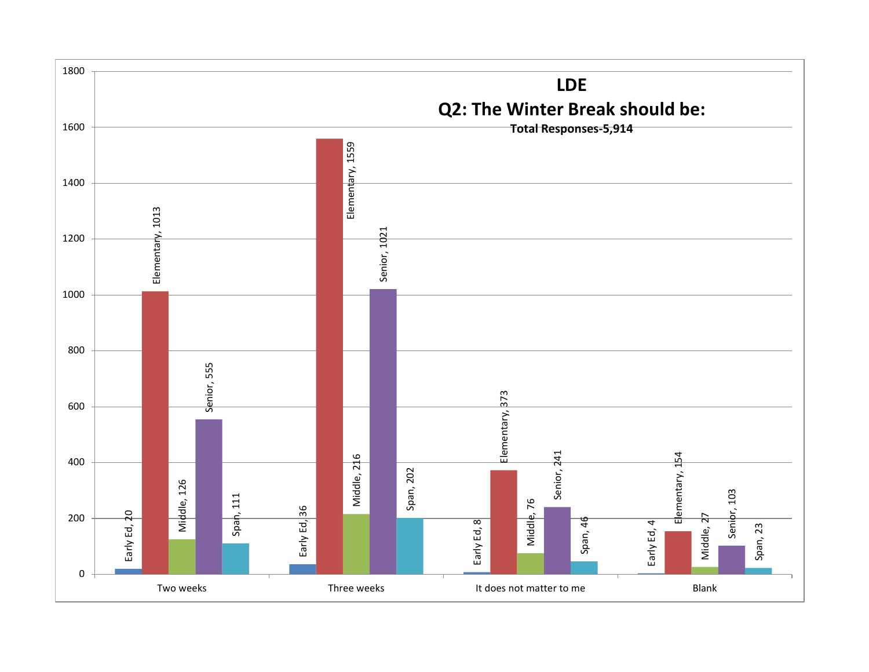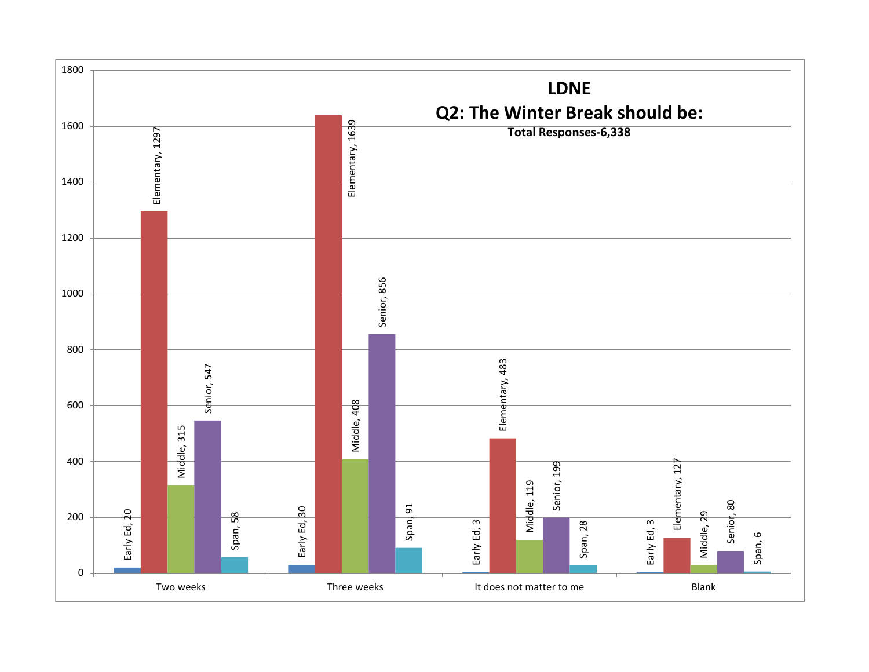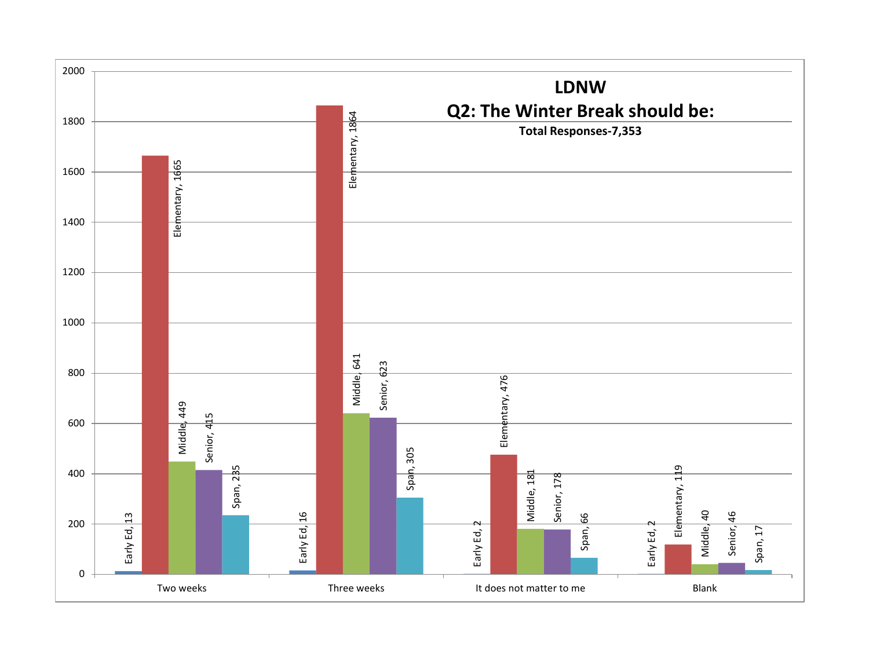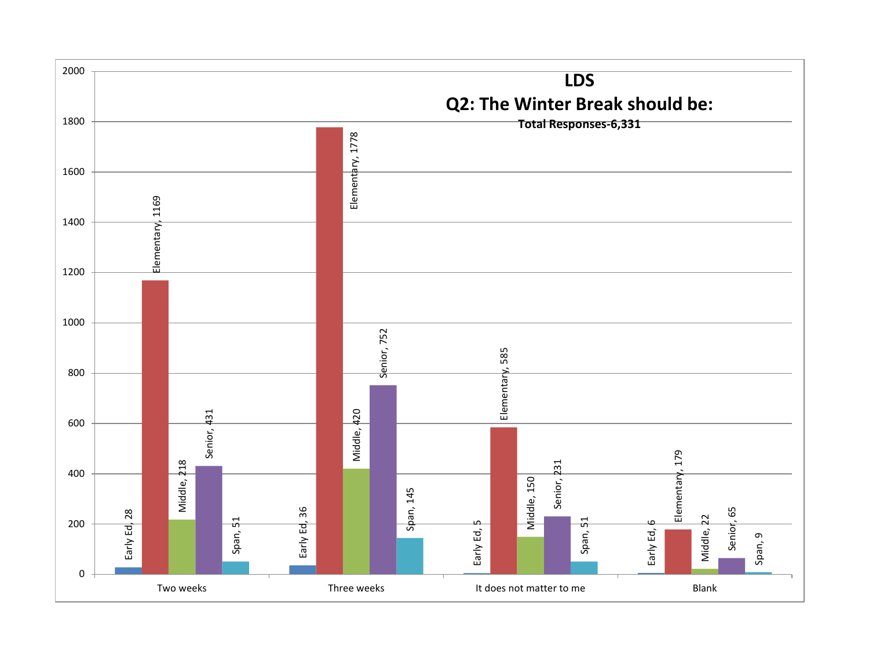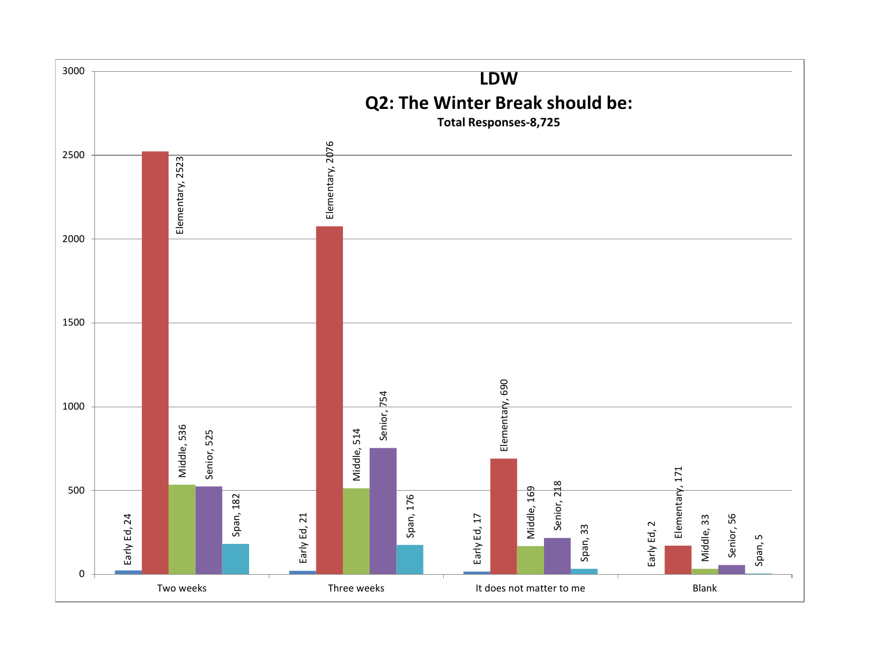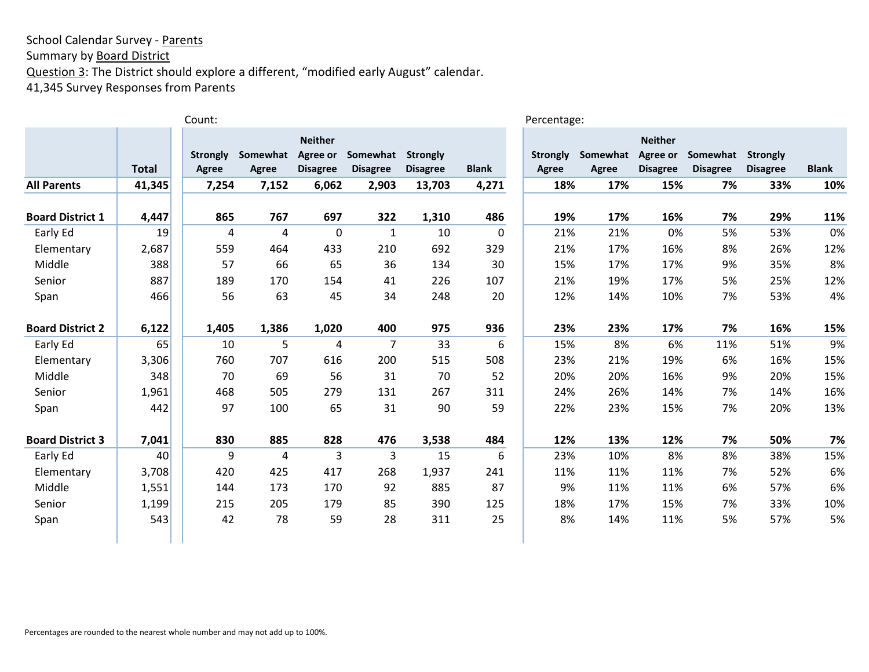Summary by **Board District** 

Question 3: The District should explore a different, "modified early August" calendar.

41,345 Survey Responses from Parents

|                         |              | Count:                   |                   |                                               |                             |                             |              | Percentage:                     |                   |                                               |                             |                                    |              |
|-------------------------|--------------|--------------------------|-------------------|-----------------------------------------------|-----------------------------|-----------------------------|--------------|---------------------------------|-------------------|-----------------------------------------------|-----------------------------|------------------------------------|--------------|
|                         | <b>Total</b> | <b>Strongly</b><br>Agree | Somewhat<br>Agree | <b>Neither</b><br>Agree or<br><b>Disagree</b> | Somewhat<br><b>Disagree</b> | Strongly<br><b>Disagree</b> | <b>Blank</b> | <b>Strongly</b><br><b>Agree</b> | Somewhat<br>Agree | <b>Neither</b><br>Agree or<br><b>Disagree</b> | Somewhat<br><b>Disagree</b> | <b>Strongly</b><br><b>Disagree</b> | <b>Blank</b> |
| <b>All Parents</b>      | 41,345       | 7,254                    | 7,152             | 6,062                                         | 2,903                       | 13,703                      | 4,271        | 18%                             | 17%               | 15%                                           | 7%                          | 33%                                | 10%          |
| <b>Board District 1</b> | 4,447        | 865                      | 767               | 697                                           | 322                         | 1,310                       | 486          | 19%                             | 17%               | 16%                                           | 7%                          | 29%                                | 11%          |
| Early Ed                | 19           | 4                        | 4                 | 0                                             | $\mathbf{1}$                | 10                          | 0            | 21%                             | 21%               | 0%                                            | 5%                          | 53%                                | 0%           |
| Elementary              | 2,687        | 559                      | 464               | 433                                           | 210                         | 692                         | 329          | 21%                             | 17%               | 16%                                           | 8%                          | 26%                                | 12%          |
| Middle                  | 388          | 57                       | 66                | 65                                            | 36                          | 134                         | 30           | 15%                             | 17%               | 17%                                           | 9%                          | 35%                                | 8%           |
| Senior                  | 887          | 189                      | 170               | 154                                           | 41                          | 226                         | 107          | 21%                             | 19%               | 17%                                           | 5%                          | 25%                                | 12%          |
| Span                    | 466          | 56                       | 63                | 45                                            | 34                          | 248                         | 20           | 12%                             | 14%               | 10%                                           | 7%                          | 53%                                | 4%           |
| <b>Board District 2</b> | 6,122        | 1,405                    | 1,386             | 1,020                                         | 400                         | 975                         | 936          | 23%                             | 23%               | 17%                                           | 7%                          | 16%                                | 15%          |
| Early Ed                | 65           | 10                       | 5                 | 4                                             | $\overline{7}$              | 33                          | 6            | 15%                             | 8%                | 6%                                            | 11%                         | 51%                                | 9%           |
| Elementary              | 3,306        | 760                      | 707               | 616                                           | 200                         | 515                         | 508          | 23%                             | 21%               | 19%                                           | 6%                          | 16%                                | 15%          |
| Middle                  | 348          | 70                       | 69                | 56                                            | 31                          | 70                          | 52           | 20%                             | 20%               | 16%                                           | 9%                          | 20%                                | 15%          |
| Senior                  | 1,961        | 468                      | 505               | 279                                           | 131                         | 267                         | 311          | 24%                             | 26%               | 14%                                           | 7%                          | 14%                                | 16%          |
| Span                    | 442          | 97                       | 100               | 65                                            | 31                          | 90                          | 59           | 22%                             | 23%               | 15%                                           | 7%                          | 20%                                | 13%          |
| <b>Board District 3</b> | 7,041        | 830                      | 885               | 828                                           | 476                         | 3,538                       | 484          | 12%                             | 13%               | 12%                                           | 7%                          | 50%                                | 7%           |
| Early Ed                | 40           | 9                        | 4                 | 3                                             | 3                           | 15                          | 6            | 23%                             | 10%               | 8%                                            | 8%                          | 38%                                | 15%          |
| Elementary              | 3,708        | 420                      | 425               | 417                                           | 268                         | 1,937                       | 241          | 11%                             | 11%               | 11%                                           | 7%                          | 52%                                | 6%           |
| Middle                  | 1,551        | 144                      | 173               | 170                                           | 92                          | 885                         | 87           | 9%                              | 11%               | 11%                                           | 6%                          | 57%                                | 6%           |
| Senior                  | 1,199        | 215                      | 205               | 179                                           | 85                          | 390                         | 125          | 18%                             | 17%               | 15%                                           | 7%                          | 33%                                | 10%          |
| Span                    | 543          | 42                       | 78                | 59                                            | 28                          | 311                         | 25           | 8%                              | 14%               | 11%                                           | 5%                          | 57%                                | 5%           |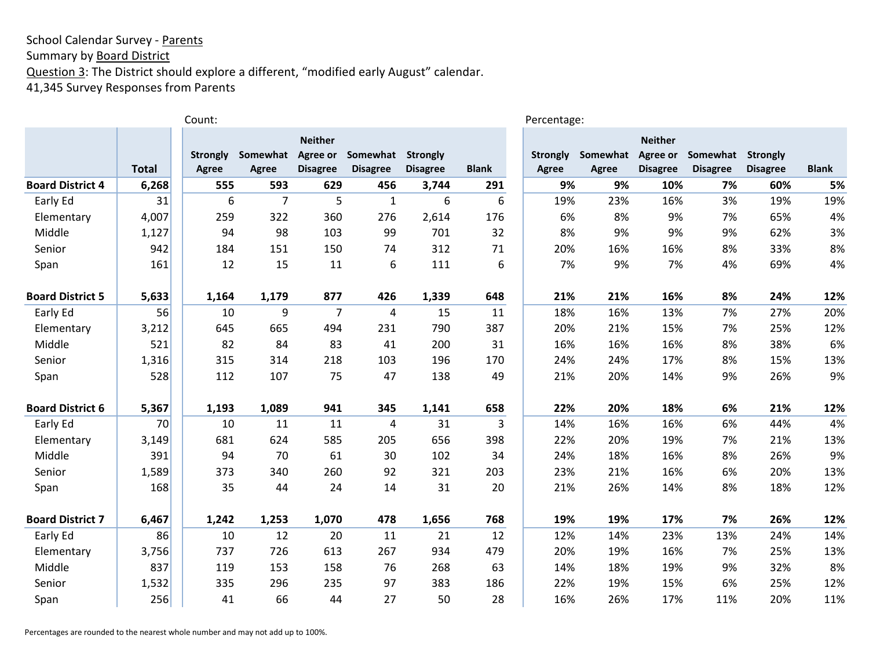Summary by **Board District** 

Question 3: The District should explore a different, "modified early August" calendar.

41,345 Survey Responses from Parents

|                         |              | Count:          |                |                 |                 |                 |              | Percentage:     |          |                 |                   |                 |              |
|-------------------------|--------------|-----------------|----------------|-----------------|-----------------|-----------------|--------------|-----------------|----------|-----------------|-------------------|-----------------|--------------|
|                         |              |                 |                | <b>Neither</b>  |                 |                 |              |                 |          | <b>Neither</b>  |                   |                 |              |
|                         |              | <b>Strongly</b> | Somewhat       | Agree or        | Somewhat        | <b>Strongly</b> |              | <b>Strongly</b> | Somewhat | Agree or        | Somewhat Strongly |                 |              |
|                         | <b>Total</b> | Agree           | Agree          | <b>Disagree</b> | <b>Disagree</b> | <b>Disagree</b> | <b>Blank</b> | Agree           | Agree    | <b>Disagree</b> | <b>Disagree</b>   | <b>Disagree</b> | <b>Blank</b> |
| <b>Board District 4</b> | 6,268        | 555             | 593            | 629             | 456             | 3,744           | 291          | 9%              | 9%       | 10%             | 7%                | 60%             | 5%           |
| Early Ed                | 31           | 6               | $\overline{7}$ | 5               | 1               | 6               | 6            | 19%             | 23%      | 16%             | 3%                | 19%             | 19%          |
| Elementary              | 4,007        | 259             | 322            | 360             | 276             | 2,614           | 176          | 6%              | 8%       | 9%              | 7%                | 65%             | 4%           |
| Middle                  | 1,127        | 94              | 98             | 103             | 99              | 701             | 32           | 8%              | 9%       | 9%              | 9%                | 62%             | 3%           |
| Senior                  | 942          | 184             | 151            | 150             | 74              | 312             | 71           | 20%             | 16%      | 16%             | 8%                | 33%             | 8%           |
| Span                    | 161          | 12              | 15             | 11              | 6               | 111             | 6            | 7%              | 9%       | 7%              | 4%                | 69%             | 4%           |
| <b>Board District 5</b> | 5,633        | 1,164           | 1,179          | 877             | 426             | 1,339           | 648          | 21%             | 21%      | 16%             | 8%                | 24%             | 12%          |
| Early Ed                | 56           | 10              | 9              | 7               | 4               | 15              | 11           | 18%             | 16%      | 13%             | 7%                | 27%             | 20%          |
| Elementary              | 3,212        | 645             | 665            | 494             | 231             | 790             | 387          | 20%             | 21%      | 15%             | 7%                | 25%             | 12%          |
| Middle                  | 521          | 82              | 84             | 83              | 41              | 200             | 31           | 16%             | 16%      | 16%             | 8%                | 38%             | 6%           |
| Senior                  | 1,316        | 315             | 314            | 218             | 103             | 196             | 170          | 24%             | 24%      | 17%             | 8%                | 15%             | 13%          |
| Span                    | 528          | 112             | 107            | 75              | 47              | 138             | 49           | 21%             | 20%      | 14%             | 9%                | 26%             | 9%           |
| <b>Board District 6</b> | 5,367        | 1,193           | 1,089          | 941             | 345             | 1,141           | 658          | 22%             | 20%      | 18%             | 6%                | 21%             | 12%          |
| Early Ed                | 70           | 10              | 11             | 11              | 4               | 31              | 3            | 14%             | 16%      | 16%             | 6%                | 44%             | 4%           |
| Elementary              | 3,149        | 681             | 624            | 585             | 205             | 656             | 398          | 22%             | 20%      | 19%             | 7%                | 21%             | 13%          |
| Middle                  | 391          | 94              | 70             | 61              | 30              | 102             | 34           | 24%             | 18%      | 16%             | 8%                | 26%             | 9%           |
| Senior                  | 1,589        | 373             | 340            | 260             | 92              | 321             | 203          | 23%             | 21%      | 16%             | 6%                | 20%             | 13%          |
| Span                    | 168          | 35              | 44             | 24              | 14              | 31              | 20           | 21%             | 26%      | 14%             | 8%                | 18%             | 12%          |
| <b>Board District 7</b> | 6,467        | 1,242           | 1,253          | 1,070           | 478             | 1,656           | 768          | 19%             | 19%      | 17%             | 7%                | 26%             | 12%          |
| Early Ed                | 86           | 10              | 12             | 20              | 11              | 21              | 12           | 12%             | 14%      | 23%             | 13%               | 24%             | 14%          |
| Elementary              | 3,756        | 737             | 726            | 613             | 267             | 934             | 479          | 20%             | 19%      | 16%             | 7%                | 25%             | 13%          |
| Middle                  | 837          | 119             | 153            | 158             | 76              | 268             | 63           | 14%             | 18%      | 19%             | 9%                | 32%             | 8%           |
| Senior                  | 1,532        | 335             | 296            | 235             | 97              | 383             | 186          | 22%             | 19%      | 15%             | 6%                | 25%             | 12%          |
| Span                    | 256          | 41              | 66             | 44              | 27              | 50              | 28           | 16%             | 26%      | 17%             | 11%               | 20%             | 11%          |

Percentages are rounded to the nearest whole number and may not add up to 100%.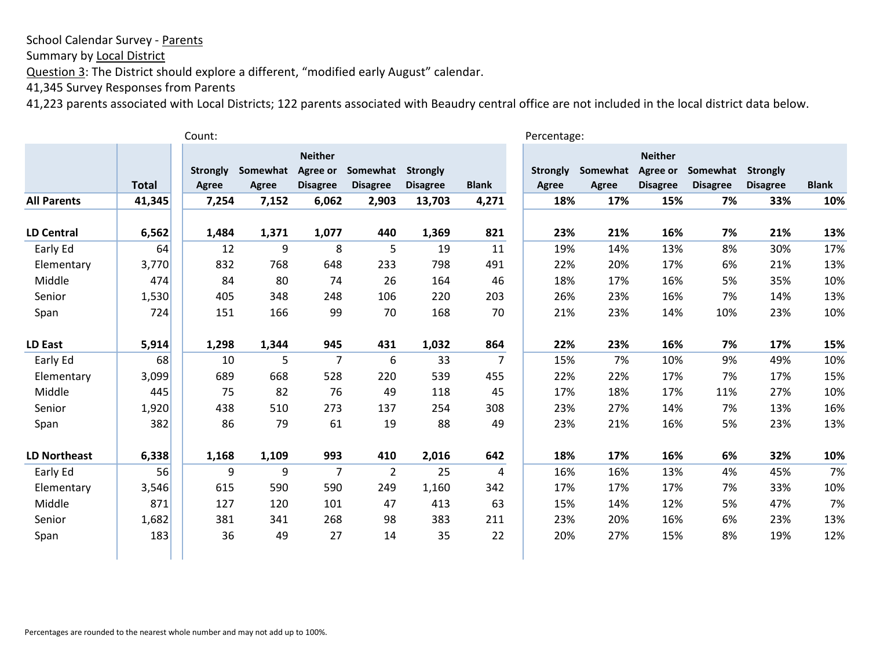Summary by Local District

Question 3: The District should explore a different, "modified early August" calendar.

41,345 Survey Responses from Parents

|                     |              | Count:                   |                   |                                               |                             |                                    |              | Percentage:                     |                   |                                                      |                             |                                    |              |
|---------------------|--------------|--------------------------|-------------------|-----------------------------------------------|-----------------------------|------------------------------------|--------------|---------------------------------|-------------------|------------------------------------------------------|-----------------------------|------------------------------------|--------------|
|                     | <b>Total</b> | <b>Strongly</b><br>Agree | Somewhat<br>Agree | <b>Neither</b><br>Agree or<br><b>Disagree</b> | Somewhat<br><b>Disagree</b> | <b>Strongly</b><br><b>Disagree</b> | <b>Blank</b> | <b>Strongly</b><br><b>Agree</b> | Somewhat<br>Agree | <b>Neither</b><br><b>Agree or</b><br><b>Disagree</b> | Somewhat<br><b>Disagree</b> | <b>Strongly</b><br><b>Disagree</b> | <b>Blank</b> |
| <b>All Parents</b>  | 41,345       | 7,254                    | 7,152             | 6,062                                         | 2,903                       | 13,703                             | 4,271        | 18%                             | 17%               | 15%                                                  | 7%                          | 33%                                | 10%          |
| <b>LD Central</b>   | 6,562        | 1,484                    | 1,371             | 1,077                                         | 440                         | 1,369                              | 821          | 23%                             | 21%               | 16%                                                  | 7%                          | 21%                                | 13%          |
| Early Ed            | 64           | 12                       | 9                 | 8                                             | 5                           | 19                                 | 11           | 19%                             | 14%               | 13%                                                  | 8%                          | 30%                                | 17%          |
| Elementary          | 3,770        | 832                      | 768               | 648                                           | 233                         | 798                                | 491          | 22%                             | 20%               | 17%                                                  | 6%                          | 21%                                | 13%          |
| Middle              | 474          | 84                       | 80                | 74                                            | 26                          | 164                                | 46           | 18%                             | 17%               | 16%                                                  | 5%                          | 35%                                | 10%          |
| Senior              | 1,530        | 405                      | 348               | 248                                           | 106                         | 220                                | 203          | 26%                             | 23%               | 16%                                                  | 7%                          | 14%                                | 13%          |
| Span                | 724          | 151                      | 166               | 99                                            | 70                          | 168                                | 70           | 21%                             | 23%               | 14%                                                  | 10%                         | 23%                                | 10%          |
| LD East             | 5,914        | 1,298                    | 1,344             | 945                                           | 431                         | 1,032                              | 864          | 22%                             | 23%               | 16%                                                  | 7%                          | 17%                                | 15%          |
| Early Ed            | 68           | 10                       | 5                 | 7                                             | 6                           | 33                                 | 7            | 15%                             | 7%                | 10%                                                  | 9%                          | 49%                                | 10%          |
| Elementary          | 3,099        | 689                      | 668               | 528                                           | 220                         | 539                                | 455          | 22%                             | 22%               | 17%                                                  | 7%                          | 17%                                | 15%          |
| Middle              | 445          | 75                       | 82                | 76                                            | 49                          | 118                                | 45           | 17%                             | 18%               | 17%                                                  | 11%                         | 27%                                | 10%          |
| Senior              | 1,920        | 438                      | 510               | 273                                           | 137                         | 254                                | 308          | 23%                             | 27%               | 14%                                                  | 7%                          | 13%                                | 16%          |
| Span                | 382          | 86                       | 79                | 61                                            | 19                          | 88                                 | 49           | 23%                             | 21%               | 16%                                                  | 5%                          | 23%                                | 13%          |
| <b>LD Northeast</b> | 6,338        | 1,168                    | 1,109             | 993                                           | 410                         | 2,016                              | 642          | 18%                             | 17%               | 16%                                                  | 6%                          | 32%                                | 10%          |
| Early Ed            | 56           | 9                        | 9                 | $\overline{7}$                                | $\overline{2}$              | 25                                 | 4            | 16%                             | 16%               | 13%                                                  | 4%                          | 45%                                | 7%           |
| Elementary          | 3,546        | 615                      | 590               | 590                                           | 249                         | 1,160                              | 342          | 17%                             | 17%               | 17%                                                  | 7%                          | 33%                                | 10%          |
| Middle              | 871          | 127                      | 120               | 101                                           | 47                          | 413                                | 63           | 15%                             | 14%               | 12%                                                  | 5%                          | 47%                                | 7%           |
| Senior              | 1,682        | 381                      | 341               | 268                                           | 98                          | 383                                | 211          | 23%                             | 20%               | 16%                                                  | 6%                          | 23%                                | 13%          |
| Span                | 183          | 36                       | 49                | 27                                            | 14                          | 35                                 | 22           | 20%                             | 27%               | 15%                                                  | 8%                          | 19%                                | 12%          |
|                     |              |                          |                   |                                               |                             |                                    |              |                                 |                   |                                                      |                             |                                    |              |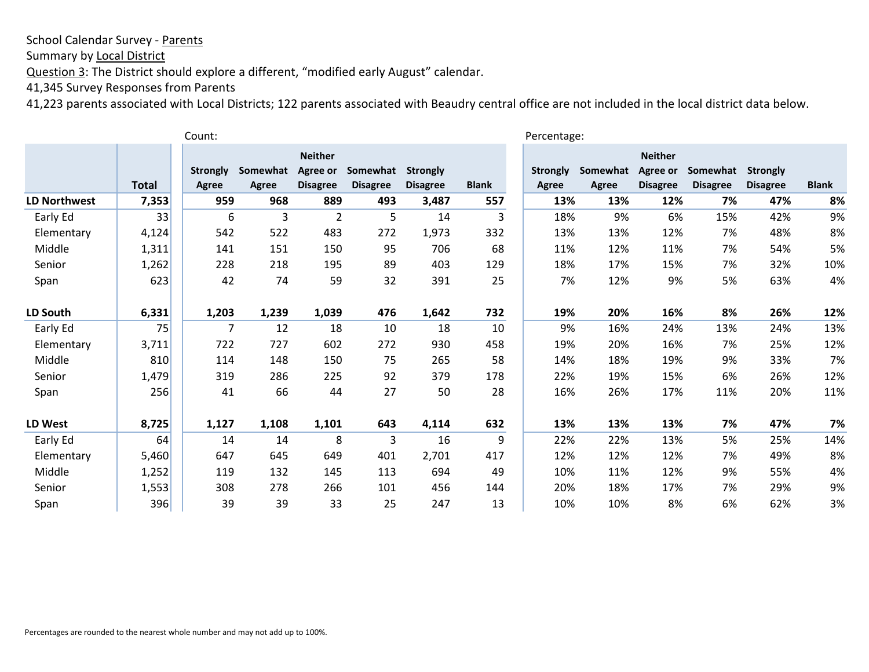Summary by Local District

Question 3: The District should explore a different, "modified early August" calendar.

41,345 Survey Responses from Parents

| Count:              |              |                 |          |                            |                 |                 |              |                 | Percentage: |                            |                 |                 |              |  |
|---------------------|--------------|-----------------|----------|----------------------------|-----------------|-----------------|--------------|-----------------|-------------|----------------------------|-----------------|-----------------|--------------|--|
|                     |              | <b>Strongly</b> | Somewhat | <b>Neither</b><br>Agree or | Somewhat        | <b>Strongly</b> |              | <b>Strongly</b> | Somewhat    | <b>Neither</b><br>Agree or | Somewhat        | <b>Strongly</b> |              |  |
|                     | <b>Total</b> | Agree           | Agree    | <b>Disagree</b>            | <b>Disagree</b> | <b>Disagree</b> | <b>Blank</b> | Agree           | Agree       | <b>Disagree</b>            | <b>Disagree</b> | <b>Disagree</b> | <b>Blank</b> |  |
| <b>LD Northwest</b> | 7,353        | 959             | 968      | 889                        | 493             | 3,487           | 557          | 13%             | 13%         | 12%                        | 7%              | 47%             | 8%           |  |
| Early Ed            | 33           | 6               | 3        | $\overline{2}$             | 5               | 14              | 3            | 18%             | 9%          | 6%                         | 15%             | 42%             | 9%           |  |
| Elementary          | 4,124        | 542             | 522      | 483                        | 272             | 1,973           | 332          | 13%             | 13%         | 12%                        | 7%              | 48%             | 8%           |  |
| Middle              | 1,311        | 141             | 151      | 150                        | 95              | 706             | 68           | 11%             | 12%         | 11%                        | 7%              | 54%             | 5%           |  |
| Senior              | 1,262        | 228             | 218      | 195                        | 89              | 403             | 129          | 18%             | 17%         | 15%                        | 7%              | 32%             | 10%          |  |
| Span                | 623          | 42              | 74       | 59                         | 32              | 391             | 25           | 7%              | 12%         | 9%                         | 5%              | 63%             | 4%           |  |
| LD South            | 6,331        | 1,203           | 1,239    | 1,039                      | 476             | 1,642           | 732          | 19%             | 20%         | 16%                        | 8%              | 26%             | 12%          |  |
| Early Ed            | 75           | 7               | 12       | 18                         | 10              | 18              | 10           | 9%              | 16%         | 24%                        | 13%             | 24%             | 13%          |  |
| Elementary          | 3,711        | 722             | 727      | 602                        | 272             | 930             | 458          | 19%             | 20%         | 16%                        | 7%              | 25%             | 12%          |  |
| Middle              | 810          | 114             | 148      | 150                        | 75              | 265             | 58           | 14%             | 18%         | 19%                        | 9%              | 33%             | 7%           |  |
| Senior              | 1,479        | 319             | 286      | 225                        | 92              | 379             | 178          | 22%             | 19%         | 15%                        | 6%              | 26%             | 12%          |  |
| Span                | 256          | 41              | 66       | 44                         | 27              | 50              | 28           | 16%             | 26%         | 17%                        | 11%             | 20%             | 11%          |  |
| LD West             | 8,725        | 1,127           | 1,108    | 1,101                      | 643             | 4,114           | 632          | 13%             | 13%         | 13%                        | 7%              | 47%             | 7%           |  |
| Early Ed            | 64           | 14              | 14       | 8                          | 3               | 16              | 9            | 22%             | 22%         | 13%                        | 5%              | 25%             | 14%          |  |
| Elementary          | 5,460        | 647             | 645      | 649                        | 401             | 2,701           | 417          | 12%             | 12%         | 12%                        | 7%              | 49%             | 8%           |  |
| Middle              | 1,252        | 119             | 132      | 145                        | 113             | 694             | 49           | 10%             | 11%         | 12%                        | 9%              | 55%             | 4%           |  |
| Senior              | 1,553        | 308             | 278      | 266                        | 101             | 456             | 144          | 20%             | 18%         | 17%                        | 7%              | 29%             | 9%           |  |
| Span                | 396          | 39              | 39       | 33                         | 25              | 247             | 13           | 10%             | 10%         | 8%                         | 6%              | 62%             | 3%           |  |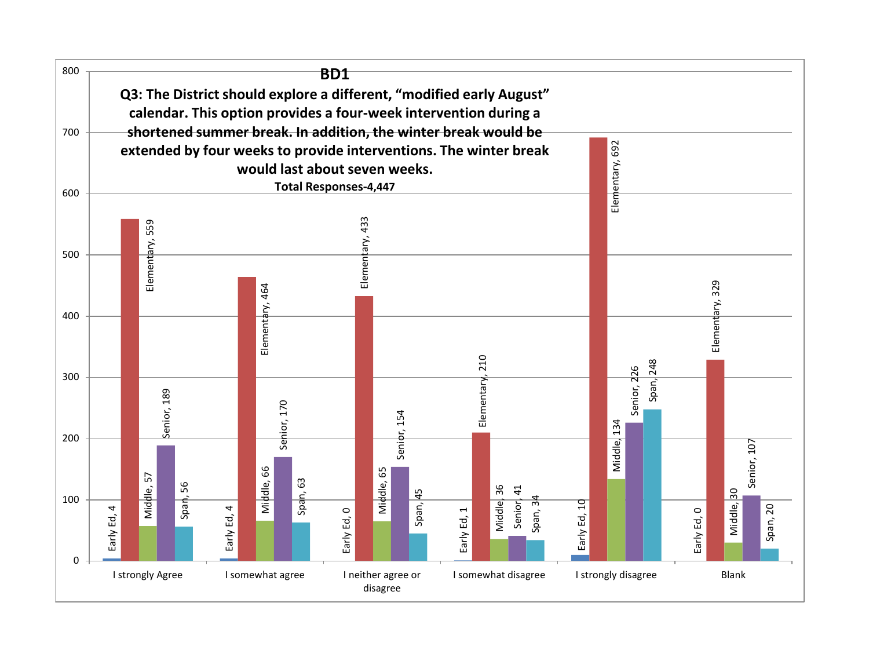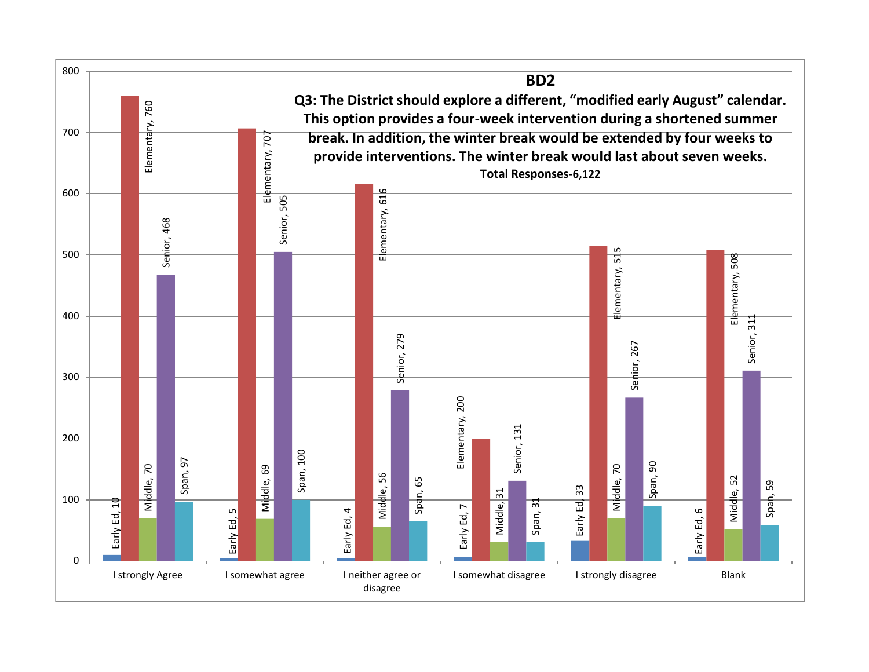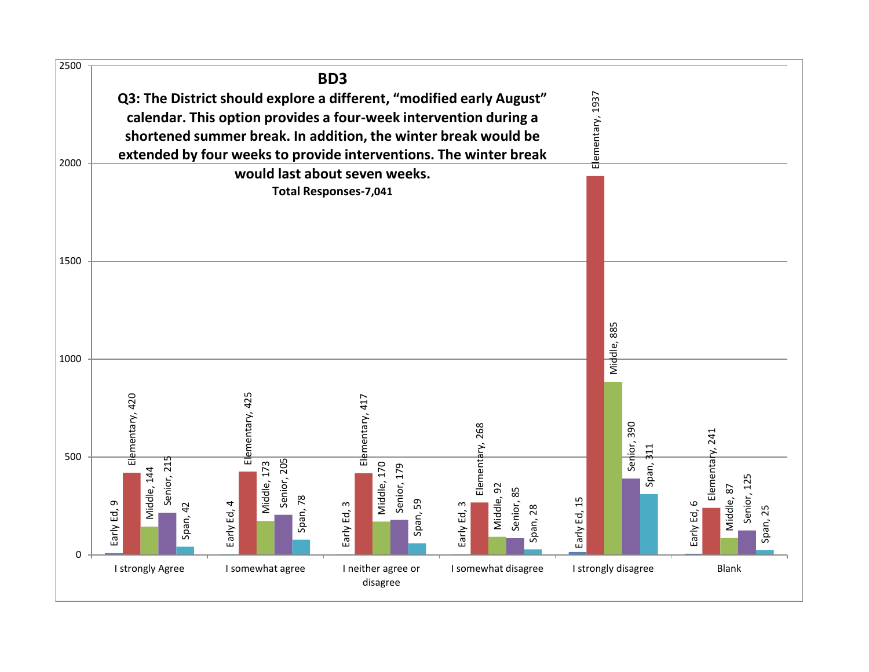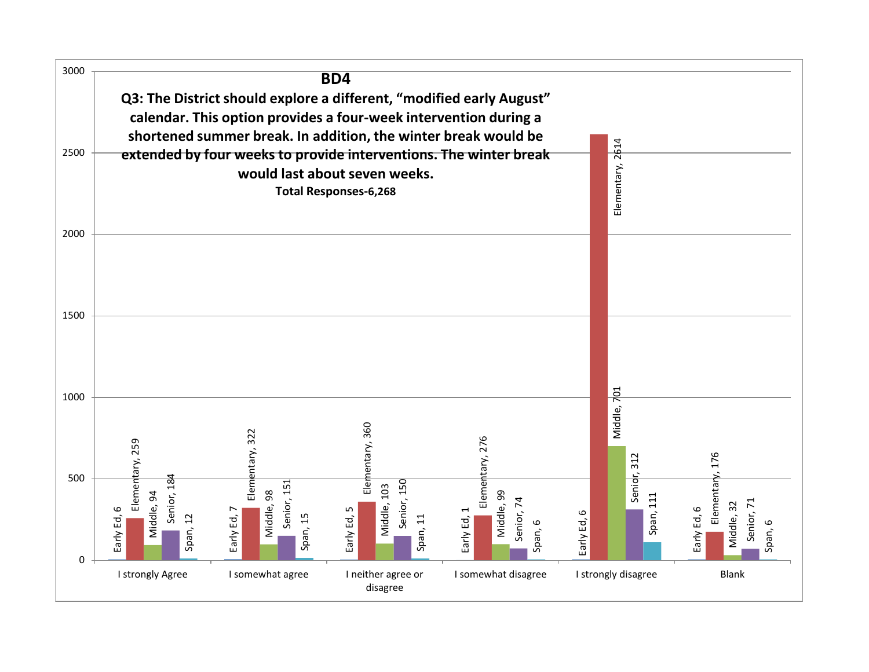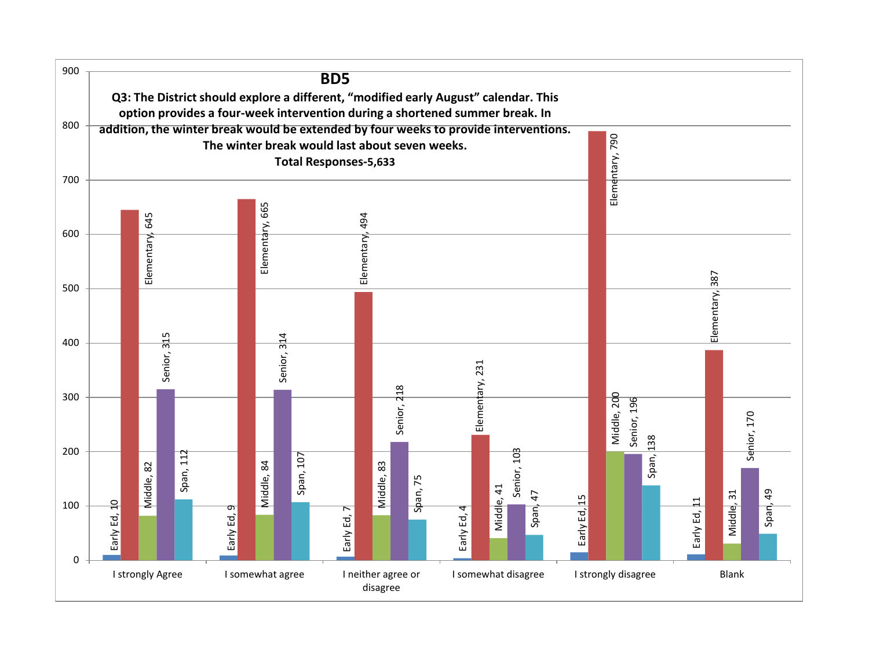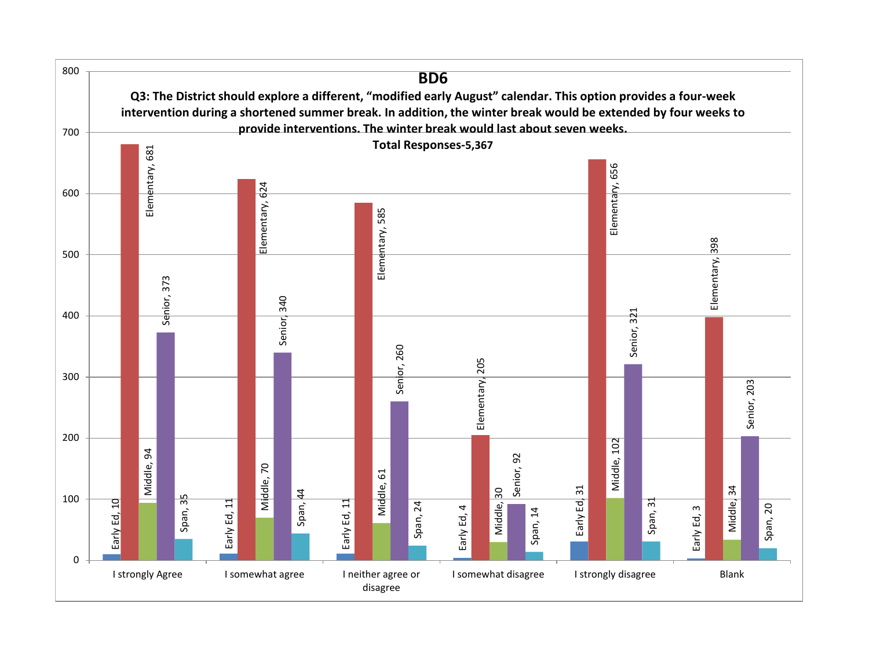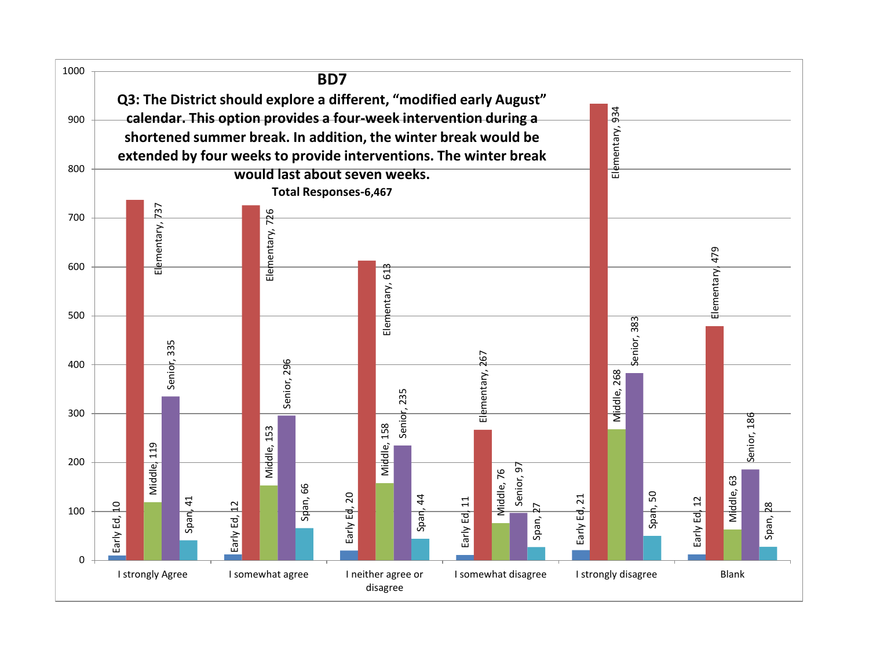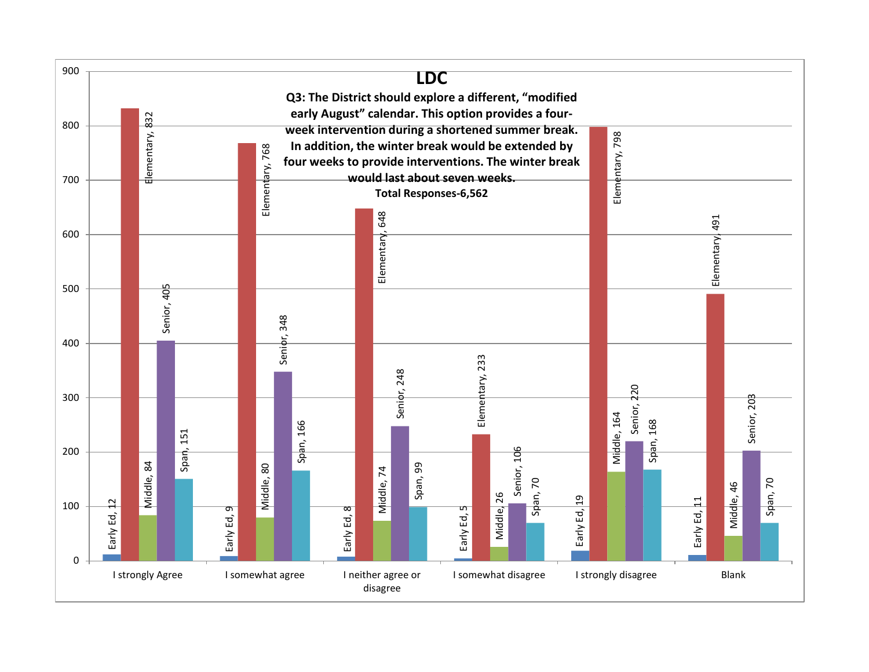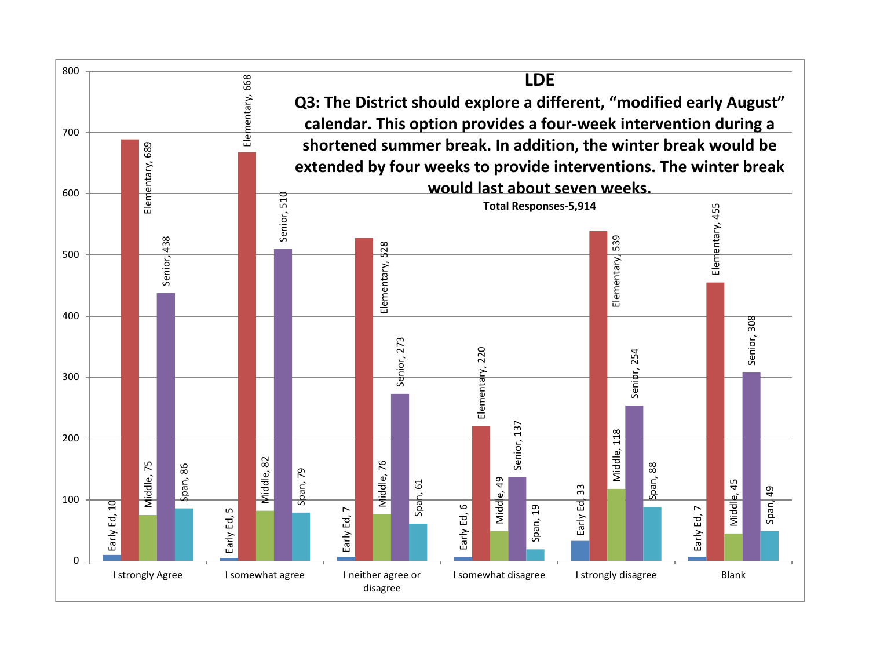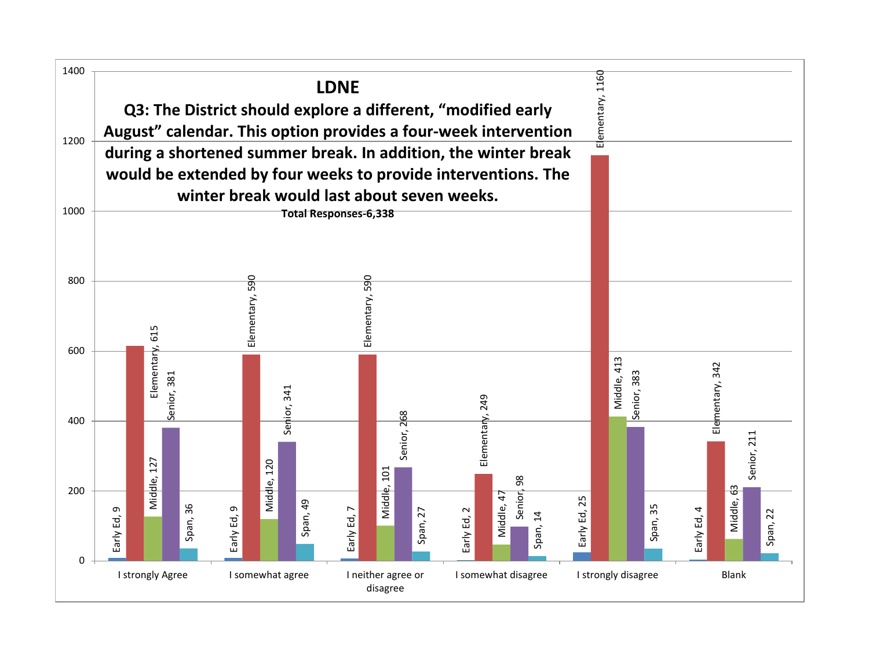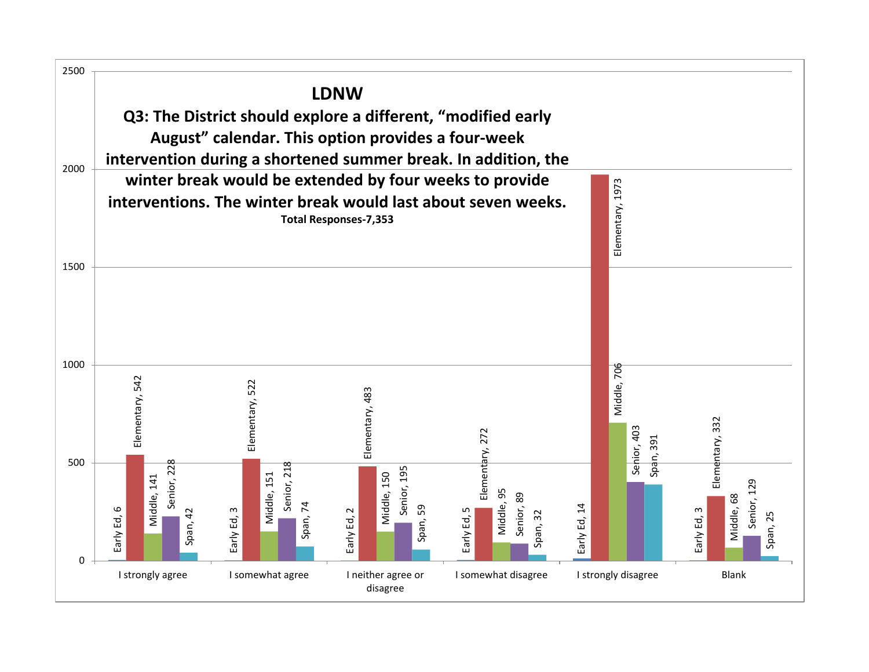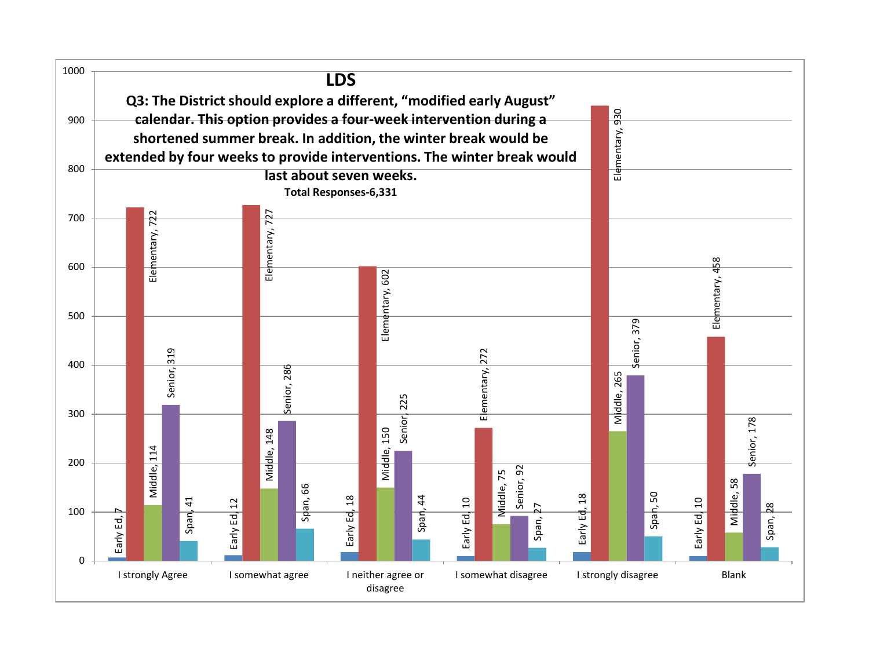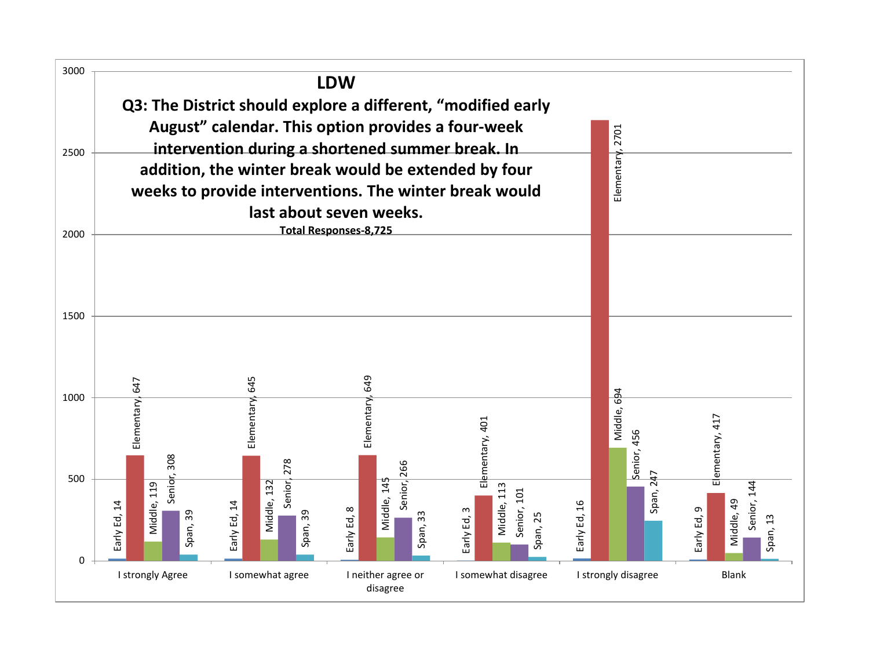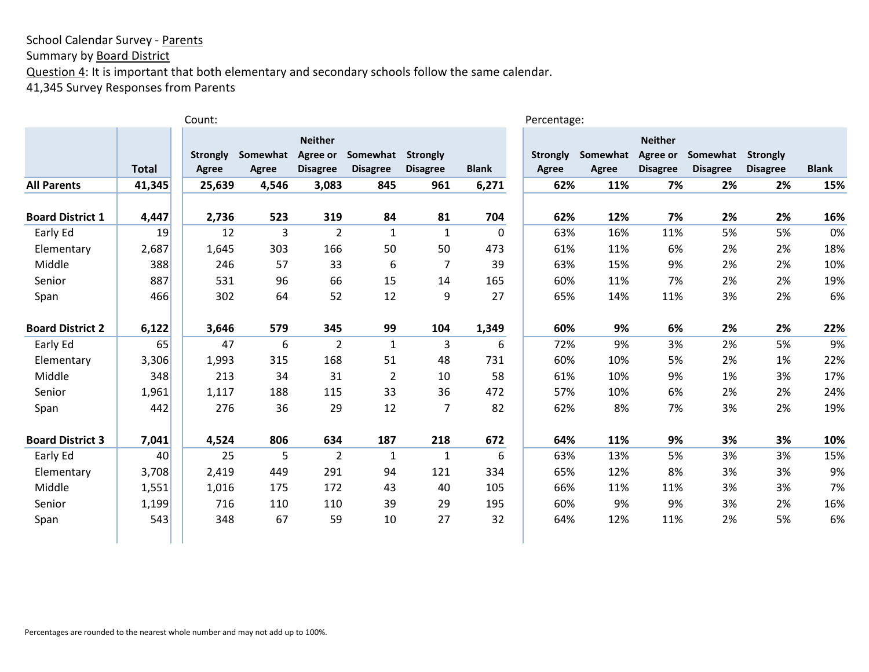Summary by **Board District** 

Question 4: It is important that both elementary and secondary schools follow the same calendar.

41,345 Survey Responses from Parents

|                         |              | Count:                   |                   |                                               |                             |                                    |              | Percentage:                     |                   |                                               |                             |                                    |              |
|-------------------------|--------------|--------------------------|-------------------|-----------------------------------------------|-----------------------------|------------------------------------|--------------|---------------------------------|-------------------|-----------------------------------------------|-----------------------------|------------------------------------|--------------|
|                         | <b>Total</b> | <b>Strongly</b><br>Agree | Somewhat<br>Agree | <b>Neither</b><br>Agree or<br><b>Disagree</b> | Somewhat<br><b>Disagree</b> | <b>Strongly</b><br><b>Disagree</b> | <b>Blank</b> | <b>Strongly</b><br><b>Agree</b> | Somewhat<br>Agree | <b>Neither</b><br>Agree or<br><b>Disagree</b> | Somewhat<br><b>Disagree</b> | <b>Strongly</b><br><b>Disagree</b> | <b>Blank</b> |
| <b>All Parents</b>      | 41,345       | 25,639                   | 4,546             | 3,083                                         | 845                         | 961                                | 6,271        | 62%                             | 11%               | 7%                                            | 2%                          | 2%                                 | 15%          |
| <b>Board District 1</b> | 4,447        | 2,736                    | 523               | 319                                           | 84                          | 81                                 | 704          | 62%                             | 12%               | 7%                                            | 2%                          | 2%                                 | 16%          |
| Early Ed                | 19           | 12                       | 3                 | $\overline{2}$                                | $\mathbf{1}$                | $\mathbf{1}$                       | 0            | 63%                             | 16%               | 11%                                           | 5%                          | 5%                                 | 0%           |
| Elementary              | 2,687        | 1,645                    | 303               | 166                                           | 50                          | 50                                 | 473          | 61%                             | 11%               | 6%                                            | 2%                          | 2%                                 | 18%          |
| Middle                  | 388          | 246                      | 57                | 33                                            | 6                           | $\overline{7}$                     | 39           | 63%                             | 15%               | 9%                                            | 2%                          | 2%                                 | 10%          |
| Senior                  | 887          | 531                      | 96                | 66                                            | 15                          | 14                                 | 165          | 60%                             | 11%               | 7%                                            | 2%                          | 2%                                 | 19%          |
| Span                    | 466          | 302                      | 64                | 52                                            | 12                          | 9                                  | 27           | 65%                             | 14%               | 11%                                           | 3%                          | 2%                                 | 6%           |
| <b>Board District 2</b> | 6,122        | 3,646                    | 579               | 345                                           | 99                          | 104                                | 1,349        | 60%                             | 9%                | 6%                                            | 2%                          | 2%                                 | 22%          |
| Early Ed                | 65           | 47                       | 6                 | $\overline{2}$                                | $\mathbf{1}$                | 3                                  | 6            | 72%                             | 9%                | 3%                                            | 2%                          | 5%                                 | 9%           |
| Elementary              | 3,306        | 1,993                    | 315               | 168                                           | 51                          | 48                                 | 731          | 60%                             | 10%               | 5%                                            | 2%                          | 1%                                 | 22%          |
| Middle                  | 348          | 213                      | 34                | 31                                            | 2                           | 10                                 | 58           | 61%                             | 10%               | 9%                                            | 1%                          | 3%                                 | 17%          |
| Senior                  | 1,961        | 1,117                    | 188               | 115                                           | 33                          | 36                                 | 472          | 57%                             | 10%               | 6%                                            | 2%                          | 2%                                 | 24%          |
| Span                    | 442          | 276                      | 36                | 29                                            | 12                          | $\overline{7}$                     | 82           | 62%                             | 8%                | 7%                                            | 3%                          | 2%                                 | 19%          |
| <b>Board District 3</b> | 7,041        | 4,524                    | 806               | 634                                           | 187                         | 218                                | 672          | 64%                             | 11%               | 9%                                            | 3%                          | 3%                                 | 10%          |
| Early Ed                | 40           | 25                       | 5                 | 2                                             | 1                           | 1                                  | 6            | 63%                             | 13%               | 5%                                            | 3%                          | 3%                                 | 15%          |
| Elementary              | 3,708        | 2,419                    | 449               | 291                                           | 94                          | 121                                | 334          | 65%                             | 12%               | 8%                                            | 3%                          | 3%                                 | 9%           |
| Middle                  | 1,551        | 1,016                    | 175               | 172                                           | 43                          | 40                                 | 105          | 66%                             | 11%               | 11%                                           | 3%                          | 3%                                 | 7%           |
| Senior                  | 1,199        | 716                      | 110               | 110                                           | 39                          | 29                                 | 195          | 60%                             | 9%                | 9%                                            | 3%                          | 2%                                 | 16%          |
| Span                    | 543          | 348                      | 67                | 59                                            | 10                          | 27                                 | 32           | 64%                             | 12%               | 11%                                           | 2%                          | 5%                                 | 6%           |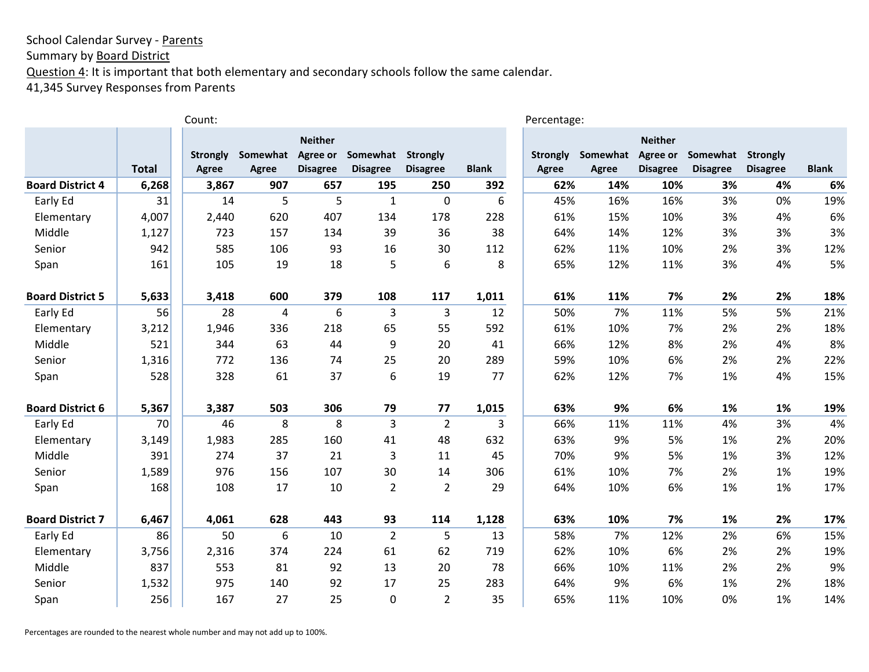Summary by **Board District** 

Question 4: It is important that both elementary and secondary schools follow the same calendar.

41,345 Survey Responses from Parents

|                         |              | Count:          |              |                 |                 |                 |              | Percentage:     |          |                 |                 |                 |              |
|-------------------------|--------------|-----------------|--------------|-----------------|-----------------|-----------------|--------------|-----------------|----------|-----------------|-----------------|-----------------|--------------|
|                         |              |                 |              | <b>Neither</b>  |                 |                 |              |                 |          | <b>Neither</b>  |                 |                 |              |
|                         |              | <b>Strongly</b> | Somewhat     | Agree or        | Somewhat        | Strongly        |              | <b>Strongly</b> | Somewhat | Agree or        | Somewhat        | <b>Strongly</b> |              |
|                         | <b>Total</b> | Agree           | <b>Agree</b> | <b>Disagree</b> | <b>Disagree</b> | <b>Disagree</b> | <b>Blank</b> | <b>Agree</b>    | Agree    | <b>Disagree</b> | <b>Disagree</b> | <b>Disagree</b> | <b>Blank</b> |
| <b>Board District 4</b> | 6,268        | 3,867           | 907          | 657             | 195             | 250             | 392          | 62%             | 14%      | 10%             | 3%              | 4%              | 6%           |
| Early Ed                | 31           | 14              | 5            | 5               | $\mathbf{1}$    | $\mathbf 0$     | 6            | 45%             | 16%      | 16%             | 3%              | 0%              | 19%          |
| Elementary              | 4,007        | 2,440           | 620          | 407             | 134             | 178             | 228          | 61%             | 15%      | 10%             | 3%              | 4%              | 6%           |
| Middle                  | 1,127        | 723             | 157          | 134             | 39              | 36              | 38           | 64%             | 14%      | 12%             | 3%              | 3%              | 3%           |
| Senior                  | 942          | 585             | 106          | 93              | 16              | 30              | 112          | 62%             | 11%      | 10%             | 2%              | 3%              | 12%          |
| Span                    | 161          | 105             | 19           | 18              | 5               | $6\,$           | 8            | 65%             | 12%      | 11%             | 3%              | 4%              | 5%           |
| <b>Board District 5</b> | 5,633        | 3,418           | 600          | 379             | 108             | 117             | 1,011        | 61%             | 11%      | 7%              | 2%              | 2%              | 18%          |
| Early Ed                | 56           | 28              | 4            | 6               | 3               | 3               | 12           | 50%             | 7%       | 11%             | 5%              | 5%              | 21%          |
| Elementary              | 3,212        | 1,946           | 336          | 218             | 65              | 55              | 592          | 61%             | 10%      | 7%              | 2%              | 2%              | 18%          |
| Middle                  | 521          | 344             | 63           | 44              | 9               | 20              | 41           | 66%             | 12%      | 8%              | 2%              | 4%              | 8%           |
| Senior                  | 1,316        | 772             | 136          | 74              | 25              | 20              | 289          | 59%             | 10%      | 6%              | 2%              | 2%              | 22%          |
| Span                    | 528          | 328             | 61           | 37              | 6               | 19              | 77           | 62%             | 12%      | 7%              | 1%              | 4%              | 15%          |
| <b>Board District 6</b> | 5,367        | 3,387           | 503          | 306             | 79              | 77              | 1,015        | 63%             | 9%       | 6%              | 1%              | 1%              | 19%          |
| Early Ed                | 70           | 46              | 8            | 8               | 3               | $\overline{2}$  | 3            | 66%             | 11%      | 11%             | 4%              | 3%              | 4%           |
| Elementary              | 3,149        | 1,983           | 285          | 160             | 41              | 48              | 632          | 63%             | 9%       | 5%              | 1%              | 2%              | 20%          |
| Middle                  | 391          | 274             | 37           | 21              | 3               | 11              | 45           | 70%             | 9%       | 5%              | 1%              | 3%              | 12%          |
| Senior                  | 1,589        | 976             | 156          | 107             | 30              | 14              | 306          | 61%             | 10%      | 7%              | 2%              | 1%              | 19%          |
| Span                    | 168          | 108             | 17           | 10              | $\overline{2}$  | $\overline{2}$  | 29           | 64%             | 10%      | 6%              | 1%              | 1%              | 17%          |
| <b>Board District 7</b> | 6,467        | 4,061           | 628          | 443             | 93              | 114             | 1,128        | 63%             | 10%      | 7%              | 1%              | 2%              | 17%          |
| Early Ed                | 86           | 50              | 6            | 10              | $\overline{2}$  | 5               | 13           | 58%             | 7%       | 12%             | 2%              | 6%              | 15%          |
| Elementary              | 3,756        | 2,316           | 374          | 224             | 61              | 62              | 719          | 62%             | 10%      | 6%              | 2%              | 2%              | 19%          |
| Middle                  | 837          | 553             | 81           | 92              | 13              | 20              | 78           | 66%             | 10%      | 11%             | 2%              | 2%              | 9%           |
| Senior                  | 1,532        | 975             | 140          | 92              | 17              | 25              | 283          | 64%             | 9%       | 6%              | 1%              | 2%              | 18%          |
| Span                    | 256          | 167             | 27           | 25              | $\mathbf{0}$    | $\overline{2}$  | 35           | 65%             | 11%      | 10%             | 0%              | 1%              | 14%          |

Percentages are rounded to the nearest whole number and may not add up to 100%.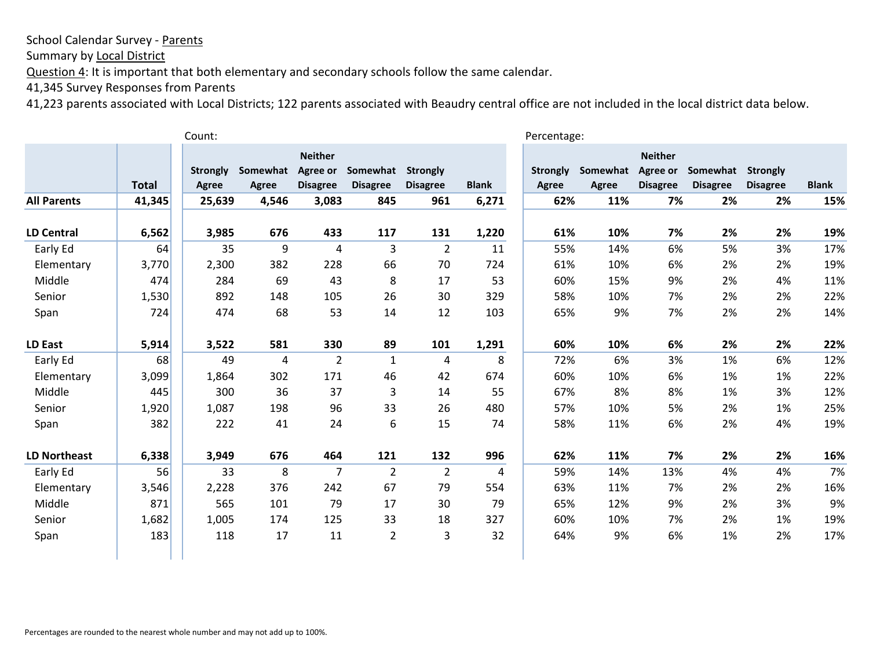Summary by Local District

Question 4: It is important that both elementary and secondary schools follow the same calendar.

41,345 Survey Responses from Parents

|                     |              | Count:                   |                          |                                               |                             |                                    |              | Percentage:                     |                          |                                                      |                             |                                    |              |
|---------------------|--------------|--------------------------|--------------------------|-----------------------------------------------|-----------------------------|------------------------------------|--------------|---------------------------------|--------------------------|------------------------------------------------------|-----------------------------|------------------------------------|--------------|
|                     | <b>Total</b> | <b>Strongly</b><br>Agree | Somewhat<br><b>Agree</b> | <b>Neither</b><br>Agree or<br><b>Disagree</b> | Somewhat<br><b>Disagree</b> | <b>Strongly</b><br><b>Disagree</b> | <b>Blank</b> | <b>Strongly</b><br><b>Agree</b> | Somewhat<br><b>Agree</b> | <b>Neither</b><br><b>Agree or</b><br><b>Disagree</b> | Somewhat<br><b>Disagree</b> | <b>Strongly</b><br><b>Disagree</b> | <b>Blank</b> |
| <b>All Parents</b>  | 41,345       | 25,639                   | 4,546                    | 3,083                                         | 845                         | 961                                | 6,271        | 62%                             | 11%                      | 7%                                                   | 2%                          | 2%                                 | 15%          |
| <b>LD Central</b>   | 6,562        | 3,985                    | 676                      | 433                                           | 117                         | 131                                | 1,220        | 61%                             | 10%                      | 7%                                                   | 2%                          | 2%                                 | 19%          |
| Early Ed            | 64           | 35                       | 9                        | 4                                             | 3                           | $\overline{2}$                     | 11           | 55%                             | 14%                      | 6%                                                   | 5%                          | 3%                                 | 17%          |
| Elementary          | 3,770        | 2,300                    | 382                      | 228                                           | 66                          | 70                                 | 724          | 61%                             | 10%                      | 6%                                                   | 2%                          | 2%                                 | 19%          |
| Middle              | 474          | 284                      | 69                       | 43                                            | 8                           | 17                                 | 53           | 60%                             | 15%                      | 9%                                                   | 2%                          | 4%                                 | 11%          |
| Senior              | 1,530        | 892                      | 148                      | 105                                           | 26                          | 30                                 | 329          | 58%                             | 10%                      | 7%                                                   | 2%                          | 2%                                 | 22%          |
| Span                | 724          | 474                      | 68                       | 53                                            | 14                          | 12                                 | 103          | 65%                             | 9%                       | 7%                                                   | 2%                          | 2%                                 | 14%          |
| LD East             | 5,914        | 3,522                    | 581                      | 330                                           | 89                          | 101                                | 1,291        | 60%                             | 10%                      | 6%                                                   | 2%                          | 2%                                 | 22%          |
| Early Ed            | 68           | 49                       | $\overline{4}$           | $\overline{2}$                                | $\mathbf{1}$                | 4                                  | 8            | 72%                             | 6%                       | 3%                                                   | 1%                          | 6%                                 | 12%          |
| Elementary          | 3,099        | 1,864                    | 302                      | 171                                           | 46                          | 42                                 | 674          | 60%                             | 10%                      | 6%                                                   | 1%                          | 1%                                 | 22%          |
| Middle              | 445          | 300                      | 36                       | 37                                            | 3                           | 14                                 | 55           | 67%                             | 8%                       | 8%                                                   | 1%                          | 3%                                 | 12%          |
| Senior              | 1,920        | 1,087                    | 198                      | 96                                            | 33                          | 26                                 | 480          | 57%                             | 10%                      | 5%                                                   | 2%                          | 1%                                 | 25%          |
| Span                | 382          | 222                      | 41                       | 24                                            | 6                           | 15                                 | 74           | 58%                             | 11%                      | 6%                                                   | 2%                          | 4%                                 | 19%          |
| <b>LD Northeast</b> | 6,338        | 3,949                    | 676                      | 464                                           | 121                         | 132                                | 996          | 62%                             | 11%                      | 7%                                                   | 2%                          | 2%                                 | 16%          |
| Early Ed            | 56           | 33                       | 8                        | $\overline{7}$                                | $\overline{2}$              | $\overline{2}$                     | 4            | 59%                             | 14%                      | 13%                                                  | 4%                          | 4%                                 | 7%           |
| Elementary          | 3,546        | 2,228                    | 376                      | 242                                           | 67                          | 79                                 | 554          | 63%                             | 11%                      | 7%                                                   | 2%                          | 2%                                 | 16%          |
| Middle              | 871          | 565                      | 101                      | 79                                            | 17                          | 30                                 | 79           | 65%                             | 12%                      | 9%                                                   | 2%                          | 3%                                 | 9%           |
| Senior              | 1,682        | 1,005                    | 174                      | 125                                           | 33                          | 18                                 | 327          | 60%                             | 10%                      | 7%                                                   | 2%                          | 1%                                 | 19%          |
| Span                | 183          | 118                      | 17                       | 11                                            | $\overline{2}$              | 3                                  | 32           | 64%                             | 9%                       | 6%                                                   | 1%                          | 2%                                 | 17%          |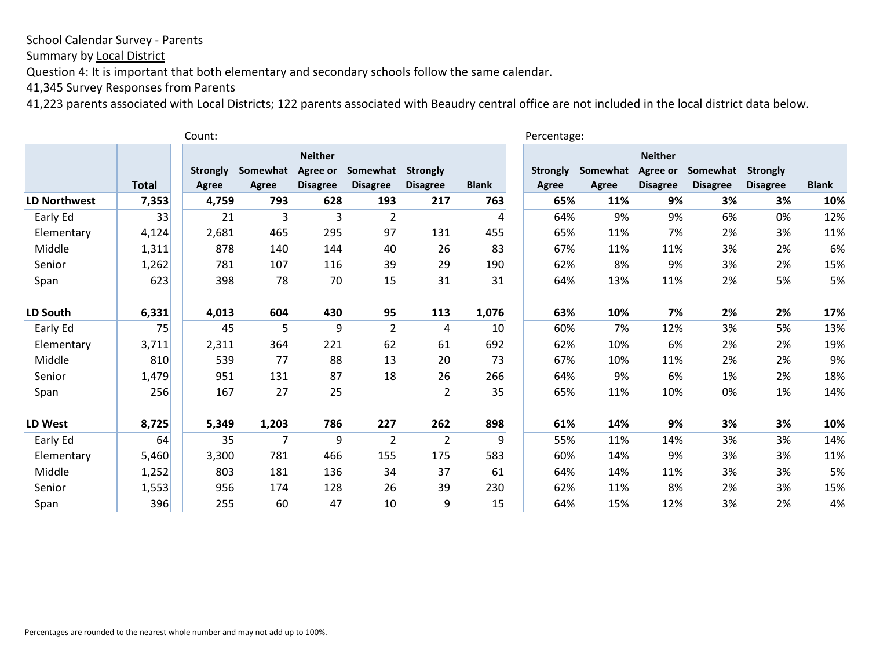Summary by Local District

Question 4: It is important that both elementary and secondary schools follow the same calendar.

41,345 Survey Responses from Parents

|                 | Count:       |                 |                |                            |                 |                 |              |                 |          | Percentage:                |                 |                 |              |  |  |
|-----------------|--------------|-----------------|----------------|----------------------------|-----------------|-----------------|--------------|-----------------|----------|----------------------------|-----------------|-----------------|--------------|--|--|
|                 |              | <b>Strongly</b> | Somewhat       | <b>Neither</b><br>Agree or | Somewhat        | <b>Strongly</b> |              | <b>Strongly</b> | Somewhat | <b>Neither</b><br>Agree or | Somewhat        | <b>Strongly</b> |              |  |  |
|                 | <b>Total</b> | <b>Agree</b>    | Agree          | <b>Disagree</b>            | <b>Disagree</b> | <b>Disagree</b> | <b>Blank</b> | Agree           | Agree    | <b>Disagree</b>            | <b>Disagree</b> | <b>Disagree</b> | <b>Blank</b> |  |  |
| LD Northwest    | 7,353        | 4,759           | 793            | 628                        | 193             | 217             | 763          | 65%             | 11%      | 9%                         | 3%              | 3%              | 10%          |  |  |
| Early Ed        | 33           | 21              | 3              | 3                          | $\overline{2}$  |                 | 4            | 64%             | 9%       | 9%                         | 6%              | 0%              | 12%          |  |  |
| Elementary      | 4,124        | 2,681           | 465            | 295                        | 97              | 131             | 455          | 65%             | 11%      | 7%                         | 2%              | 3%              | 11%          |  |  |
| Middle          | 1,311        | 878             | 140            | 144                        | 40              | 26              | 83           | 67%             | 11%      | 11%                        | 3%              | 2%              | 6%           |  |  |
| Senior          | 1,262        | 781             | 107            | 116                        | 39              | 29              | 190          | 62%             | 8%       | 9%                         | 3%              | 2%              | 15%          |  |  |
| Span            | 623          | 398             | 78             | 70                         | 15              | 31              | 31           | 64%             | 13%      | 11%                        | 2%              | 5%              | 5%           |  |  |
| <b>LD South</b> | 6,331        | 4,013           | 604            | 430                        | 95              | 113             | 1,076        | 63%             | 10%      | 7%                         | 2%              | 2%              | 17%          |  |  |
| Early Ed        | 75           | 45              | 5              | 9                          | $\overline{2}$  | 4               | 10           | 60%             | 7%       | 12%                        | 3%              | 5%              | 13%          |  |  |
| Elementary      | 3,711        | 2,311           | 364            | 221                        | 62              | 61              | 692          | 62%             | 10%      | 6%                         | 2%              | 2%              | 19%          |  |  |
| Middle          | 810          | 539             | 77             | 88                         | 13              | 20              | 73           | 67%             | 10%      | 11%                        | 2%              | 2%              | 9%           |  |  |
| Senior          | 1,479        | 951             | 131            | 87                         | 18              | 26              | 266          | 64%             | 9%       | 6%                         | 1%              | 2%              | 18%          |  |  |
| Span            | 256          | 167             | 27             | 25                         |                 | $\overline{2}$  | 35           | 65%             | 11%      | 10%                        | 0%              | 1%              | 14%          |  |  |
| LD West         | 8,725        | 5,349           | 1,203          | 786                        | 227             | 262             | 898          | 61%             | 14%      | 9%                         | 3%              | 3%              | 10%          |  |  |
| Early Ed        | 64           | 35              | $\overline{7}$ | 9                          | $\overline{2}$  | $\overline{2}$  | 9            | 55%             | 11%      | 14%                        | 3%              | 3%              | 14%          |  |  |
| Elementary      | 5,460        | 3,300           | 781            | 466                        | 155             | 175             | 583          | 60%             | 14%      | 9%                         | 3%              | 3%              | 11%          |  |  |
| Middle          | 1,252        | 803             | 181            | 136                        | 34              | 37              | 61           | 64%             | 14%      | 11%                        | 3%              | 3%              | 5%           |  |  |
| Senior          | 1,553        | 956             | 174            | 128                        | 26              | 39              | 230          | 62%             | 11%      | 8%                         | 2%              | 3%              | 15%          |  |  |
| Span            | 396          | 255             | 60             | 47                         | 10              | 9               | 15           | 64%             | 15%      | 12%                        | 3%              | 2%              | 4%           |  |  |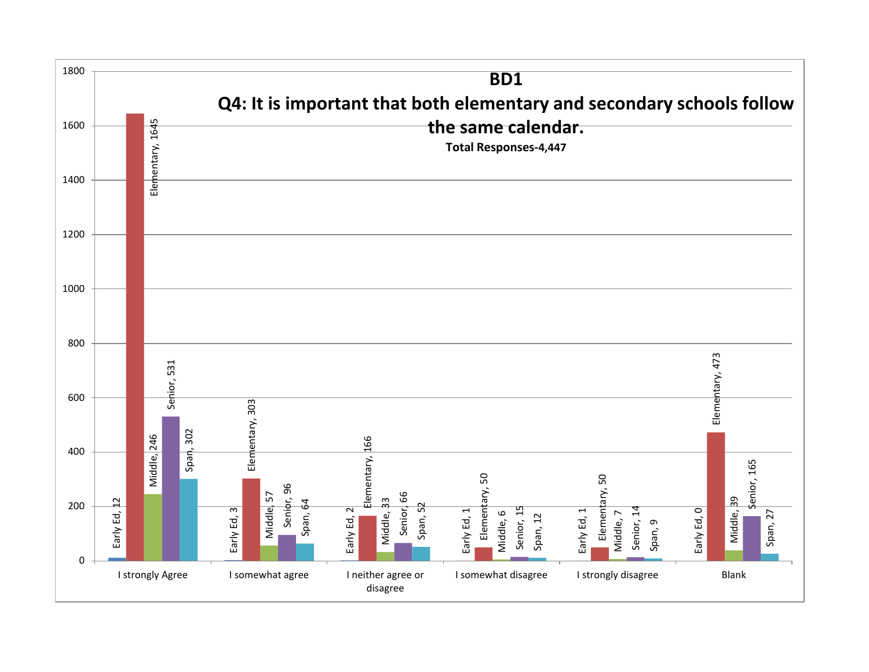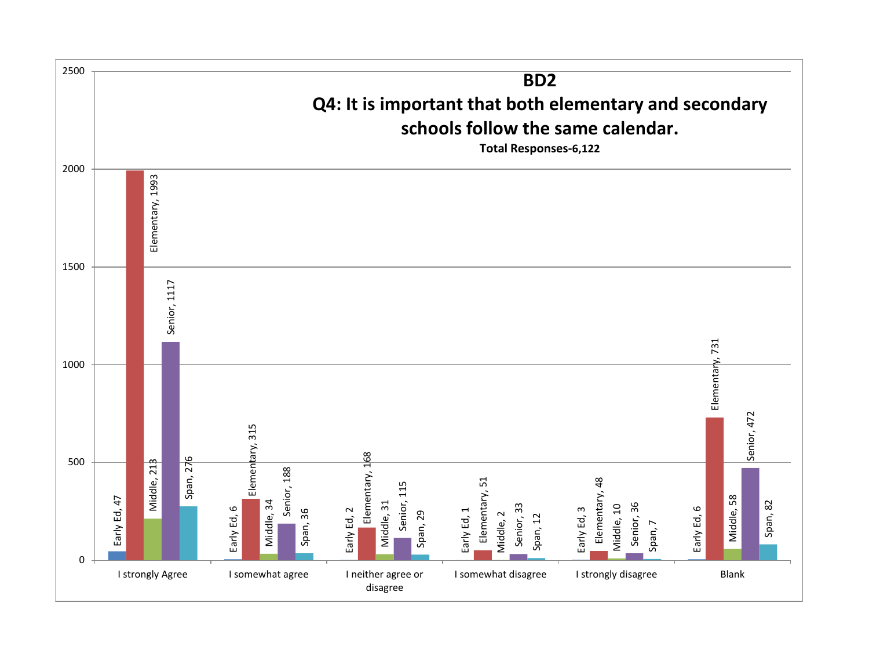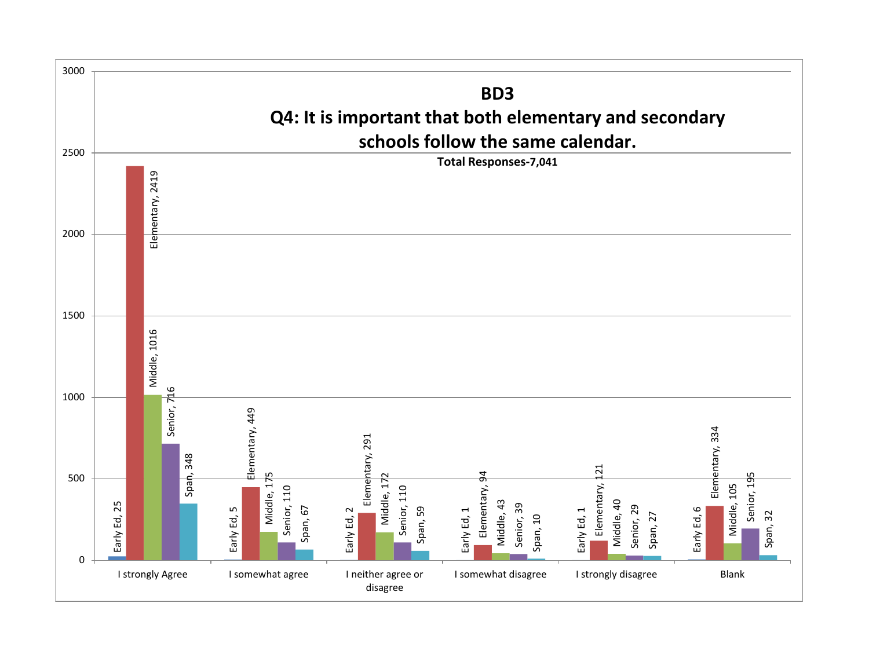![](_page_57_Figure_0.jpeg)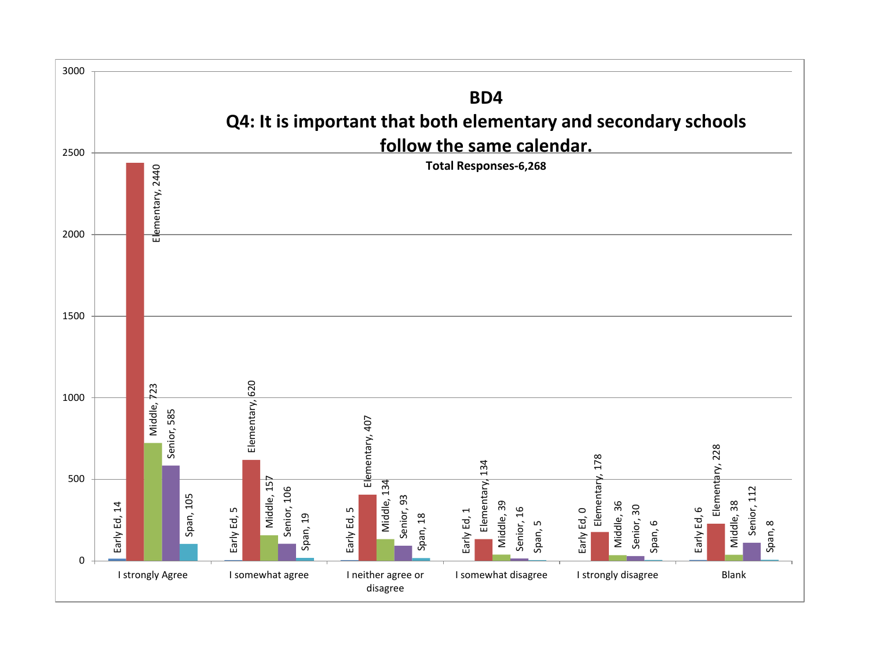![](_page_58_Figure_0.jpeg)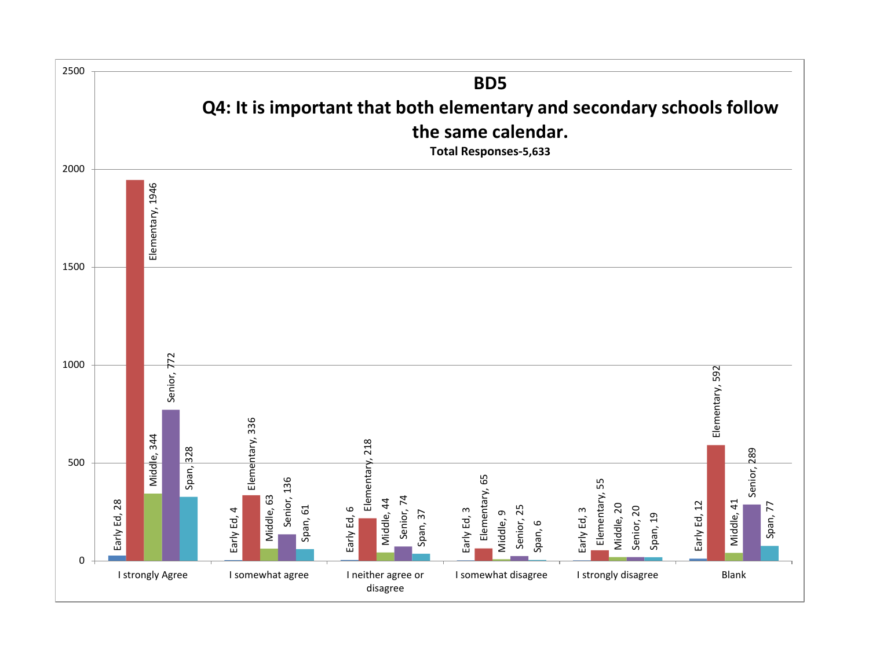![](_page_59_Figure_0.jpeg)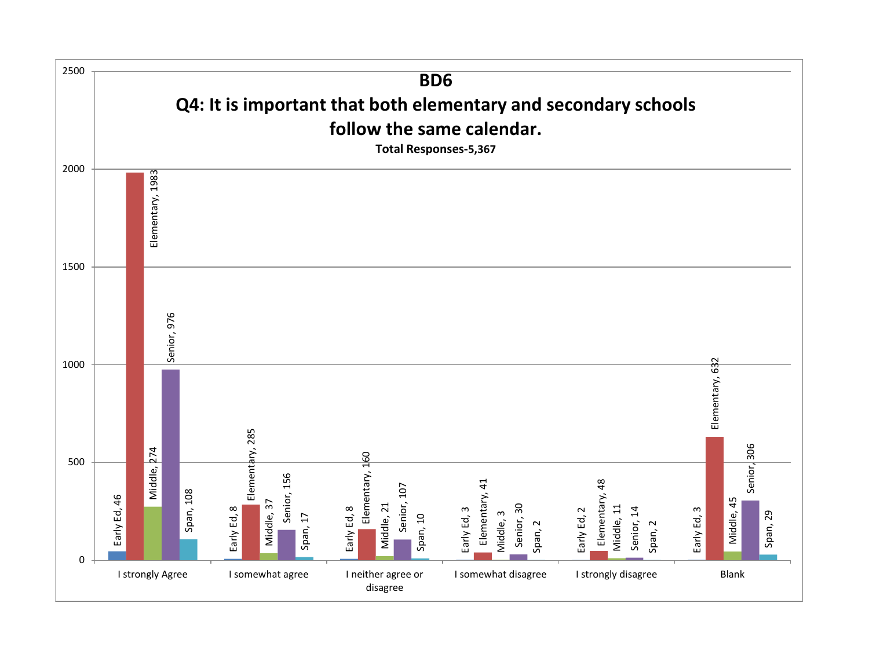![](_page_60_Figure_0.jpeg)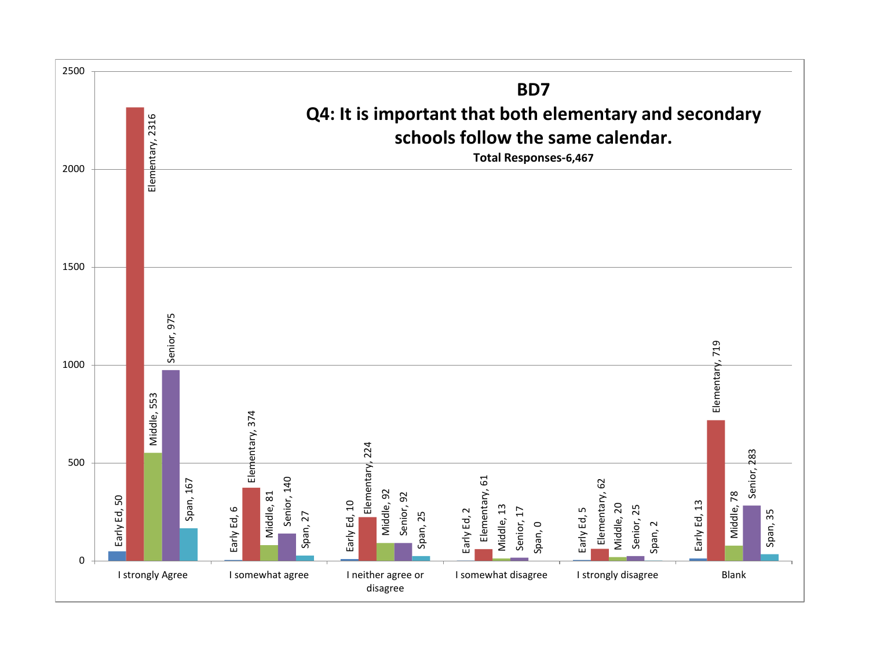![](_page_61_Figure_0.jpeg)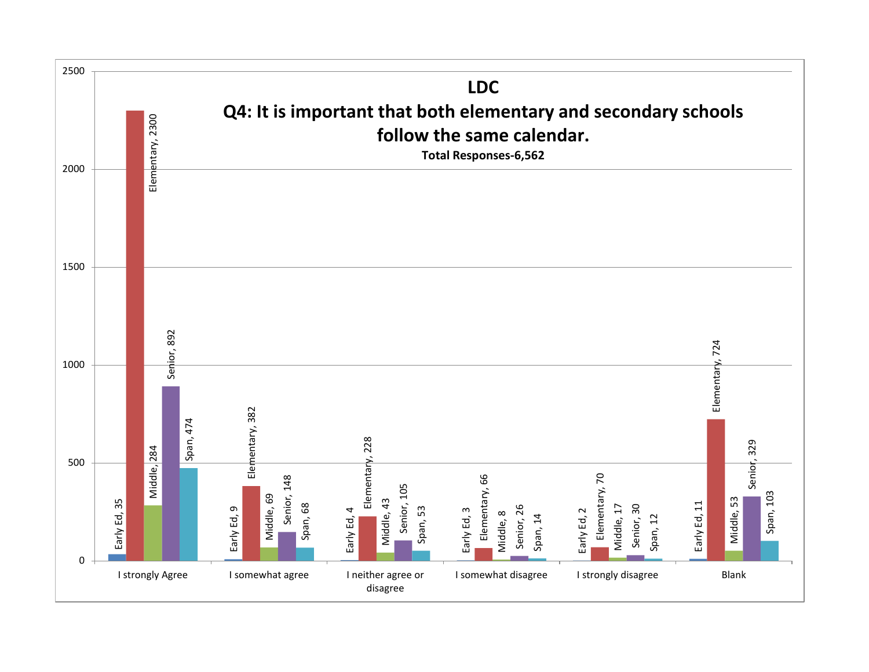![](_page_62_Figure_0.jpeg)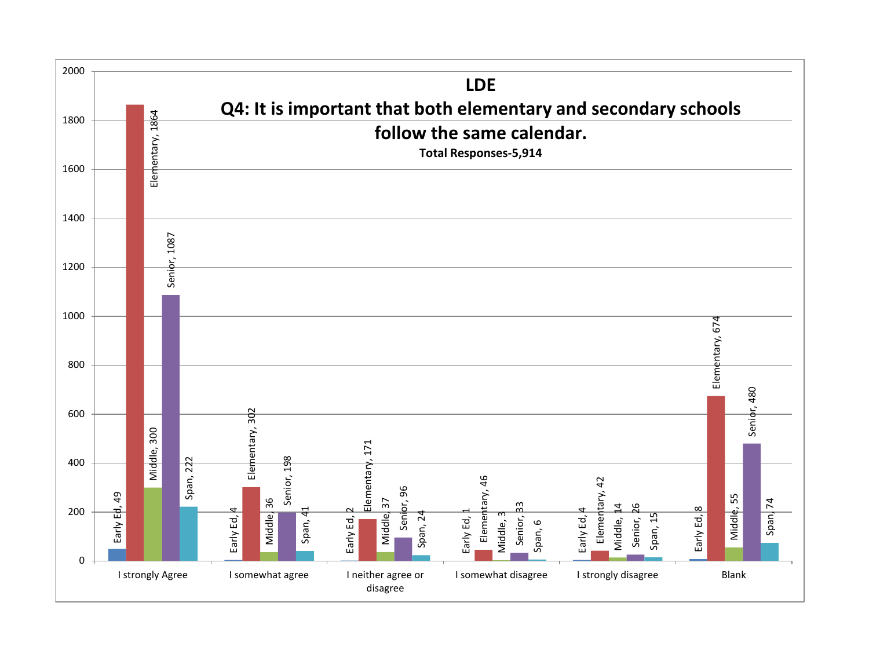![](_page_63_Figure_0.jpeg)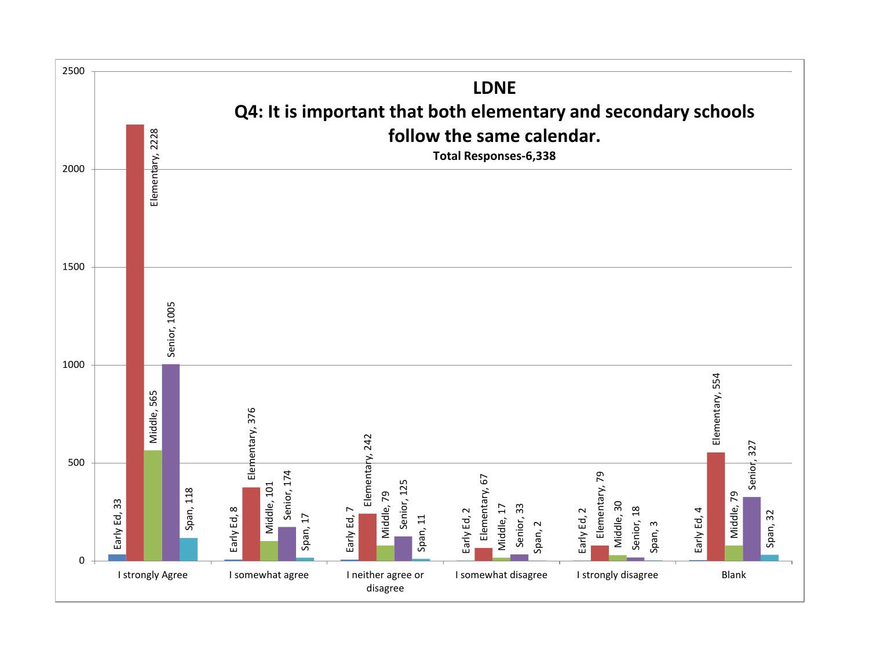![](_page_64_Figure_0.jpeg)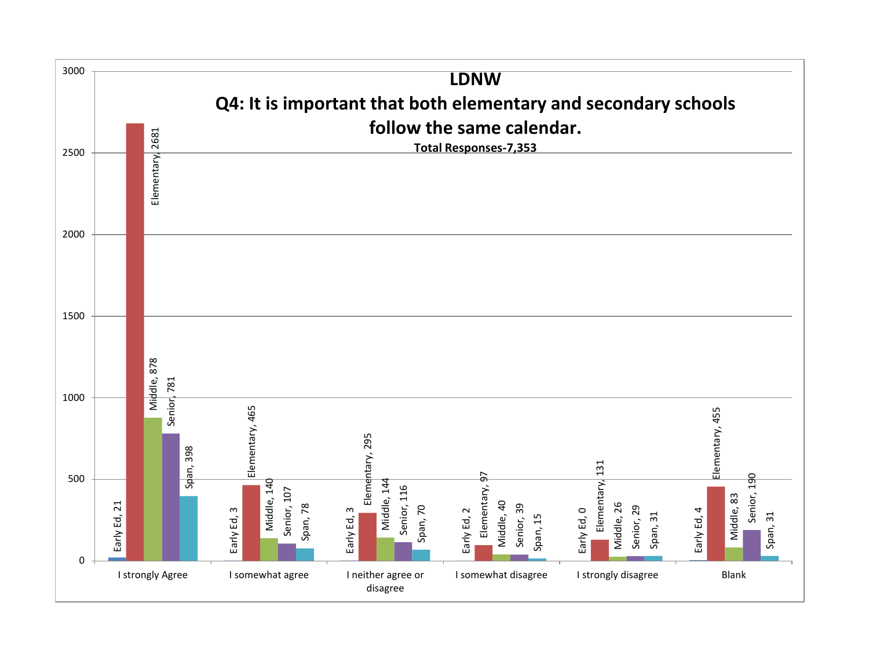![](_page_65_Figure_0.jpeg)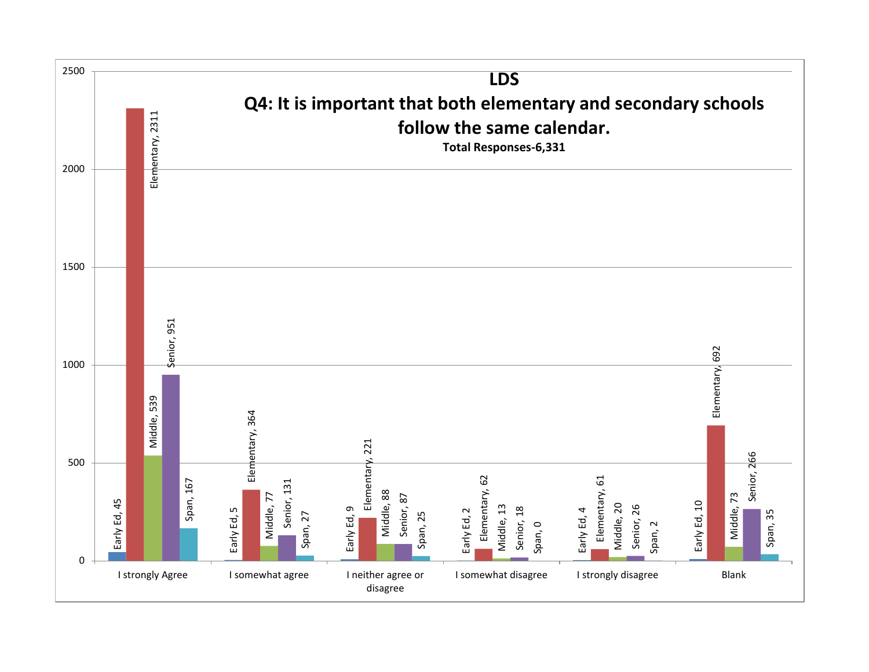![](_page_66_Figure_0.jpeg)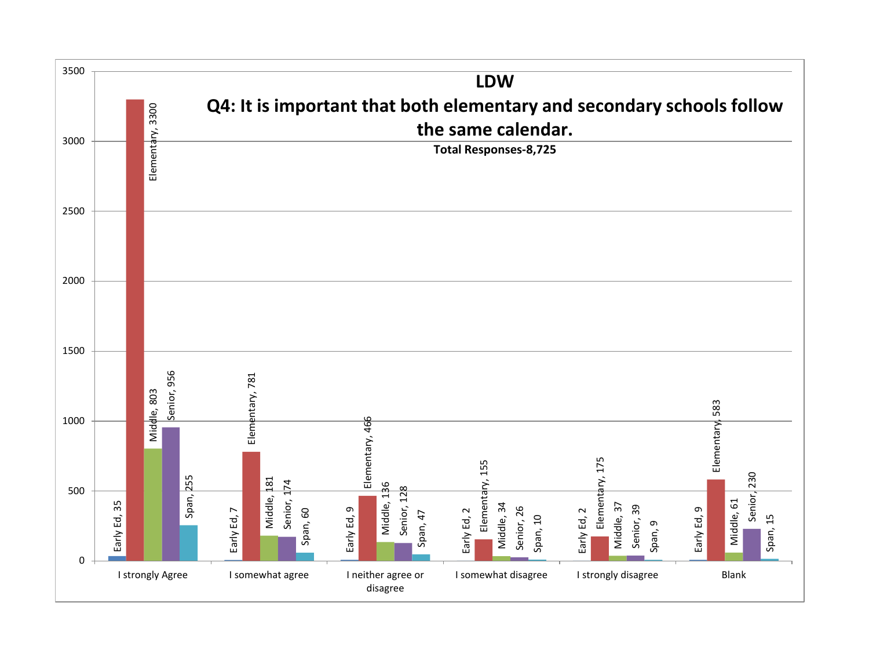![](_page_67_Figure_0.jpeg)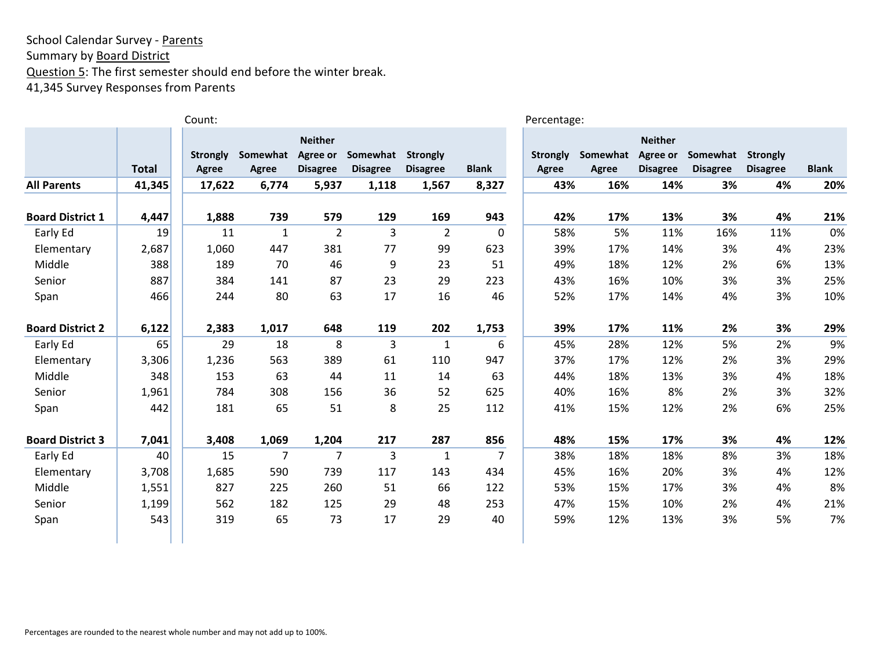Summary by **Board District** 

Question 5: The first semester should end before the winter break.

41,345 Survey Responses from Parents

|                         |              | Count:                   |                   |                                               |                             |                                    |                | Percentage:              |                   |                                               |                             |                                    |              |
|-------------------------|--------------|--------------------------|-------------------|-----------------------------------------------|-----------------------------|------------------------------------|----------------|--------------------------|-------------------|-----------------------------------------------|-----------------------------|------------------------------------|--------------|
|                         | <b>Total</b> | <b>Strongly</b><br>Agree | Somewhat<br>Agree | <b>Neither</b><br>Agree or<br><b>Disagree</b> | Somewhat<br><b>Disagree</b> | <b>Strongly</b><br><b>Disagree</b> | <b>Blank</b>   | <b>Strongly</b><br>Agree | Somewhat<br>Agree | <b>Neither</b><br>Agree or<br><b>Disagree</b> | Somewhat<br><b>Disagree</b> | <b>Strongly</b><br><b>Disagree</b> | <b>Blank</b> |
| <b>All Parents</b>      | 41,345       | 17,622                   | 6,774             | 5,937                                         | 1,118                       | 1,567                              | 8,327          | 43%                      | 16%               | 14%                                           | 3%                          | 4%                                 | 20%          |
| <b>Board District 1</b> | 4,447        | 1,888                    | 739               | 579                                           | 129                         | 169                                | 943            | 42%                      | 17%               | 13%                                           | 3%                          | 4%                                 | 21%          |
| Early Ed                | 19           | 11                       | $\mathbf{1}$      | $\overline{2}$                                | 3                           | $\overline{2}$                     | 0              | 58%                      | 5%                | 11%                                           | 16%                         | 11%                                | 0%           |
| Elementary              | 2,687        | 1,060                    | 447               | 381                                           | 77                          | 99                                 | 623            | 39%                      | 17%               | 14%                                           | 3%                          | 4%                                 | 23%          |
| Middle                  | 388          | 189                      | 70                | 46                                            | 9                           | 23                                 | 51             | 49%                      | 18%               | 12%                                           | 2%                          | 6%                                 | 13%          |
| Senior                  | 887          | 384                      | 141               | 87                                            | 23                          | 29                                 | 223            | 43%                      | 16%               | 10%                                           | 3%                          | 3%                                 | 25%          |
| Span                    | 466          | 244                      | 80                | 63                                            | 17                          | 16                                 | 46             | 52%                      | 17%               | 14%                                           | 4%                          | 3%                                 | 10%          |
| <b>Board District 2</b> | 6,122        | 2,383                    | 1,017             | 648                                           | 119                         | 202                                | 1,753          | 39%                      | 17%               | 11%                                           | 2%                          | 3%                                 | 29%          |
| Early Ed                | 65           | 29                       | 18                | 8                                             | 3                           | $\mathbf{1}$                       | 6              | 45%                      | 28%               | 12%                                           | 5%                          | 2%                                 | 9%           |
| Elementary              | 3,306        | 1,236                    | 563               | 389                                           | 61                          | 110                                | 947            | 37%                      | 17%               | 12%                                           | 2%                          | 3%                                 | 29%          |
| Middle                  | 348          | 153                      | 63                | 44                                            | 11                          | 14                                 | 63             | 44%                      | 18%               | 13%                                           | 3%                          | 4%                                 | 18%          |
| Senior                  | 1,961        | 784                      | 308               | 156                                           | 36                          | 52                                 | 625            | 40%                      | 16%               | 8%                                            | 2%                          | 3%                                 | 32%          |
| Span                    | 442          | 181                      | 65                | 51                                            | 8                           | 25                                 | 112            | 41%                      | 15%               | 12%                                           | 2%                          | 6%                                 | 25%          |
| <b>Board District 3</b> | 7,041        | 3,408                    | 1,069             | 1,204                                         | 217                         | 287                                | 856            | 48%                      | 15%               | 17%                                           | 3%                          | 4%                                 | 12%          |
| Early Ed                | 40           | 15                       | 7                 | 7                                             | 3                           | $\mathbf{1}$                       | $\overline{7}$ | 38%                      | 18%               | 18%                                           | 8%                          | 3%                                 | 18%          |
| Elementary              | 3,708        | 1,685                    | 590               | 739                                           | 117                         | 143                                | 434            | 45%                      | 16%               | 20%                                           | 3%                          | 4%                                 | 12%          |
| Middle                  | 1,551        | 827                      | 225               | 260                                           | 51                          | 66                                 | 122            | 53%                      | 15%               | 17%                                           | 3%                          | 4%                                 | 8%           |
| Senior                  | 1,199        | 562                      | 182               | 125                                           | 29                          | 48                                 | 253            | 47%                      | 15%               | 10%                                           | 2%                          | 4%                                 | 21%          |
| Span                    | 543          | 319                      | 65                | 73                                            | 17                          | 29                                 | 40             | 59%                      | 12%               | 13%                                           | 3%                          | 5%                                 | 7%           |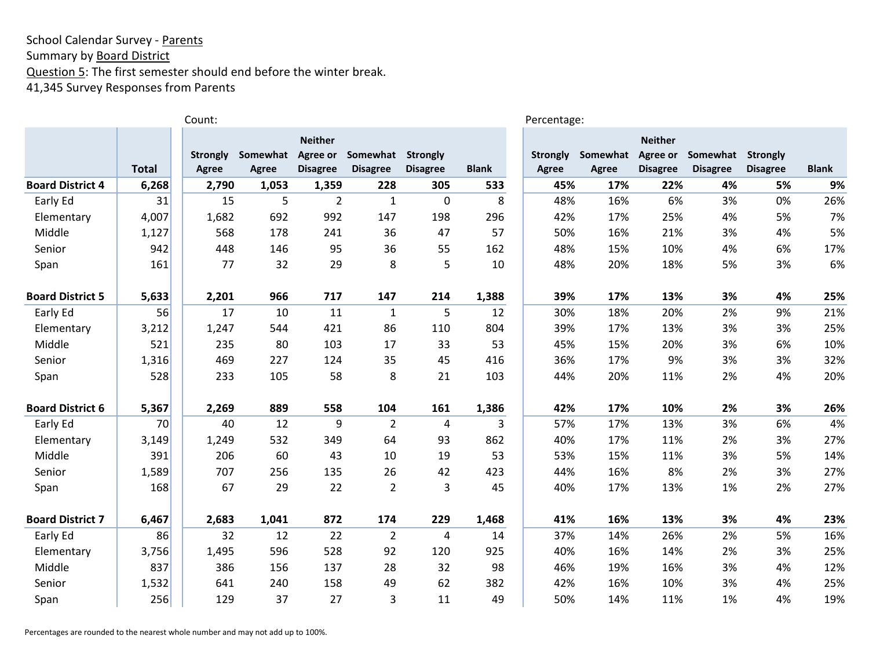Summary by **Board District** 

Question 5: The first semester should end before the winter break.

41,345 Survey Responses from Parents

|                         |              | Count:          |          |                 |                 |                         |                | Percentage:     |          |                 |                 |                 |              |
|-------------------------|--------------|-----------------|----------|-----------------|-----------------|-------------------------|----------------|-----------------|----------|-----------------|-----------------|-----------------|--------------|
|                         |              |                 |          | <b>Neither</b>  |                 |                         |                |                 |          | <b>Neither</b>  |                 |                 |              |
|                         |              | <b>Strongly</b> | Somewhat | Agree or        | Somewhat        | <b>Strongly</b>         |                | <b>Strongly</b> | Somewhat | Agree or        | Somewhat        | Strongly        |              |
|                         | <b>Total</b> | <b>Agree</b>    | Agree    | <b>Disagree</b> | <b>Disagree</b> | <b>Disagree</b>         | <b>Blank</b>   | <b>Agree</b>    | Agree    | <b>Disagree</b> | <b>Disagree</b> | <b>Disagree</b> | <b>Blank</b> |
| <b>Board District 4</b> | 6,268        | 2,790           | 1,053    | 1,359           | 228             | 305                     | 533            | 45%             | 17%      | 22%             | 4%              | 5%              | 9%           |
| Early Ed                | 31           | 15              | 5        | $\overline{2}$  | $\mathbf{1}$    | $\mathbf 0$             | 8              | 48%             | 16%      | 6%              | 3%              | 0%              | 26%          |
| Elementary              | 4,007        | 1,682           | 692      | 992             | 147             | 198                     | 296            | 42%             | 17%      | 25%             | 4%              | 5%              | 7%           |
| Middle                  | 1,127        | 568             | 178      | 241             | 36              | 47                      | 57             | 50%             | 16%      | 21%             | 3%              | 4%              | 5%           |
| Senior                  | 942          | 448             | 146      | 95              | 36              | 55                      | 162            | 48%             | 15%      | 10%             | 4%              | 6%              | 17%          |
| Span                    | 161          | 77              | 32       | 29              | 8               | 5                       | 10             | 48%             | 20%      | 18%             | 5%              | 3%              | 6%           |
| <b>Board District 5</b> | 5,633        | 2,201           | 966      | 717             | 147             | 214                     | 1,388          | 39%             | 17%      | 13%             | 3%              | 4%              | 25%          |
| Early Ed                | 56           | 17              | 10       | 11              | $\mathbf{1}$    | 5                       | 12             | 30%             | 18%      | 20%             | 2%              | 9%              | 21%          |
| Elementary              | 3,212        | 1,247           | 544      | 421             | 86              | 110                     | 804            | 39%             | 17%      | 13%             | 3%              | 3%              | 25%          |
| Middle                  | 521          | 235             | 80       | 103             | 17              | 33                      | 53             | 45%             | 15%      | 20%             | 3%              | 6%              | 10%          |
| Senior                  | 1,316        | 469             | 227      | 124             | 35              | 45                      | 416            | 36%             | 17%      | 9%              | 3%              | 3%              | 32%          |
| Span                    | 528          | 233             | 105      | 58              | 8               | 21                      | 103            | 44%             | 20%      | 11%             | 2%              | 4%              | 20%          |
| <b>Board District 6</b> | 5,367        | 2,269           | 889      | 558             | 104             | 161                     | 1,386          | 42%             | 17%      | 10%             | 2%              | 3%              | 26%          |
| Early Ed                | 70           | 40              | 12       | 9               | $\overline{2}$  | $\overline{\mathbf{4}}$ | $\overline{3}$ | 57%             | 17%      | 13%             | 3%              | 6%              | 4%           |
| Elementary              | 3,149        | 1,249           | 532      | 349             | 64              | 93                      | 862            | 40%             | 17%      | 11%             | 2%              | 3%              | 27%          |
| Middle                  | 391          | 206             | 60       | 43              | 10              | 19                      | 53             | 53%             | 15%      | 11%             | 3%              | 5%              | 14%          |
| Senior                  | 1,589        | 707             | 256      | 135             | 26              | 42                      | 423            | 44%             | 16%      | 8%              | 2%              | 3%              | 27%          |
| Span                    | 168          | 67              | 29       | 22              | $\overline{2}$  | 3                       | 45             | 40%             | 17%      | 13%             | 1%              | 2%              | 27%          |
| <b>Board District 7</b> | 6,467        | 2,683           | 1,041    | 872             | 174             | 229                     | 1,468          | 41%             | 16%      | 13%             | 3%              | 4%              | 23%          |
| Early Ed                | 86           | 32              | 12       | 22              | $\overline{2}$  | $\overline{\mathbf{4}}$ | 14             | 37%             | 14%      | 26%             | 2%              | 5%              | 16%          |
| Elementary              | 3,756        | 1,495           | 596      | 528             | 92              | 120                     | 925            | 40%             | 16%      | 14%             | 2%              | 3%              | 25%          |
| Middle                  | 837          | 386             | 156      | 137             | 28              | 32                      | 98             | 46%             | 19%      | 16%             | 3%              | 4%              | 12%          |
| Senior                  | 1,532        | 641             | 240      | 158             | 49              | 62                      | 382            | 42%             | 16%      | 10%             | 3%              | 4%              | 25%          |
| Span                    | 256          | 129             | 37       | 27              | 3               | 11                      | 49             | 50%             | 14%      | 11%             | 1%              | 4%              | 19%          |

Percentages are rounded to the nearest whole number and may not add up to 100%.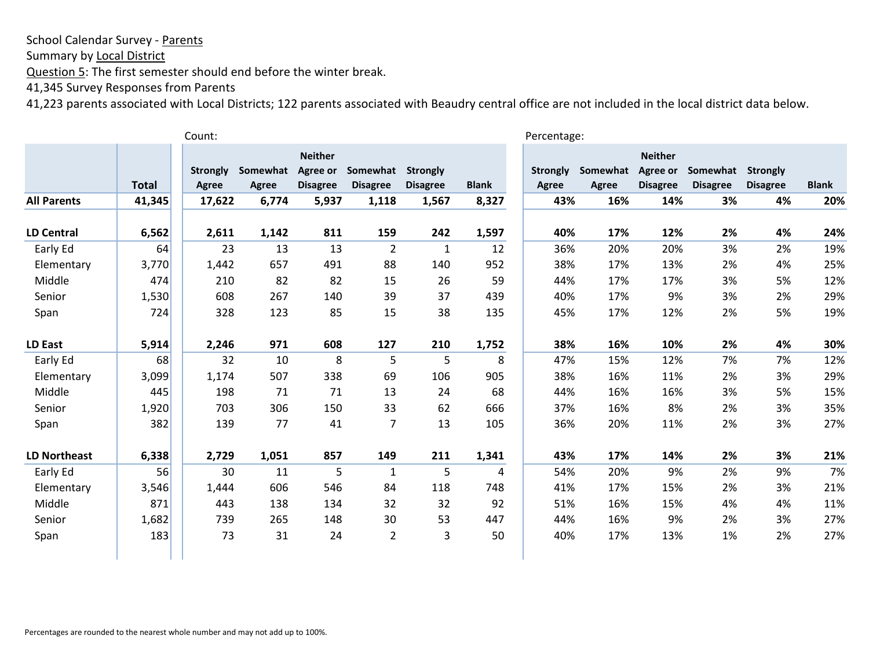Summary by Local District

Question 5: The first semester should end before the winter break.

41,345 Survey Responses from Parents

|                     |              | Count:                   |                          |                                               |                             |                                    |              | Percentage:                     |                   |                                               |                             |                                    |              |
|---------------------|--------------|--------------------------|--------------------------|-----------------------------------------------|-----------------------------|------------------------------------|--------------|---------------------------------|-------------------|-----------------------------------------------|-----------------------------|------------------------------------|--------------|
|                     | <b>Total</b> | <b>Strongly</b><br>Agree | Somewhat<br><b>Agree</b> | <b>Neither</b><br>Agree or<br><b>Disagree</b> | Somewhat<br><b>Disagree</b> | <b>Strongly</b><br><b>Disagree</b> | <b>Blank</b> | <b>Strongly</b><br><b>Agree</b> | Somewhat<br>Agree | <b>Neither</b><br>Agree or<br><b>Disagree</b> | Somewhat<br><b>Disagree</b> | <b>Strongly</b><br><b>Disagree</b> | <b>Blank</b> |
| <b>All Parents</b>  | 41,345       | 17,622                   | 6,774                    | 5,937                                         | 1,118                       | 1,567                              | 8,327        | 43%                             | 16%               | 14%                                           | 3%                          | 4%                                 | 20%          |
| <b>LD Central</b>   | 6,562        | 2,611                    | 1,142                    | 811                                           | 159                         | 242                                | 1,597        | 40%                             | 17%               | 12%                                           | 2%                          | 4%                                 | 24%          |
| Early Ed            | 64           | 23                       | 13                       | 13                                            | $\overline{2}$              | $\mathbf{1}$                       | 12           | 36%                             | 20%               | 20%                                           | 3%                          | 2%                                 | 19%          |
| Elementary          | 3,770        | 1,442                    | 657                      | 491                                           | 88                          | 140                                | 952          | 38%                             | 17%               | 13%                                           | 2%                          | 4%                                 | 25%          |
| Middle              | 474          | 210                      | 82                       | 82                                            | 15                          | 26                                 | 59           | 44%                             | 17%               | 17%                                           | 3%                          | 5%                                 | 12%          |
| Senior              | 1,530        | 608                      | 267                      | 140                                           | 39                          | 37                                 | 439          | 40%                             | 17%               | 9%                                            | 3%                          | 2%                                 | 29%          |
| Span                | 724          | 328                      | 123                      | 85                                            | 15                          | 38                                 | 135          | 45%                             | 17%               | 12%                                           | 2%                          | 5%                                 | 19%          |
| LD East             | 5,914        | 2,246                    | 971                      | 608                                           | 127                         | 210                                | 1,752        | 38%                             | 16%               | 10%                                           | 2%                          | 4%                                 | 30%          |
| Early Ed            | 68           | 32                       | 10                       | 8                                             | 5                           | 5                                  | 8            | 47%                             | 15%               | 12%                                           | 7%                          | 7%                                 | 12%          |
| Elementary          | 3,099        | 1,174                    | 507                      | 338                                           | 69                          | 106                                | 905          | 38%                             | 16%               | 11%                                           | 2%                          | 3%                                 | 29%          |
| Middle              | 445          | 198                      | 71                       | 71                                            | 13                          | 24                                 | 68           | 44%                             | 16%               | 16%                                           | 3%                          | 5%                                 | 15%          |
| Senior              | 1,920        | 703                      | 306                      | 150                                           | 33                          | 62                                 | 666          | 37%                             | 16%               | 8%                                            | 2%                          | 3%                                 | 35%          |
| Span                | 382          | 139                      | 77                       | 41                                            | 7                           | 13                                 | 105          | 36%                             | 20%               | 11%                                           | 2%                          | 3%                                 | 27%          |
| <b>LD Northeast</b> | 6,338        | 2,729                    | 1,051                    | 857                                           | 149                         | 211                                | 1,341        | 43%                             | 17%               | 14%                                           | 2%                          | 3%                                 | 21%          |
| Early Ed            | 56           | 30                       | 11                       | 5                                             | 1                           | 5                                  | 4            | 54%                             | 20%               | 9%                                            | 2%                          | 9%                                 | 7%           |
| Elementary          | 3,546        | 1,444                    | 606                      | 546                                           | 84                          | 118                                | 748          | 41%                             | 17%               | 15%                                           | 2%                          | 3%                                 | 21%          |
| Middle              | 871          | 443                      | 138                      | 134                                           | 32                          | 32                                 | 92           | 51%                             | 16%               | 15%                                           | 4%                          | 4%                                 | 11%          |
| Senior              | 1,682        | 739                      | 265                      | 148                                           | 30                          | 53                                 | 447          | 44%                             | 16%               | 9%                                            | 2%                          | 3%                                 | 27%          |
| Span                | 183          | 73                       | 31                       | 24                                            | $\overline{2}$              | $\mathbf{3}$                       | 50           | 40%                             | 17%               | 13%                                           | 1%                          | 2%                                 | 27%          |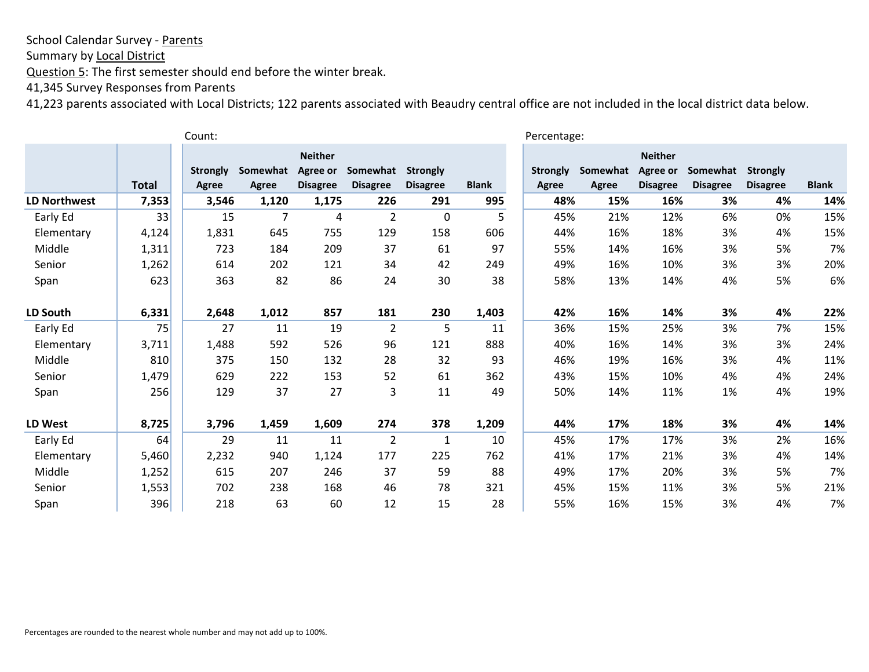Summary by Local District

Question 5: The first semester should end before the winter break.

41,345 Survey Responses from Parents

| Count:              |              |                 |          |                 |                 |                 |              |                 | Percentage: |                 |                 |                 |              |  |
|---------------------|--------------|-----------------|----------|-----------------|-----------------|-----------------|--------------|-----------------|-------------|-----------------|-----------------|-----------------|--------------|--|
|                     |              |                 |          | <b>Neither</b>  |                 |                 |              |                 |             | <b>Neither</b>  |                 |                 |              |  |
|                     |              | <b>Strongly</b> | Somewhat | Agree or        | Somewhat        | <b>Strongly</b> |              | <b>Strongly</b> | Somewhat    | Agree or        | Somewhat        | <b>Strongly</b> |              |  |
|                     | <b>Total</b> | <b>Agree</b>    | Agree    | <b>Disagree</b> | <b>Disagree</b> | <b>Disagree</b> | <b>Blank</b> | Agree           | Agree       | <b>Disagree</b> | <b>Disagree</b> | <b>Disagree</b> | <b>Blank</b> |  |
| <b>LD Northwest</b> | 7,353        | 3,546           | 1,120    | 1,175           | 226             | 291             | 995          | 48%             | 15%         | 16%             | 3%              | 4%              | 14%          |  |
| Early Ed            | 33           | 15              | 7        | 4               | $\overline{2}$  | $\mathbf 0$     | 5            | 45%             | 21%         | 12%             | 6%              | 0%              | 15%          |  |
| Elementary          | 4,124        | 1,831           | 645      | 755             | 129             | 158             | 606          | 44%             | 16%         | 18%             | 3%              | 4%              | 15%          |  |
| Middle              | 1,311        | 723             | 184      | 209             | 37              | 61              | 97           | 55%             | 14%         | 16%             | 3%              | 5%              | 7%           |  |
| Senior              | 1,262        | 614             | 202      | 121             | 34              | 42              | 249          | 49%             | 16%         | 10%             | 3%              | 3%              | 20%          |  |
| Span                | 623          | 363             | 82       | 86              | 24              | 30              | 38           | 58%             | 13%         | 14%             | 4%              | 5%              | 6%           |  |
| LD South            | 6,331        | 2,648           | 1,012    | 857             | 181             | 230             | 1,403        | 42%             | 16%         | 14%             | 3%              | 4%              | 22%          |  |
| Early Ed            | 75           | 27              | 11       | 19              | $\overline{2}$  | 5               | 11           | 36%             | 15%         | 25%             | 3%              | 7%              | 15%          |  |
| Elementary          | 3,711        | 1,488           | 592      | 526             | 96              | 121             | 888          | 40%             | 16%         | 14%             | 3%              | 3%              | 24%          |  |
| Middle              | 810          | 375             | 150      | 132             | 28              | 32              | 93           | 46%             | 19%         | 16%             | 3%              | 4%              | 11%          |  |
| Senior              | 1,479        | 629             | 222      | 153             | 52              | 61              | 362          | 43%             | 15%         | 10%             | 4%              | 4%              | 24%          |  |
| Span                | 256          | 129             | 37       | 27              | 3               | 11              | 49           | 50%             | 14%         | 11%             | 1%              | 4%              | 19%          |  |
| LD West             | 8,725        | 3,796           | 1,459    | 1,609           | 274             | 378             | 1,209        | 44%             | 17%         | 18%             | 3%              | 4%              | 14%          |  |
| Early Ed            | 64           | 29              | 11       | 11              | $\overline{2}$  | $\mathbf{1}$    | 10           | 45%             | 17%         | 17%             | 3%              | 2%              | 16%          |  |
| Elementary          | 5,460        | 2,232           | 940      | 1,124           | 177             | 225             | 762          | 41%             | 17%         | 21%             | 3%              | 4%              | 14%          |  |
| Middle              | 1,252        | 615             | 207      | 246             | 37              | 59              | 88           | 49%             | 17%         | 20%             | 3%              | 5%              | 7%           |  |
| Senior              | 1,553        | 702             | 238      | 168             | 46              | 78              | 321          | 45%             | 15%         | 11%             | 3%              | 5%              | 21%          |  |
| Span                | 396          | 218             | 63       | 60              | 12              | 15              | 28           | 55%             | 16%         | 15%             | 3%              | 4%              | 7%           |  |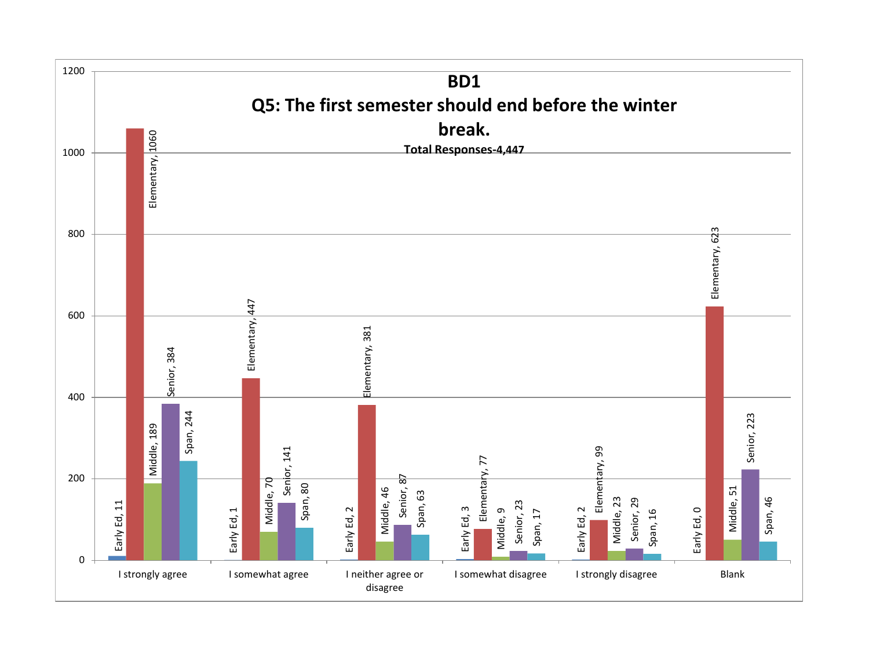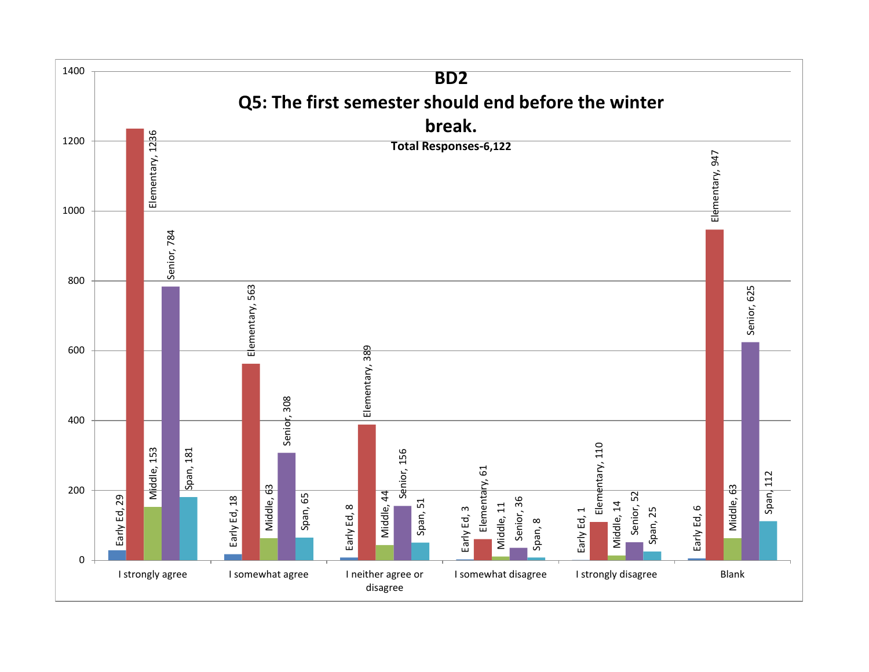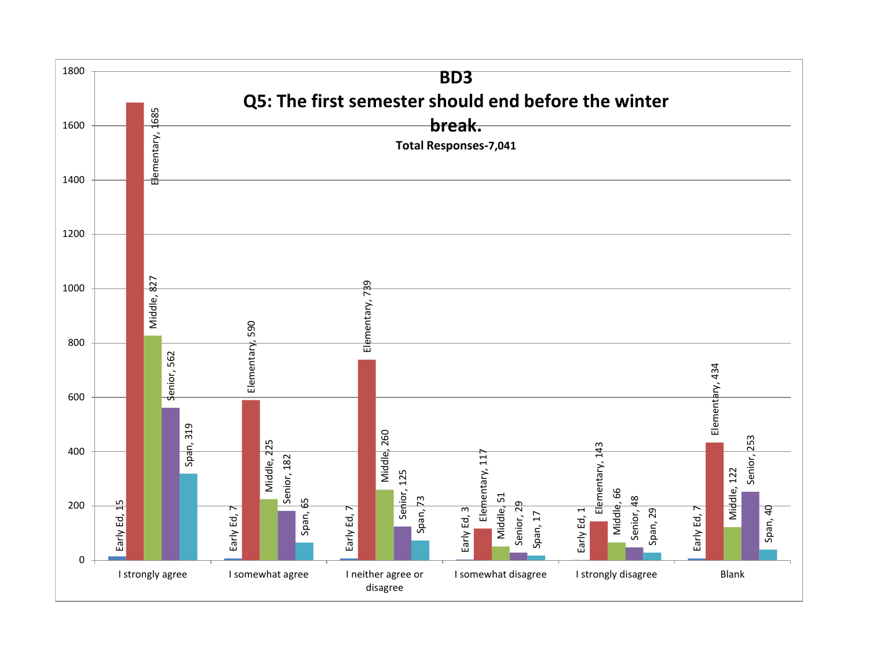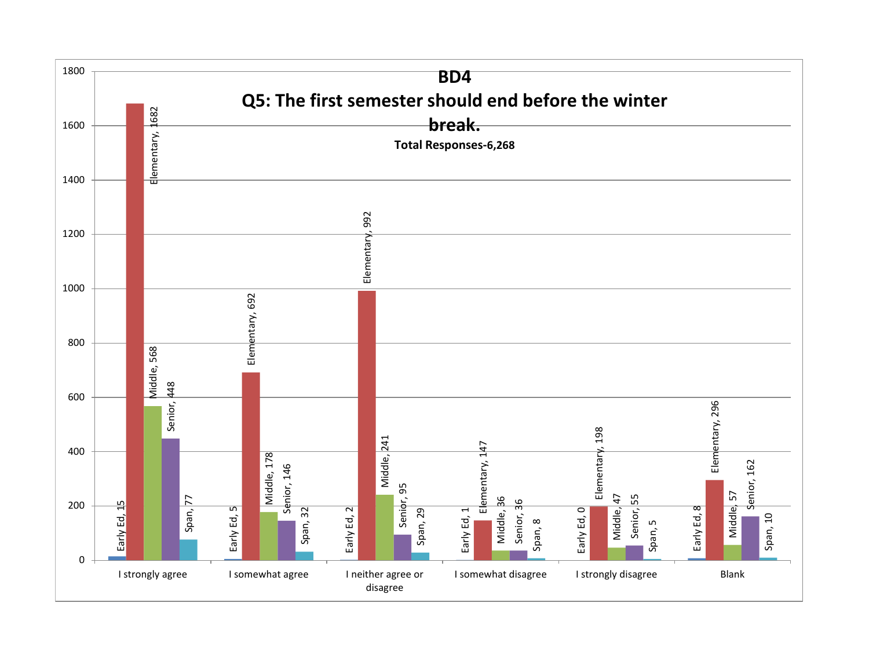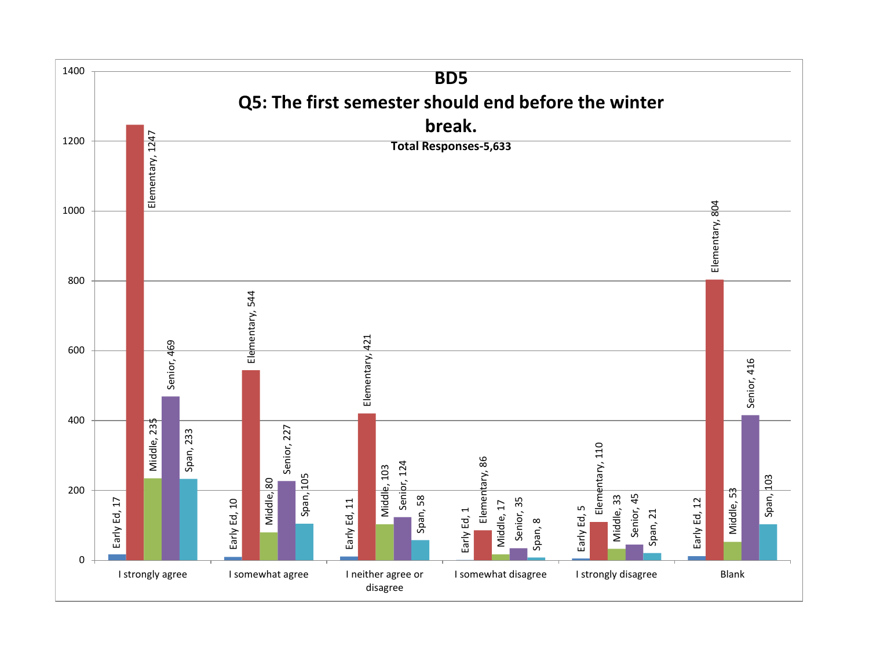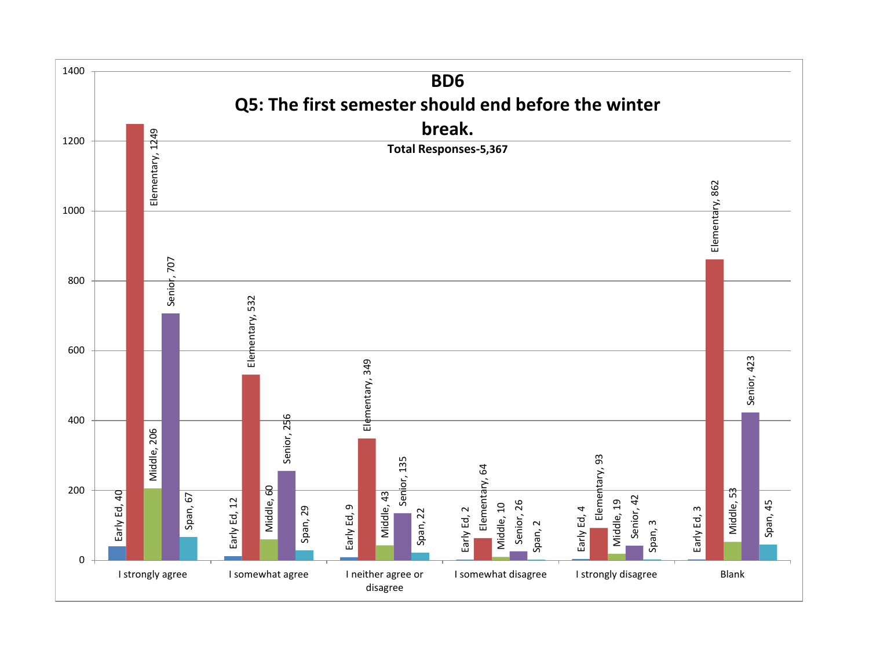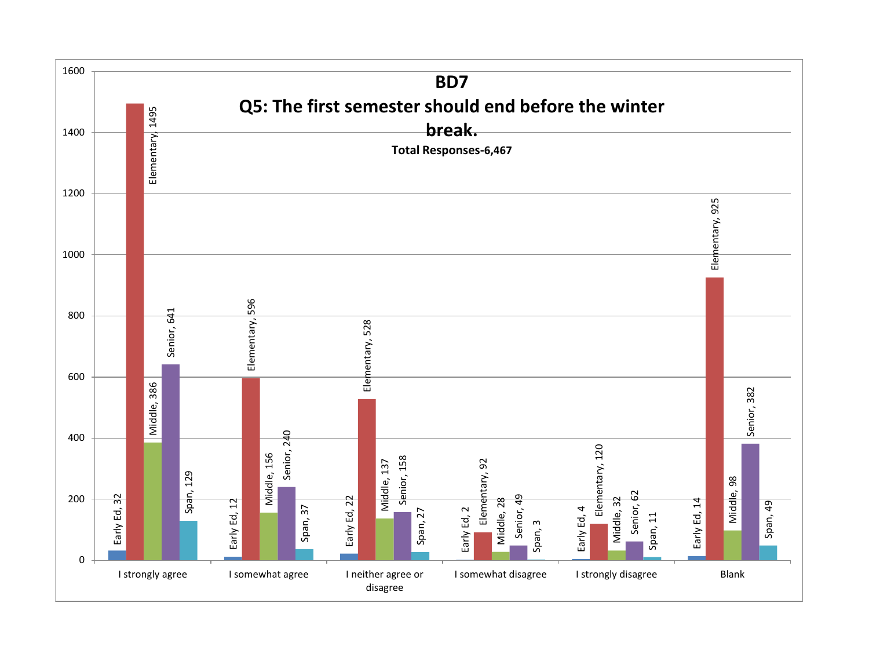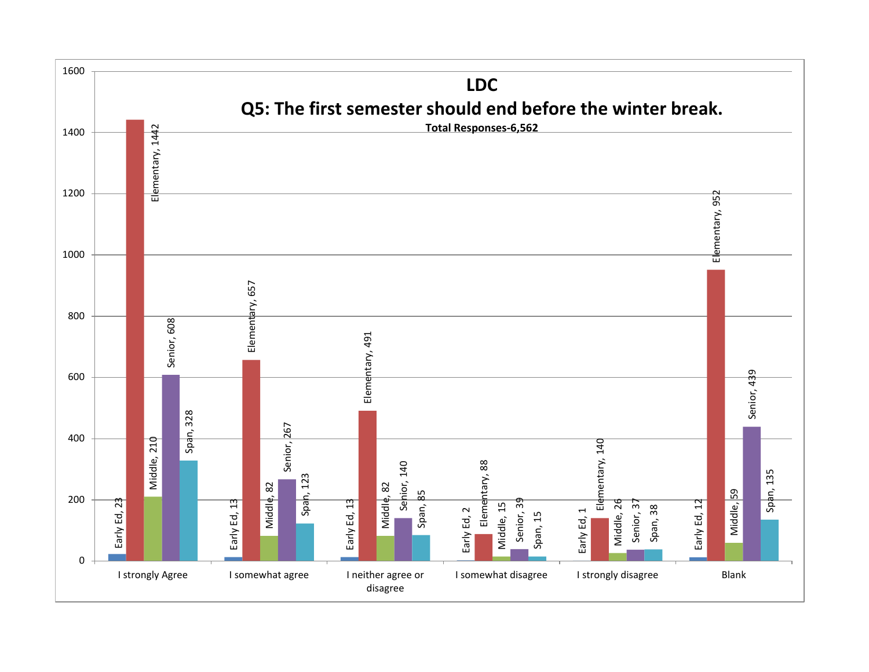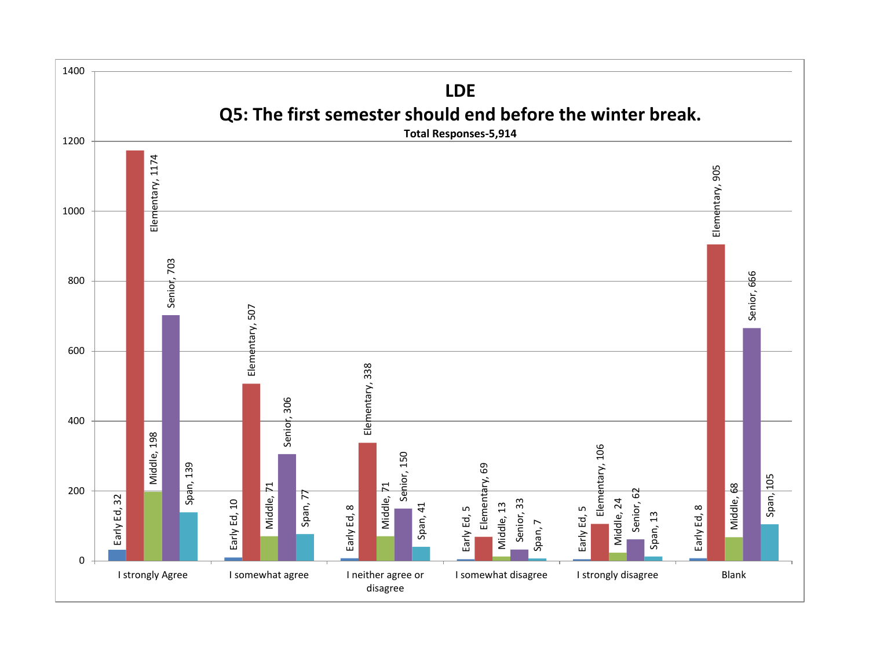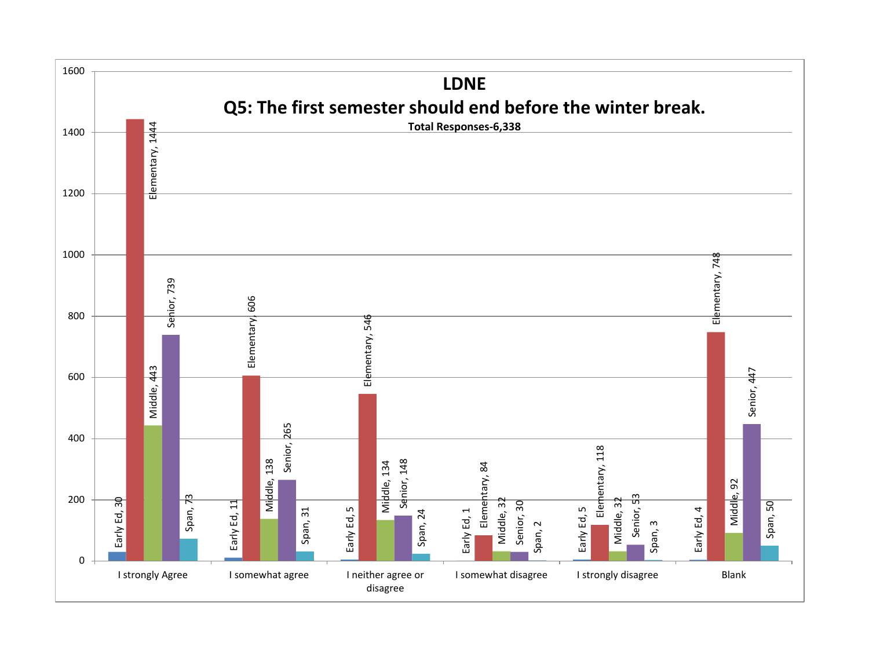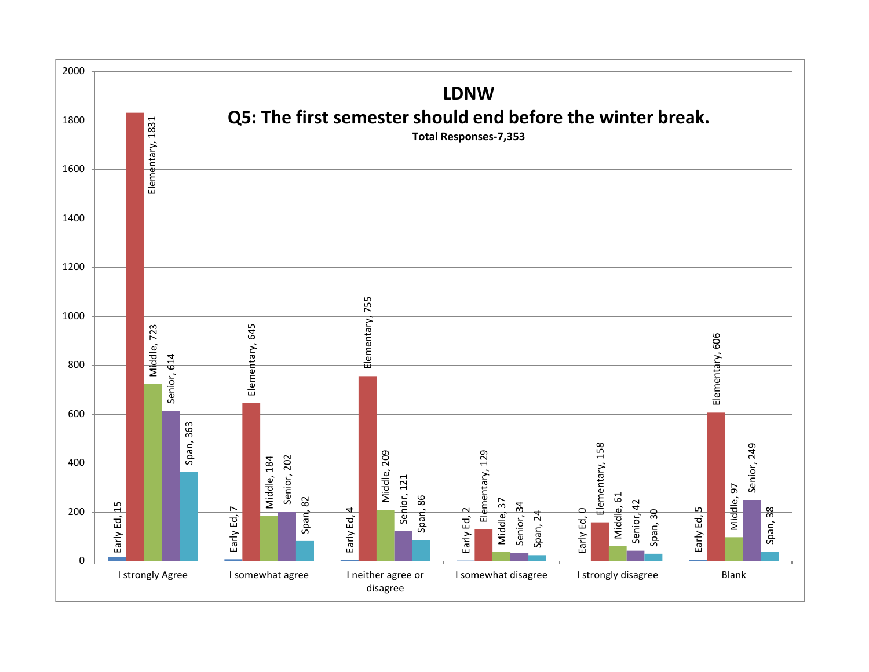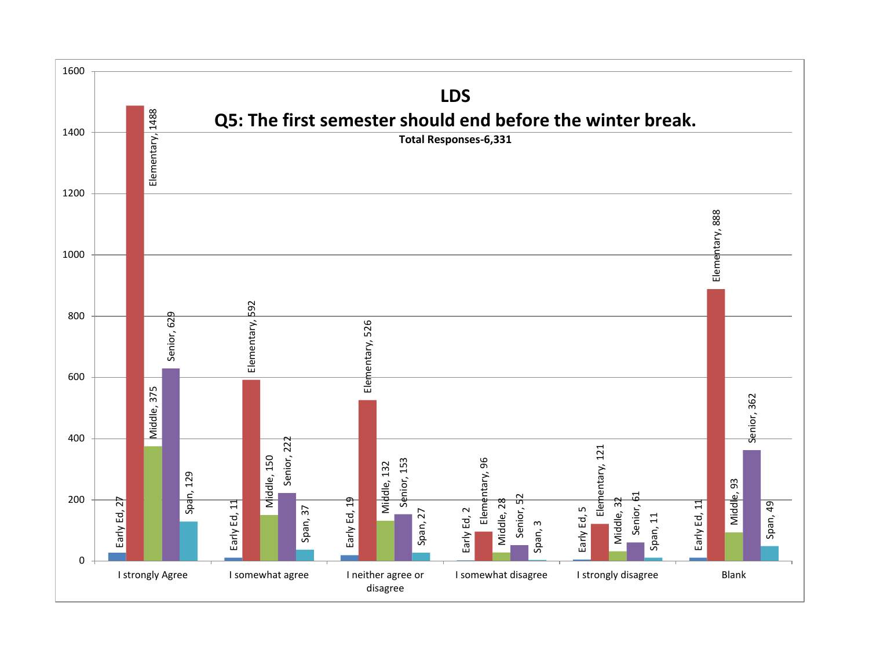